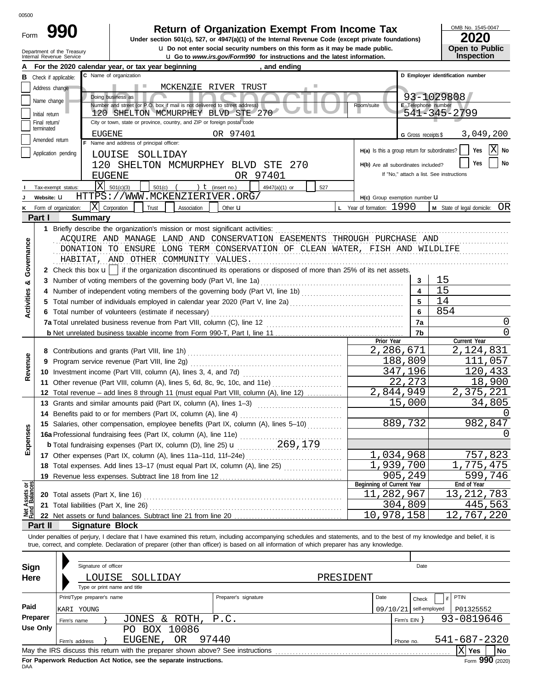| -orm |  |
|------|--|

# **990 2020 2010 2020 2020 2020 2020 2020 2020 2020 2020 2020 2020 2020 2020 2020**

u **Do not enter social security numbers on this form as it may be made public. Open to Public**

OMB No. 1545-0047

|  | 2020                  |
|--|-----------------------|
|  | <b>Open to Public</b> |
|  | Incrootion            |

|                                                 | Department of the Treasury<br><b>u</b> Go to www.irs.gov/Form990 for instructions and the latest information.                                                                                                                                                                                                            |                                               |                         | <b>Inspection</b>                        |  |  |  |  |  |  |
|-------------------------------------------------|--------------------------------------------------------------------------------------------------------------------------------------------------------------------------------------------------------------------------------------------------------------------------------------------------------------------------|-----------------------------------------------|-------------------------|------------------------------------------|--|--|--|--|--|--|
|                                                 | For the 2020 calendar year, or tax year beginning<br>, and ending                                                                                                                                                                                                                                                        |                                               |                         |                                          |  |  |  |  |  |  |
| Check if applicable:                            | C Name of organization                                                                                                                                                                                                                                                                                                   |                                               |                         | D Employer identification number         |  |  |  |  |  |  |
| Address change                                  | MCKENZIE RIVER TRUST<br>a su                                                                                                                                                                                                                                                                                             |                                               |                         |                                          |  |  |  |  |  |  |
| Name change                                     |                                                                                                                                                                                                                                                                                                                          | 93-1029808                                    |                         |                                          |  |  |  |  |  |  |
|                                                 | Room/suite                                                                                                                                                                                                                                                                                                               | E Telephone number                            |                         |                                          |  |  |  |  |  |  |
| Initial return                                  |                                                                                                                                                                                                                                                                                                                          | 541-345-2799                                  |                         |                                          |  |  |  |  |  |  |
| Final return/<br>terminated                     | City or town, state or province, country, and ZIP or foreign postal code                                                                                                                                                                                                                                                 |                                               |                         |                                          |  |  |  |  |  |  |
| Amended return                                  | OR 97401<br>EUGENE                                                                                                                                                                                                                                                                                                       |                                               | G Gross receipts \$     | 3,049,200                                |  |  |  |  |  |  |
|                                                 | F Name and address of principal officer:                                                                                                                                                                                                                                                                                 | H(a) Is this a group return for subordinates? |                         | X<br>Yes<br>No                           |  |  |  |  |  |  |
| Application pending                             | LOUISE SOLLIDAY                                                                                                                                                                                                                                                                                                          |                                               |                         |                                          |  |  |  |  |  |  |
|                                                 | 120 SHELTON MCMURPHEY BLVD STE 270                                                                                                                                                                                                                                                                                       | H(b) Are all subordinates included?           |                         | Yes<br>No                                |  |  |  |  |  |  |
|                                                 | OR 97401<br><b>EUGENE</b>                                                                                                                                                                                                                                                                                                |                                               |                         | If "No," attach a list. See instructions |  |  |  |  |  |  |
| Tax-exempt status:                              | X<br>501(c)(3)<br>501(c)<br>) $t$ (insert no.)<br>527<br>4947(a)(1) or                                                                                                                                                                                                                                                   |                                               |                         |                                          |  |  |  |  |  |  |
| Website: U                                      | HTTPS://WWW.MCKENZIERIVER.ORG/                                                                                                                                                                                                                                                                                           | H(c) Group exemption number U                 |                         |                                          |  |  |  |  |  |  |
| Form of organization:                           | lxl<br>Corporation<br>Trust<br>Association<br>Other $\mathbf u$                                                                                                                                                                                                                                                          | L Year of formation: 1990                     |                         | M State of legal domicile: OR            |  |  |  |  |  |  |
| Part I                                          | <b>Summary</b>                                                                                                                                                                                                                                                                                                           |                                               |                         |                                          |  |  |  |  |  |  |
|                                                 | 1 Briefly describe the organization's mission or most significant activities:                                                                                                                                                                                                                                            |                                               |                         |                                          |  |  |  |  |  |  |
|                                                 | ACQUIRE AND MANAGE LAND AND CONSERVATION EASEMENTS THROUGH PURCHASE AND                                                                                                                                                                                                                                                  |                                               |                         |                                          |  |  |  |  |  |  |
| Governance                                      | DONATION TO ENSURE LONG TERM CONSERVATION OF CLEAN WATER, FISH AND WILDLIFE                                                                                                                                                                                                                                              |                                               |                         |                                          |  |  |  |  |  |  |
|                                                 | HABITAT, AND OTHER COMMUNITY VALUES.                                                                                                                                                                                                                                                                                     |                                               |                         |                                          |  |  |  |  |  |  |
|                                                 | 2 Check this box $\mathbf{u}$   if the organization discontinued its operations or disposed of more than 25% of its net assets.                                                                                                                                                                                          |                                               |                         |                                          |  |  |  |  |  |  |
|                                                 | 3 Number of voting members of the governing body (Part VI, line 1a)                                                                                                                                                                                                                                                      |                                               | 3                       | 15                                       |  |  |  |  |  |  |
|                                                 | 4 Number of independent voting members of the governing body (Part VI, line 1b) [11] [11] Number of independent voting members of the governing body (Part VI, line 1b)                                                                                                                                                  |                                               | $\overline{\mathbf{4}}$ | 15                                       |  |  |  |  |  |  |
|                                                 |                                                                                                                                                                                                                                                                                                                          |                                               | 5                       | 14                                       |  |  |  |  |  |  |
|                                                 |                                                                                                                                                                                                                                                                                                                          |                                               | 6                       | 854                                      |  |  |  |  |  |  |
|                                                 | 6 Total number of volunteers (estimate if necessary)<br>7a Total unrelated business revenue from Part VIII, column (C), line 12                                                                                                                                                                                          |                                               |                         |                                          |  |  |  |  |  |  |
|                                                 | 7a<br>7b                                                                                                                                                                                                                                                                                                                 |                                               |                         |                                          |  |  |  |  |  |  |
|                                                 |                                                                                                                                                                                                                                                                                                                          | Prior Year                                    |                         | Current Year                             |  |  |  |  |  |  |
|                                                 |                                                                                                                                                                                                                                                                                                                          | 2,286,671                                     |                         | 2,124,831                                |  |  |  |  |  |  |
|                                                 | 188,809<br>9 Program service revenue (Part VIII, line 2g)                                                                                                                                                                                                                                                                |                                               |                         |                                          |  |  |  |  |  |  |
| Revenue                                         | 347,196                                                                                                                                                                                                                                                                                                                  |                                               |                         |                                          |  |  |  |  |  |  |
|                                                 | 11 Other revenue (Part VIII, column (A), lines 5, 6d, 8c, 9c, 10c, and 11e)                                                                                                                                                                                                                                              |                                               | 22,273                  | 120,433<br>18,900                        |  |  |  |  |  |  |
|                                                 | 12 Total revenue - add lines 8 through 11 (must equal Part VIII, column (A), line 12)                                                                                                                                                                                                                                    | 2,844,949                                     |                         | 2,375,221                                |  |  |  |  |  |  |
|                                                 |                                                                                                                                                                                                                                                                                                                          |                                               | 15,000                  | 34,805                                   |  |  |  |  |  |  |
|                                                 | 13 Grants and similar amounts paid (Part IX, column (A), lines 1-3)                                                                                                                                                                                                                                                      |                                               |                         |                                          |  |  |  |  |  |  |
|                                                 | 14 Benefits paid to or for members (Part IX, column (A), line 4)                                                                                                                                                                                                                                                         |                                               | 889,732                 |                                          |  |  |  |  |  |  |
|                                                 | 15 Salaries, other compensation, employee benefits (Part IX, column (A), lines 5-10)                                                                                                                                                                                                                                     |                                               |                         | 982,847                                  |  |  |  |  |  |  |
|                                                 | 16a Professional fundraising fees (Part IX, column (A), line 11e)                                                                                                                                                                                                                                                        |                                               |                         |                                          |  |  |  |  |  |  |
| Exper                                           | 269,179<br><b>b</b> Total fundraising expenses (Part IX, column (D), line 25) <b>u</b>                                                                                                                                                                                                                                   |                                               |                         |                                          |  |  |  |  |  |  |
|                                                 | 17 Other expenses (Part IX, column (A), lines 11a-11d, 11f-24e)                                                                                                                                                                                                                                                          | 1,034,968                                     |                         | 757,823                                  |  |  |  |  |  |  |
|                                                 | 18 Total expenses. Add lines 13-17 (must equal Part IX, column (A), line 25)                                                                                                                                                                                                                                             | 1,939,700                                     |                         | 1,775,475                                |  |  |  |  |  |  |
|                                                 | 19 Revenue less expenses. Subtract line 18 from line 12                                                                                                                                                                                                                                                                  | Beginning of Current Year                     | 905,249                 | 599,746                                  |  |  |  |  |  |  |
| Net Assets or<br>Fund Balances                  |                                                                                                                                                                                                                                                                                                                          |                                               |                         | End of Year<br>13, 212, 783              |  |  |  |  |  |  |
|                                                 | 11,282,967<br>20 Total assets (Part X, line 16)                                                                                                                                                                                                                                                                          |                                               |                         |                                          |  |  |  |  |  |  |
|                                                 | 304,809<br>21 Total liabilities (Part X, line 26)<br>10,978,158                                                                                                                                                                                                                                                          |                                               |                         |                                          |  |  |  |  |  |  |
|                                                 |                                                                                                                                                                                                                                                                                                                          |                                               |                         | $\overline{12}$ , 767, 220               |  |  |  |  |  |  |
| Part II                                         | <b>Signature Block</b>                                                                                                                                                                                                                                                                                                   |                                               |                         |                                          |  |  |  |  |  |  |
|                                                 | Under penalties of perjury, I declare that I have examined this return, including accompanying schedules and statements, and to the best of my knowledge and belief, it is<br>true, correct, and complete. Declaration of preparer (other than officer) is based on all information of which preparer has any knowledge. |                                               |                         |                                          |  |  |  |  |  |  |
|                                                 |                                                                                                                                                                                                                                                                                                                          |                                               |                         |                                          |  |  |  |  |  |  |
|                                                 |                                                                                                                                                                                                                                                                                                                          |                                               |                         |                                          |  |  |  |  |  |  |
|                                                 |                                                                                                                                                                                                                                                                                                                          |                                               | Date                    |                                          |  |  |  |  |  |  |
|                                                 | Signature of officer                                                                                                                                                                                                                                                                                                     |                                               |                         |                                          |  |  |  |  |  |  |
|                                                 | LOUISE<br>PRESIDENT<br>SOLLIDAY                                                                                                                                                                                                                                                                                          |                                               |                         |                                          |  |  |  |  |  |  |
|                                                 | Type or print name and title                                                                                                                                                                                                                                                                                             |                                               |                         |                                          |  |  |  |  |  |  |
|                                                 | Print/Type preparer's name<br>Preparer's signature                                                                                                                                                                                                                                                                       | Date                                          | Check                   | PTIN                                     |  |  |  |  |  |  |
| KARI YOUNG                                      |                                                                                                                                                                                                                                                                                                                          | 09/10/21                                      | self-employed           | P01325552                                |  |  |  |  |  |  |
| Sign<br>Here<br>Paid<br>Preparer<br>Firm's name | JONES & ROTH,<br>P.C.                                                                                                                                                                                                                                                                                                    |                                               | Firm's $EIN$ }          | 93-0819646                               |  |  |  |  |  |  |
| <b>Use Only</b>                                 | PO BOX 10086                                                                                                                                                                                                                                                                                                             |                                               |                         |                                          |  |  |  |  |  |  |

| Sign<br>Here |                | Signature of officer<br>LOUISE<br>Type or print name and title | SOLLIDAY                                                                        |                      | PRESIDENT |      |              | Date                                    |                          |    |
|--------------|----------------|----------------------------------------------------------------|---------------------------------------------------------------------------------|----------------------|-----------|------|--------------|-----------------------------------------|--------------------------|----|
| Paid         | KARI YOUNG     | Print/Type preparer's name                                     |                                                                                 | Preparer's signature |           | Date |              | if<br>Check<br>$09/10/21$ self-employed | <b>PTIN</b><br>P01325552 |    |
| Preparer     | Firm's name    |                                                                | JONES & ROTH, P.C.                                                              |                      |           |      | Firm's $EIN$ |                                         | 93-0819646               |    |
| Use Only     |                |                                                                | BOX 10086<br>PO                                                                 |                      |           |      |              |                                         |                          |    |
|              | Firm's address |                                                                | EUGENE, OR                                                                      | 97440                |           |      | Phone no.    |                                         | 541-687-2320             |    |
|              |                |                                                                | May the IRS discuss this return with the preparer shown above? See instructions |                      |           |      |              |                                         | Yes                      | No |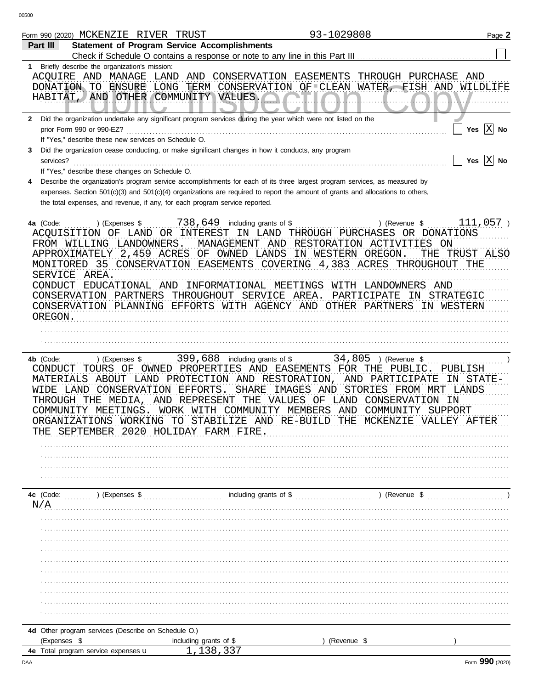|              | 93-1029808<br>Form 990 (2020) MCKENZIE RIVER TRUST                                                                                                                                                                                                                                                                                                                                                                                                                                                                                                                                                                                                                                             | Page 2 |
|--------------|------------------------------------------------------------------------------------------------------------------------------------------------------------------------------------------------------------------------------------------------------------------------------------------------------------------------------------------------------------------------------------------------------------------------------------------------------------------------------------------------------------------------------------------------------------------------------------------------------------------------------------------------------------------------------------------------|--------|
|              | <b>Statement of Program Service Accomplishments</b><br>Part III                                                                                                                                                                                                                                                                                                                                                                                                                                                                                                                                                                                                                                |        |
|              | Check if Schedule O contains a response or note to any line in this Part III                                                                                                                                                                                                                                                                                                                                                                                                                                                                                                                                                                                                                   |        |
| 1.           | Briefly describe the organization's mission:<br>ACOUIRE AND MANAGE<br>LAND AND CONSERVATION EASEMENTS<br>THROUGH PURCHASE AND<br>LONG<br>TERM CONSERVATION OF CLEAN WATER, FISH AND WILDLIFE<br>DONATION TO ENSURE<br>HABITAT, AND OTHER COMMUNITY VALUES.                                                                                                                                                                                                                                                                                                                                                                                                                                     |        |
| $\mathbf{2}$ | Did the organization undertake any significant program services during the year which were not listed on the<br>Yes $ X $ No<br>prior Form 990 or 990-EZ?                                                                                                                                                                                                                                                                                                                                                                                                                                                                                                                                      |        |
|              | If "Yes," describe these new services on Schedule O.                                                                                                                                                                                                                                                                                                                                                                                                                                                                                                                                                                                                                                           |        |
| 3            | Did the organization cease conducting, or make significant changes in how it conducts, any program                                                                                                                                                                                                                                                                                                                                                                                                                                                                                                                                                                                             |        |
|              | Yes<br>services?                                                                                                                                                                                                                                                                                                                                                                                                                                                                                                                                                                                                                                                                               | $X$ No |
|              | If "Yes," describe these changes on Schedule O.                                                                                                                                                                                                                                                                                                                                                                                                                                                                                                                                                                                                                                                |        |
| 4            | Describe the organization's program service accomplishments for each of its three largest program services, as measured by<br>expenses. Section 501(c)(3) and 501(c)(4) organizations are required to report the amount of grants and allocations to others,                                                                                                                                                                                                                                                                                                                                                                                                                                   |        |
|              | the total expenses, and revenue, if any, for each program service reported.                                                                                                                                                                                                                                                                                                                                                                                                                                                                                                                                                                                                                    |        |
|              |                                                                                                                                                                                                                                                                                                                                                                                                                                                                                                                                                                                                                                                                                                |        |
|              | 738,649<br>111,057)<br>including grants of \$<br>4a (Code:<br>) (Expenses \$<br>) (Revenue \$<br>ACQUISITION OF LAND OR INTEREST IN LAND THROUGH PURCHASES OR DONATIONS<br>MANAGEMENT AND RESTORATION ACTIVITIES<br>FROM WILLING LANDOWNERS.<br>ON<br>APPROXIMATELY 2,459 ACRES OF OWNED LANDS<br>IN WESTERN OREGON.<br>THE<br>TRUST ALSO<br>MONITORED 35 CONSERVATION EASEMENTS COVERING 4,383 ACRES THROUGHOUT THE<br>SERVICE AREA.<br>CONDUCT EDUCATIONAL AND<br>INFORMATIONAL MEETINGS<br>WITH LANDOWNERS<br>AND<br>CONSERVATION PARTNERS THROUGHOUT SERVICE AREA.<br>PARTICIPATE<br>IN STRATEGIC<br>CONSERVATION PLANNING EFFORTS WITH AGENCY AND OTHER PARTNERS<br>IN WESTERN<br>OREGON. |        |
|              |                                                                                                                                                                                                                                                                                                                                                                                                                                                                                                                                                                                                                                                                                                |        |
|              | 399,688<br>34,805<br>including grants of \$<br>4b (Code:<br>) (Expenses \$<br>) (Revenue \$<br>CONDUCT TOURS OF OWNED PROPERTIES AND EASEMENTS FOR THE PUBLIC.<br>PUBLISH<br>MATERIALS ABOUT LAND PROTECTION AND RESTORATION, AND PARTICIPATE<br>IN STATE-<br>WIDE LAND CONSERVATION EFFORTS.<br>SHARE<br>IMAGES AND<br>STORIES FROM MRT LANDS<br>AND REPRESENT THE VALUES<br>OF LAND CONSERVATION<br>THROUGH THE MEDIA,<br>- IN<br>WORK WITH COMMUNITY MEMBERS AND COMMUNITY SUPPORT<br>COMMUNITY MEETINGS.<br>ORGANIZATIONS WORKING TO STABILIZE AND RE-BUILD THE<br>MCKENZIE<br>VALLEY AFTER<br>SEPTEMBER 2020 HOLIDAY FARM FIRE                                                            |        |
|              |                                                                                                                                                                                                                                                                                                                                                                                                                                                                                                                                                                                                                                                                                                |        |
|              | including grants of \$<br>) (Revenue \$<br>4c (Code:<br>) (Expenses \$                                                                                                                                                                                                                                                                                                                                                                                                                                                                                                                                                                                                                         |        |
|              | N/A                                                                                                                                                                                                                                                                                                                                                                                                                                                                                                                                                                                                                                                                                            |        |
|              |                                                                                                                                                                                                                                                                                                                                                                                                                                                                                                                                                                                                                                                                                                |        |
|              |                                                                                                                                                                                                                                                                                                                                                                                                                                                                                                                                                                                                                                                                                                |        |
|              |                                                                                                                                                                                                                                                                                                                                                                                                                                                                                                                                                                                                                                                                                                |        |
|              |                                                                                                                                                                                                                                                                                                                                                                                                                                                                                                                                                                                                                                                                                                |        |
|              |                                                                                                                                                                                                                                                                                                                                                                                                                                                                                                                                                                                                                                                                                                |        |
|              |                                                                                                                                                                                                                                                                                                                                                                                                                                                                                                                                                                                                                                                                                                |        |
|              |                                                                                                                                                                                                                                                                                                                                                                                                                                                                                                                                                                                                                                                                                                |        |
|              |                                                                                                                                                                                                                                                                                                                                                                                                                                                                                                                                                                                                                                                                                                |        |
|              |                                                                                                                                                                                                                                                                                                                                                                                                                                                                                                                                                                                                                                                                                                |        |
|              | 4d Other program services (Describe on Schedule O.)                                                                                                                                                                                                                                                                                                                                                                                                                                                                                                                                                                                                                                            |        |
|              | (Expenses \$<br>including grants of \$<br>(Revenue \$                                                                                                                                                                                                                                                                                                                                                                                                                                                                                                                                                                                                                                          |        |
| DAA          | 1,138,337<br><b>4e</b> Total program service expenses <b>u</b><br>Form 990 (2020)                                                                                                                                                                                                                                                                                                                                                                                                                                                                                                                                                                                                              |        |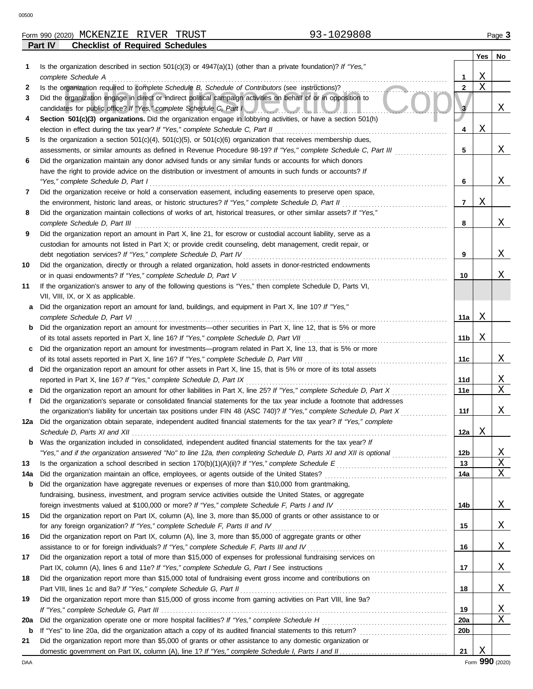00500

**Part IV Checklist of Required Schedules**

|  | Form 990 | . (2020) | MCKENZIE<br>.<br>п. | תהזזדר<br>VLN<br>RT 1<br>- - - | TRUST | <b>POUL</b> | Page |
|--|----------|----------|---------------------|--------------------------------|-------|-------------|------|
|--|----------|----------|---------------------|--------------------------------|-------|-------------|------|

| Is the organization described in section 501(c)(3) or 4947(a)(1) (other than a private foundation)? If "Yes,"<br>1<br>complete Schedule A<br>Is the organization required to complete Schedule B, Schedule of Contributors (see instructions)?<br>2<br>Did the organization engage in direct or indirect political campaign activities on behalf of or in opposition to<br>3<br>candidates for public office? If "Yes," complete Schedule C, Part I<br>Section 501(c)(3) organizations. Did the organization engage in lobbying activities, or have a section 501(h)<br>4<br>election in effect during the tax year? If "Yes," complete Schedule C, Part II<br>Is the organization a section $501(c)(4)$ , $501(c)(5)$ , or $501(c)(6)$ organization that receives membership dues,<br>5<br>assessments, or similar amounts as defined in Revenue Procedure 98-19? If "Yes," complete Schedule C, Part III<br>Did the organization maintain any donor advised funds or any similar funds or accounts for which donors<br>6<br>have the right to provide advice on the distribution or investment of amounts in such funds or accounts? If<br>"Yes," complete Schedule D, Part I<br>Did the organization receive or hold a conservation easement, including easements to preserve open space,<br>7<br>the environment, historic land areas, or historic structures? If "Yes," complete Schedule D, Part II<br>Did the organization maintain collections of works of art, historical treasures, or other similar assets? If "Yes,"<br>8<br>complete Schedule D, Part III<br>Did the organization report an amount in Part X, line 21, for escrow or custodial account liability, serve as a<br>9<br>custodian for amounts not listed in Part X; or provide credit counseling, debt management, credit repair, or<br>debt negotiation services? If "Yes," complete Schedule D, Part IV<br>Did the organization, directly or through a related organization, hold assets in donor-restricted endowments<br>10<br>or in quasi endowments? If "Yes," complete Schedule D, Part V<br>If the organization's answer to any of the following questions is "Yes," then complete Schedule D, Parts VI,<br>11<br>VII, VIII, IX, or X as applicable.<br>Did the organization report an amount for land, buildings, and equipment in Part X, line 10? If "Yes,"<br>complete Schedule D, Part VI<br>Did the organization report an amount for investments-other securities in Part X, line 12, that is 5% or more<br>b<br>of its total assets reported in Part X, line 16? If "Yes," complete Schedule D, Part VII<br>Did the organization report an amount for investments—program related in Part X, line 13, that is 5% or more<br>of its total assets reported in Part X, line 16? If "Yes," complete Schedule D, Part VIII<br>Did the organization report an amount for other assets in Part X, line 15, that is 5% or more of its total assets<br>d<br>reported in Part X, line 16? If "Yes," complete Schedule D, Part IX<br>Did the organization report an amount for other liabilities in Part X, line 25? If "Yes," complete Schedule D, Part X<br>Did the organization's separate or consolidated financial statements for the tax year include a footnote that addresses<br>f<br>the organization's liability for uncertain tax positions under FIN 48 (ASC 740)? If "Yes," complete Schedule D, Part X<br>12a Did the organization obtain separate, independent audited financial statements for the tax year? If "Yes," complete<br>Schedule D, Parts XI and XII<br>Was the organization included in consolidated, independent audited financial statements for the tax year? It<br>"Yes," and if the organization answered "No" to line 12a, then completing Schedule D, Parts XI and XII is optional<br>13<br>Did the organization maintain an office, employees, or agents outside of the United States?<br>14a<br>Did the organization have aggregate revenues or expenses of more than \$10,000 from grantmaking,<br>b<br>fundraising, business, investment, and program service activities outside the United States, or aggregate | 1<br>$\mathbf{2}$<br>3<br>4<br>5<br>6<br>7<br>8<br>9<br>10<br>11a  <br>11b<br>11c<br>11d<br>11e<br>11f<br>12a | X<br>$\mathbf X$<br>Χ<br>Χ<br>Χ<br>Χ | Χ<br>Χ<br>Χ<br>Χ<br>Χ<br>Χ |
|----------------------------------------------------------------------------------------------------------------------------------------------------------------------------------------------------------------------------------------------------------------------------------------------------------------------------------------------------------------------------------------------------------------------------------------------------------------------------------------------------------------------------------------------------------------------------------------------------------------------------------------------------------------------------------------------------------------------------------------------------------------------------------------------------------------------------------------------------------------------------------------------------------------------------------------------------------------------------------------------------------------------------------------------------------------------------------------------------------------------------------------------------------------------------------------------------------------------------------------------------------------------------------------------------------------------------------------------------------------------------------------------------------------------------------------------------------------------------------------------------------------------------------------------------------------------------------------------------------------------------------------------------------------------------------------------------------------------------------------------------------------------------------------------------------------------------------------------------------------------------------------------------------------------------------------------------------------------------------------------------------------------------------------------------------------------------------------------------------------------------------------------------------------------------------------------------------------------------------------------------------------------------------------------------------------------------------------------------------------------------------------------------------------------------------------------------------------------------------------------------------------------------------------------------------------------------------------------------------------------------------------------------------------------------------------------------------------------------------------------------------------------------------------------------------------------------------------------------------------------------------------------------------------------------------------------------------------------------------------------------------------------------------------------------------------------------------------------------------------------------------------------------------------------------------------------------------------------------------------------------------------------------------------------------------------------------------------------------------------------------------------------------------------------------------------------------------------------------------------------------------------------------------------------------------------------------------------------------------------------------------------------------------------------------------------------------------------------------------------------------------------------------------------------------------------------------------------------------------------------------------------------------------------------------------------------------------------------------------------------------------------------------------------------------------------------------------------------------------------------------------------|---------------------------------------------------------------------------------------------------------------|--------------------------------------|----------------------------|
|                                                                                                                                                                                                                                                                                                                                                                                                                                                                                                                                                                                                                                                                                                                                                                                                                                                                                                                                                                                                                                                                                                                                                                                                                                                                                                                                                                                                                                                                                                                                                                                                                                                                                                                                                                                                                                                                                                                                                                                                                                                                                                                                                                                                                                                                                                                                                                                                                                                                                                                                                                                                                                                                                                                                                                                                                                                                                                                                                                                                                                                                                                                                                                                                                                                                                                                                                                                                                                                                                                                                                                                                                                                                                                                                                                                                                                                                                                                                                                                                                                                                                                                                        |                                                                                                               |                                      |                            |
|                                                                                                                                                                                                                                                                                                                                                                                                                                                                                                                                                                                                                                                                                                                                                                                                                                                                                                                                                                                                                                                                                                                                                                                                                                                                                                                                                                                                                                                                                                                                                                                                                                                                                                                                                                                                                                                                                                                                                                                                                                                                                                                                                                                                                                                                                                                                                                                                                                                                                                                                                                                                                                                                                                                                                                                                                                                                                                                                                                                                                                                                                                                                                                                                                                                                                                                                                                                                                                                                                                                                                                                                                                                                                                                                                                                                                                                                                                                                                                                                                                                                                                                                        |                                                                                                               |                                      |                            |
|                                                                                                                                                                                                                                                                                                                                                                                                                                                                                                                                                                                                                                                                                                                                                                                                                                                                                                                                                                                                                                                                                                                                                                                                                                                                                                                                                                                                                                                                                                                                                                                                                                                                                                                                                                                                                                                                                                                                                                                                                                                                                                                                                                                                                                                                                                                                                                                                                                                                                                                                                                                                                                                                                                                                                                                                                                                                                                                                                                                                                                                                                                                                                                                                                                                                                                                                                                                                                                                                                                                                                                                                                                                                                                                                                                                                                                                                                                                                                                                                                                                                                                                                        |                                                                                                               |                                      |                            |
|                                                                                                                                                                                                                                                                                                                                                                                                                                                                                                                                                                                                                                                                                                                                                                                                                                                                                                                                                                                                                                                                                                                                                                                                                                                                                                                                                                                                                                                                                                                                                                                                                                                                                                                                                                                                                                                                                                                                                                                                                                                                                                                                                                                                                                                                                                                                                                                                                                                                                                                                                                                                                                                                                                                                                                                                                                                                                                                                                                                                                                                                                                                                                                                                                                                                                                                                                                                                                                                                                                                                                                                                                                                                                                                                                                                                                                                                                                                                                                                                                                                                                                                                        |                                                                                                               |                                      |                            |
|                                                                                                                                                                                                                                                                                                                                                                                                                                                                                                                                                                                                                                                                                                                                                                                                                                                                                                                                                                                                                                                                                                                                                                                                                                                                                                                                                                                                                                                                                                                                                                                                                                                                                                                                                                                                                                                                                                                                                                                                                                                                                                                                                                                                                                                                                                                                                                                                                                                                                                                                                                                                                                                                                                                                                                                                                                                                                                                                                                                                                                                                                                                                                                                                                                                                                                                                                                                                                                                                                                                                                                                                                                                                                                                                                                                                                                                                                                                                                                                                                                                                                                                                        |                                                                                                               |                                      |                            |
|                                                                                                                                                                                                                                                                                                                                                                                                                                                                                                                                                                                                                                                                                                                                                                                                                                                                                                                                                                                                                                                                                                                                                                                                                                                                                                                                                                                                                                                                                                                                                                                                                                                                                                                                                                                                                                                                                                                                                                                                                                                                                                                                                                                                                                                                                                                                                                                                                                                                                                                                                                                                                                                                                                                                                                                                                                                                                                                                                                                                                                                                                                                                                                                                                                                                                                                                                                                                                                                                                                                                                                                                                                                                                                                                                                                                                                                                                                                                                                                                                                                                                                                                        |                                                                                                               |                                      |                            |
|                                                                                                                                                                                                                                                                                                                                                                                                                                                                                                                                                                                                                                                                                                                                                                                                                                                                                                                                                                                                                                                                                                                                                                                                                                                                                                                                                                                                                                                                                                                                                                                                                                                                                                                                                                                                                                                                                                                                                                                                                                                                                                                                                                                                                                                                                                                                                                                                                                                                                                                                                                                                                                                                                                                                                                                                                                                                                                                                                                                                                                                                                                                                                                                                                                                                                                                                                                                                                                                                                                                                                                                                                                                                                                                                                                                                                                                                                                                                                                                                                                                                                                                                        |                                                                                                               |                                      |                            |
|                                                                                                                                                                                                                                                                                                                                                                                                                                                                                                                                                                                                                                                                                                                                                                                                                                                                                                                                                                                                                                                                                                                                                                                                                                                                                                                                                                                                                                                                                                                                                                                                                                                                                                                                                                                                                                                                                                                                                                                                                                                                                                                                                                                                                                                                                                                                                                                                                                                                                                                                                                                                                                                                                                                                                                                                                                                                                                                                                                                                                                                                                                                                                                                                                                                                                                                                                                                                                                                                                                                                                                                                                                                                                                                                                                                                                                                                                                                                                                                                                                                                                                                                        |                                                                                                               |                                      |                            |
|                                                                                                                                                                                                                                                                                                                                                                                                                                                                                                                                                                                                                                                                                                                                                                                                                                                                                                                                                                                                                                                                                                                                                                                                                                                                                                                                                                                                                                                                                                                                                                                                                                                                                                                                                                                                                                                                                                                                                                                                                                                                                                                                                                                                                                                                                                                                                                                                                                                                                                                                                                                                                                                                                                                                                                                                                                                                                                                                                                                                                                                                                                                                                                                                                                                                                                                                                                                                                                                                                                                                                                                                                                                                                                                                                                                                                                                                                                                                                                                                                                                                                                                                        |                                                                                                               |                                      |                            |
|                                                                                                                                                                                                                                                                                                                                                                                                                                                                                                                                                                                                                                                                                                                                                                                                                                                                                                                                                                                                                                                                                                                                                                                                                                                                                                                                                                                                                                                                                                                                                                                                                                                                                                                                                                                                                                                                                                                                                                                                                                                                                                                                                                                                                                                                                                                                                                                                                                                                                                                                                                                                                                                                                                                                                                                                                                                                                                                                                                                                                                                                                                                                                                                                                                                                                                                                                                                                                                                                                                                                                                                                                                                                                                                                                                                                                                                                                                                                                                                                                                                                                                                                        |                                                                                                               |                                      |                            |
|                                                                                                                                                                                                                                                                                                                                                                                                                                                                                                                                                                                                                                                                                                                                                                                                                                                                                                                                                                                                                                                                                                                                                                                                                                                                                                                                                                                                                                                                                                                                                                                                                                                                                                                                                                                                                                                                                                                                                                                                                                                                                                                                                                                                                                                                                                                                                                                                                                                                                                                                                                                                                                                                                                                                                                                                                                                                                                                                                                                                                                                                                                                                                                                                                                                                                                                                                                                                                                                                                                                                                                                                                                                                                                                                                                                                                                                                                                                                                                                                                                                                                                                                        |                                                                                                               |                                      |                            |
|                                                                                                                                                                                                                                                                                                                                                                                                                                                                                                                                                                                                                                                                                                                                                                                                                                                                                                                                                                                                                                                                                                                                                                                                                                                                                                                                                                                                                                                                                                                                                                                                                                                                                                                                                                                                                                                                                                                                                                                                                                                                                                                                                                                                                                                                                                                                                                                                                                                                                                                                                                                                                                                                                                                                                                                                                                                                                                                                                                                                                                                                                                                                                                                                                                                                                                                                                                                                                                                                                                                                                                                                                                                                                                                                                                                                                                                                                                                                                                                                                                                                                                                                        |                                                                                                               |                                      |                            |
|                                                                                                                                                                                                                                                                                                                                                                                                                                                                                                                                                                                                                                                                                                                                                                                                                                                                                                                                                                                                                                                                                                                                                                                                                                                                                                                                                                                                                                                                                                                                                                                                                                                                                                                                                                                                                                                                                                                                                                                                                                                                                                                                                                                                                                                                                                                                                                                                                                                                                                                                                                                                                                                                                                                                                                                                                                                                                                                                                                                                                                                                                                                                                                                                                                                                                                                                                                                                                                                                                                                                                                                                                                                                                                                                                                                                                                                                                                                                                                                                                                                                                                                                        |                                                                                                               |                                      |                            |
|                                                                                                                                                                                                                                                                                                                                                                                                                                                                                                                                                                                                                                                                                                                                                                                                                                                                                                                                                                                                                                                                                                                                                                                                                                                                                                                                                                                                                                                                                                                                                                                                                                                                                                                                                                                                                                                                                                                                                                                                                                                                                                                                                                                                                                                                                                                                                                                                                                                                                                                                                                                                                                                                                                                                                                                                                                                                                                                                                                                                                                                                                                                                                                                                                                                                                                                                                                                                                                                                                                                                                                                                                                                                                                                                                                                                                                                                                                                                                                                                                                                                                                                                        |                                                                                                               |                                      |                            |
|                                                                                                                                                                                                                                                                                                                                                                                                                                                                                                                                                                                                                                                                                                                                                                                                                                                                                                                                                                                                                                                                                                                                                                                                                                                                                                                                                                                                                                                                                                                                                                                                                                                                                                                                                                                                                                                                                                                                                                                                                                                                                                                                                                                                                                                                                                                                                                                                                                                                                                                                                                                                                                                                                                                                                                                                                                                                                                                                                                                                                                                                                                                                                                                                                                                                                                                                                                                                                                                                                                                                                                                                                                                                                                                                                                                                                                                                                                                                                                                                                                                                                                                                        |                                                                                                               |                                      |                            |
|                                                                                                                                                                                                                                                                                                                                                                                                                                                                                                                                                                                                                                                                                                                                                                                                                                                                                                                                                                                                                                                                                                                                                                                                                                                                                                                                                                                                                                                                                                                                                                                                                                                                                                                                                                                                                                                                                                                                                                                                                                                                                                                                                                                                                                                                                                                                                                                                                                                                                                                                                                                                                                                                                                                                                                                                                                                                                                                                                                                                                                                                                                                                                                                                                                                                                                                                                                                                                                                                                                                                                                                                                                                                                                                                                                                                                                                                                                                                                                                                                                                                                                                                        |                                                                                                               |                                      |                            |
|                                                                                                                                                                                                                                                                                                                                                                                                                                                                                                                                                                                                                                                                                                                                                                                                                                                                                                                                                                                                                                                                                                                                                                                                                                                                                                                                                                                                                                                                                                                                                                                                                                                                                                                                                                                                                                                                                                                                                                                                                                                                                                                                                                                                                                                                                                                                                                                                                                                                                                                                                                                                                                                                                                                                                                                                                                                                                                                                                                                                                                                                                                                                                                                                                                                                                                                                                                                                                                                                                                                                                                                                                                                                                                                                                                                                                                                                                                                                                                                                                                                                                                                                        |                                                                                                               |                                      |                            |
|                                                                                                                                                                                                                                                                                                                                                                                                                                                                                                                                                                                                                                                                                                                                                                                                                                                                                                                                                                                                                                                                                                                                                                                                                                                                                                                                                                                                                                                                                                                                                                                                                                                                                                                                                                                                                                                                                                                                                                                                                                                                                                                                                                                                                                                                                                                                                                                                                                                                                                                                                                                                                                                                                                                                                                                                                                                                                                                                                                                                                                                                                                                                                                                                                                                                                                                                                                                                                                                                                                                                                                                                                                                                                                                                                                                                                                                                                                                                                                                                                                                                                                                                        |                                                                                                               |                                      |                            |
|                                                                                                                                                                                                                                                                                                                                                                                                                                                                                                                                                                                                                                                                                                                                                                                                                                                                                                                                                                                                                                                                                                                                                                                                                                                                                                                                                                                                                                                                                                                                                                                                                                                                                                                                                                                                                                                                                                                                                                                                                                                                                                                                                                                                                                                                                                                                                                                                                                                                                                                                                                                                                                                                                                                                                                                                                                                                                                                                                                                                                                                                                                                                                                                                                                                                                                                                                                                                                                                                                                                                                                                                                                                                                                                                                                                                                                                                                                                                                                                                                                                                                                                                        |                                                                                                               |                                      |                            |
|                                                                                                                                                                                                                                                                                                                                                                                                                                                                                                                                                                                                                                                                                                                                                                                                                                                                                                                                                                                                                                                                                                                                                                                                                                                                                                                                                                                                                                                                                                                                                                                                                                                                                                                                                                                                                                                                                                                                                                                                                                                                                                                                                                                                                                                                                                                                                                                                                                                                                                                                                                                                                                                                                                                                                                                                                                                                                                                                                                                                                                                                                                                                                                                                                                                                                                                                                                                                                                                                                                                                                                                                                                                                                                                                                                                                                                                                                                                                                                                                                                                                                                                                        |                                                                                                               |                                      |                            |
|                                                                                                                                                                                                                                                                                                                                                                                                                                                                                                                                                                                                                                                                                                                                                                                                                                                                                                                                                                                                                                                                                                                                                                                                                                                                                                                                                                                                                                                                                                                                                                                                                                                                                                                                                                                                                                                                                                                                                                                                                                                                                                                                                                                                                                                                                                                                                                                                                                                                                                                                                                                                                                                                                                                                                                                                                                                                                                                                                                                                                                                                                                                                                                                                                                                                                                                                                                                                                                                                                                                                                                                                                                                                                                                                                                                                                                                                                                                                                                                                                                                                                                                                        |                                                                                                               |                                      |                            |
|                                                                                                                                                                                                                                                                                                                                                                                                                                                                                                                                                                                                                                                                                                                                                                                                                                                                                                                                                                                                                                                                                                                                                                                                                                                                                                                                                                                                                                                                                                                                                                                                                                                                                                                                                                                                                                                                                                                                                                                                                                                                                                                                                                                                                                                                                                                                                                                                                                                                                                                                                                                                                                                                                                                                                                                                                                                                                                                                                                                                                                                                                                                                                                                                                                                                                                                                                                                                                                                                                                                                                                                                                                                                                                                                                                                                                                                                                                                                                                                                                                                                                                                                        |                                                                                                               |                                      |                            |
|                                                                                                                                                                                                                                                                                                                                                                                                                                                                                                                                                                                                                                                                                                                                                                                                                                                                                                                                                                                                                                                                                                                                                                                                                                                                                                                                                                                                                                                                                                                                                                                                                                                                                                                                                                                                                                                                                                                                                                                                                                                                                                                                                                                                                                                                                                                                                                                                                                                                                                                                                                                                                                                                                                                                                                                                                                                                                                                                                                                                                                                                                                                                                                                                                                                                                                                                                                                                                                                                                                                                                                                                                                                                                                                                                                                                                                                                                                                                                                                                                                                                                                                                        |                                                                                                               |                                      |                            |
|                                                                                                                                                                                                                                                                                                                                                                                                                                                                                                                                                                                                                                                                                                                                                                                                                                                                                                                                                                                                                                                                                                                                                                                                                                                                                                                                                                                                                                                                                                                                                                                                                                                                                                                                                                                                                                                                                                                                                                                                                                                                                                                                                                                                                                                                                                                                                                                                                                                                                                                                                                                                                                                                                                                                                                                                                                                                                                                                                                                                                                                                                                                                                                                                                                                                                                                                                                                                                                                                                                                                                                                                                                                                                                                                                                                                                                                                                                                                                                                                                                                                                                                                        |                                                                                                               |                                      |                            |
|                                                                                                                                                                                                                                                                                                                                                                                                                                                                                                                                                                                                                                                                                                                                                                                                                                                                                                                                                                                                                                                                                                                                                                                                                                                                                                                                                                                                                                                                                                                                                                                                                                                                                                                                                                                                                                                                                                                                                                                                                                                                                                                                                                                                                                                                                                                                                                                                                                                                                                                                                                                                                                                                                                                                                                                                                                                                                                                                                                                                                                                                                                                                                                                                                                                                                                                                                                                                                                                                                                                                                                                                                                                                                                                                                                                                                                                                                                                                                                                                                                                                                                                                        |                                                                                                               |                                      |                            |
|                                                                                                                                                                                                                                                                                                                                                                                                                                                                                                                                                                                                                                                                                                                                                                                                                                                                                                                                                                                                                                                                                                                                                                                                                                                                                                                                                                                                                                                                                                                                                                                                                                                                                                                                                                                                                                                                                                                                                                                                                                                                                                                                                                                                                                                                                                                                                                                                                                                                                                                                                                                                                                                                                                                                                                                                                                                                                                                                                                                                                                                                                                                                                                                                                                                                                                                                                                                                                                                                                                                                                                                                                                                                                                                                                                                                                                                                                                                                                                                                                                                                                                                                        |                                                                                                               |                                      |                            |
|                                                                                                                                                                                                                                                                                                                                                                                                                                                                                                                                                                                                                                                                                                                                                                                                                                                                                                                                                                                                                                                                                                                                                                                                                                                                                                                                                                                                                                                                                                                                                                                                                                                                                                                                                                                                                                                                                                                                                                                                                                                                                                                                                                                                                                                                                                                                                                                                                                                                                                                                                                                                                                                                                                                                                                                                                                                                                                                                                                                                                                                                                                                                                                                                                                                                                                                                                                                                                                                                                                                                                                                                                                                                                                                                                                                                                                                                                                                                                                                                                                                                                                                                        |                                                                                                               |                                      | Χ                          |
|                                                                                                                                                                                                                                                                                                                                                                                                                                                                                                                                                                                                                                                                                                                                                                                                                                                                                                                                                                                                                                                                                                                                                                                                                                                                                                                                                                                                                                                                                                                                                                                                                                                                                                                                                                                                                                                                                                                                                                                                                                                                                                                                                                                                                                                                                                                                                                                                                                                                                                                                                                                                                                                                                                                                                                                                                                                                                                                                                                                                                                                                                                                                                                                                                                                                                                                                                                                                                                                                                                                                                                                                                                                                                                                                                                                                                                                                                                                                                                                                                                                                                                                                        |                                                                                                               |                                      |                            |
|                                                                                                                                                                                                                                                                                                                                                                                                                                                                                                                                                                                                                                                                                                                                                                                                                                                                                                                                                                                                                                                                                                                                                                                                                                                                                                                                                                                                                                                                                                                                                                                                                                                                                                                                                                                                                                                                                                                                                                                                                                                                                                                                                                                                                                                                                                                                                                                                                                                                                                                                                                                                                                                                                                                                                                                                                                                                                                                                                                                                                                                                                                                                                                                                                                                                                                                                                                                                                                                                                                                                                                                                                                                                                                                                                                                                                                                                                                                                                                                                                                                                                                                                        |                                                                                                               |                                      | Χ                          |
|                                                                                                                                                                                                                                                                                                                                                                                                                                                                                                                                                                                                                                                                                                                                                                                                                                                                                                                                                                                                                                                                                                                                                                                                                                                                                                                                                                                                                                                                                                                                                                                                                                                                                                                                                                                                                                                                                                                                                                                                                                                                                                                                                                                                                                                                                                                                                                                                                                                                                                                                                                                                                                                                                                                                                                                                                                                                                                                                                                                                                                                                                                                                                                                                                                                                                                                                                                                                                                                                                                                                                                                                                                                                                                                                                                                                                                                                                                                                                                                                                                                                                                                                        |                                                                                                               |                                      | X                          |
|                                                                                                                                                                                                                                                                                                                                                                                                                                                                                                                                                                                                                                                                                                                                                                                                                                                                                                                                                                                                                                                                                                                                                                                                                                                                                                                                                                                                                                                                                                                                                                                                                                                                                                                                                                                                                                                                                                                                                                                                                                                                                                                                                                                                                                                                                                                                                                                                                                                                                                                                                                                                                                                                                                                                                                                                                                                                                                                                                                                                                                                                                                                                                                                                                                                                                                                                                                                                                                                                                                                                                                                                                                                                                                                                                                                                                                                                                                                                                                                                                                                                                                                                        |                                                                                                               |                                      |                            |
|                                                                                                                                                                                                                                                                                                                                                                                                                                                                                                                                                                                                                                                                                                                                                                                                                                                                                                                                                                                                                                                                                                                                                                                                                                                                                                                                                                                                                                                                                                                                                                                                                                                                                                                                                                                                                                                                                                                                                                                                                                                                                                                                                                                                                                                                                                                                                                                                                                                                                                                                                                                                                                                                                                                                                                                                                                                                                                                                                                                                                                                                                                                                                                                                                                                                                                                                                                                                                                                                                                                                                                                                                                                                                                                                                                                                                                                                                                                                                                                                                                                                                                                                        |                                                                                                               |                                      | Χ                          |
|                                                                                                                                                                                                                                                                                                                                                                                                                                                                                                                                                                                                                                                                                                                                                                                                                                                                                                                                                                                                                                                                                                                                                                                                                                                                                                                                                                                                                                                                                                                                                                                                                                                                                                                                                                                                                                                                                                                                                                                                                                                                                                                                                                                                                                                                                                                                                                                                                                                                                                                                                                                                                                                                                                                                                                                                                                                                                                                                                                                                                                                                                                                                                                                                                                                                                                                                                                                                                                                                                                                                                                                                                                                                                                                                                                                                                                                                                                                                                                                                                                                                                                                                        |                                                                                                               |                                      |                            |
|                                                                                                                                                                                                                                                                                                                                                                                                                                                                                                                                                                                                                                                                                                                                                                                                                                                                                                                                                                                                                                                                                                                                                                                                                                                                                                                                                                                                                                                                                                                                                                                                                                                                                                                                                                                                                                                                                                                                                                                                                                                                                                                                                                                                                                                                                                                                                                                                                                                                                                                                                                                                                                                                                                                                                                                                                                                                                                                                                                                                                                                                                                                                                                                                                                                                                                                                                                                                                                                                                                                                                                                                                                                                                                                                                                                                                                                                                                                                                                                                                                                                                                                                        |                                                                                                               | Χ                                    |                            |
|                                                                                                                                                                                                                                                                                                                                                                                                                                                                                                                                                                                                                                                                                                                                                                                                                                                                                                                                                                                                                                                                                                                                                                                                                                                                                                                                                                                                                                                                                                                                                                                                                                                                                                                                                                                                                                                                                                                                                                                                                                                                                                                                                                                                                                                                                                                                                                                                                                                                                                                                                                                                                                                                                                                                                                                                                                                                                                                                                                                                                                                                                                                                                                                                                                                                                                                                                                                                                                                                                                                                                                                                                                                                                                                                                                                                                                                                                                                                                                                                                                                                                                                                        |                                                                                                               |                                      |                            |
|                                                                                                                                                                                                                                                                                                                                                                                                                                                                                                                                                                                                                                                                                                                                                                                                                                                                                                                                                                                                                                                                                                                                                                                                                                                                                                                                                                                                                                                                                                                                                                                                                                                                                                                                                                                                                                                                                                                                                                                                                                                                                                                                                                                                                                                                                                                                                                                                                                                                                                                                                                                                                                                                                                                                                                                                                                                                                                                                                                                                                                                                                                                                                                                                                                                                                                                                                                                                                                                                                                                                                                                                                                                                                                                                                                                                                                                                                                                                                                                                                                                                                                                                        | 12 <sub>b</sub>                                                                                               |                                      | Χ                          |
|                                                                                                                                                                                                                                                                                                                                                                                                                                                                                                                                                                                                                                                                                                                                                                                                                                                                                                                                                                                                                                                                                                                                                                                                                                                                                                                                                                                                                                                                                                                                                                                                                                                                                                                                                                                                                                                                                                                                                                                                                                                                                                                                                                                                                                                                                                                                                                                                                                                                                                                                                                                                                                                                                                                                                                                                                                                                                                                                                                                                                                                                                                                                                                                                                                                                                                                                                                                                                                                                                                                                                                                                                                                                                                                                                                                                                                                                                                                                                                                                                                                                                                                                        | 13                                                                                                            |                                      | Χ                          |
|                                                                                                                                                                                                                                                                                                                                                                                                                                                                                                                                                                                                                                                                                                                                                                                                                                                                                                                                                                                                                                                                                                                                                                                                                                                                                                                                                                                                                                                                                                                                                                                                                                                                                                                                                                                                                                                                                                                                                                                                                                                                                                                                                                                                                                                                                                                                                                                                                                                                                                                                                                                                                                                                                                                                                                                                                                                                                                                                                                                                                                                                                                                                                                                                                                                                                                                                                                                                                                                                                                                                                                                                                                                                                                                                                                                                                                                                                                                                                                                                                                                                                                                                        | 14a                                                                                                           |                                      | Χ                          |
|                                                                                                                                                                                                                                                                                                                                                                                                                                                                                                                                                                                                                                                                                                                                                                                                                                                                                                                                                                                                                                                                                                                                                                                                                                                                                                                                                                                                                                                                                                                                                                                                                                                                                                                                                                                                                                                                                                                                                                                                                                                                                                                                                                                                                                                                                                                                                                                                                                                                                                                                                                                                                                                                                                                                                                                                                                                                                                                                                                                                                                                                                                                                                                                                                                                                                                                                                                                                                                                                                                                                                                                                                                                                                                                                                                                                                                                                                                                                                                                                                                                                                                                                        |                                                                                                               |                                      |                            |
|                                                                                                                                                                                                                                                                                                                                                                                                                                                                                                                                                                                                                                                                                                                                                                                                                                                                                                                                                                                                                                                                                                                                                                                                                                                                                                                                                                                                                                                                                                                                                                                                                                                                                                                                                                                                                                                                                                                                                                                                                                                                                                                                                                                                                                                                                                                                                                                                                                                                                                                                                                                                                                                                                                                                                                                                                                                                                                                                                                                                                                                                                                                                                                                                                                                                                                                                                                                                                                                                                                                                                                                                                                                                                                                                                                                                                                                                                                                                                                                                                                                                                                                                        |                                                                                                               |                                      |                            |
| foreign investments valued at \$100,000 or more? If "Yes," complete Schedule F, Parts I and IV [[[[[[[[[[[[[[[[                                                                                                                                                                                                                                                                                                                                                                                                                                                                                                                                                                                                                                                                                                                                                                                                                                                                                                                                                                                                                                                                                                                                                                                                                                                                                                                                                                                                                                                                                                                                                                                                                                                                                                                                                                                                                                                                                                                                                                                                                                                                                                                                                                                                                                                                                                                                                                                                                                                                                                                                                                                                                                                                                                                                                                                                                                                                                                                                                                                                                                                                                                                                                                                                                                                                                                                                                                                                                                                                                                                                                                                                                                                                                                                                                                                                                                                                                                                                                                                                                        | 14 <sub>b</sub>                                                                                               |                                      | Χ                          |
| Did the organization report on Part IX, column (A), line 3, more than \$5,000 of grants or other assistance to or<br>15                                                                                                                                                                                                                                                                                                                                                                                                                                                                                                                                                                                                                                                                                                                                                                                                                                                                                                                                                                                                                                                                                                                                                                                                                                                                                                                                                                                                                                                                                                                                                                                                                                                                                                                                                                                                                                                                                                                                                                                                                                                                                                                                                                                                                                                                                                                                                                                                                                                                                                                                                                                                                                                                                                                                                                                                                                                                                                                                                                                                                                                                                                                                                                                                                                                                                                                                                                                                                                                                                                                                                                                                                                                                                                                                                                                                                                                                                                                                                                                                                |                                                                                                               |                                      |                            |
| for any foreign organization? If "Yes," complete Schedule F, Parts II and IV                                                                                                                                                                                                                                                                                                                                                                                                                                                                                                                                                                                                                                                                                                                                                                                                                                                                                                                                                                                                                                                                                                                                                                                                                                                                                                                                                                                                                                                                                                                                                                                                                                                                                                                                                                                                                                                                                                                                                                                                                                                                                                                                                                                                                                                                                                                                                                                                                                                                                                                                                                                                                                                                                                                                                                                                                                                                                                                                                                                                                                                                                                                                                                                                                                                                                                                                                                                                                                                                                                                                                                                                                                                                                                                                                                                                                                                                                                                                                                                                                                                           | 15                                                                                                            |                                      | Χ                          |
| 16<br>Did the organization report on Part IX, column (A), line 3, more than \$5,000 of aggregate grants or other                                                                                                                                                                                                                                                                                                                                                                                                                                                                                                                                                                                                                                                                                                                                                                                                                                                                                                                                                                                                                                                                                                                                                                                                                                                                                                                                                                                                                                                                                                                                                                                                                                                                                                                                                                                                                                                                                                                                                                                                                                                                                                                                                                                                                                                                                                                                                                                                                                                                                                                                                                                                                                                                                                                                                                                                                                                                                                                                                                                                                                                                                                                                                                                                                                                                                                                                                                                                                                                                                                                                                                                                                                                                                                                                                                                                                                                                                                                                                                                                                       |                                                                                                               |                                      |                            |
| assistance to or for foreign individuals? If "Yes," complete Schedule F, Parts III and IV                                                                                                                                                                                                                                                                                                                                                                                                                                                                                                                                                                                                                                                                                                                                                                                                                                                                                                                                                                                                                                                                                                                                                                                                                                                                                                                                                                                                                                                                                                                                                                                                                                                                                                                                                                                                                                                                                                                                                                                                                                                                                                                                                                                                                                                                                                                                                                                                                                                                                                                                                                                                                                                                                                                                                                                                                                                                                                                                                                                                                                                                                                                                                                                                                                                                                                                                                                                                                                                                                                                                                                                                                                                                                                                                                                                                                                                                                                                                                                                                                                              | 16                                                                                                            |                                      | Χ                          |
| 17<br>Did the organization report a total of more than \$15,000 of expenses for professional fundraising services on                                                                                                                                                                                                                                                                                                                                                                                                                                                                                                                                                                                                                                                                                                                                                                                                                                                                                                                                                                                                                                                                                                                                                                                                                                                                                                                                                                                                                                                                                                                                                                                                                                                                                                                                                                                                                                                                                                                                                                                                                                                                                                                                                                                                                                                                                                                                                                                                                                                                                                                                                                                                                                                                                                                                                                                                                                                                                                                                                                                                                                                                                                                                                                                                                                                                                                                                                                                                                                                                                                                                                                                                                                                                                                                                                                                                                                                                                                                                                                                                                   |                                                                                                               |                                      |                            |
|                                                                                                                                                                                                                                                                                                                                                                                                                                                                                                                                                                                                                                                                                                                                                                                                                                                                                                                                                                                                                                                                                                                                                                                                                                                                                                                                                                                                                                                                                                                                                                                                                                                                                                                                                                                                                                                                                                                                                                                                                                                                                                                                                                                                                                                                                                                                                                                                                                                                                                                                                                                                                                                                                                                                                                                                                                                                                                                                                                                                                                                                                                                                                                                                                                                                                                                                                                                                                                                                                                                                                                                                                                                                                                                                                                                                                                                                                                                                                                                                                                                                                                                                        | 17                                                                                                            |                                      | Χ                          |
| Did the organization report more than \$15,000 total of fundraising event gross income and contributions on<br>18                                                                                                                                                                                                                                                                                                                                                                                                                                                                                                                                                                                                                                                                                                                                                                                                                                                                                                                                                                                                                                                                                                                                                                                                                                                                                                                                                                                                                                                                                                                                                                                                                                                                                                                                                                                                                                                                                                                                                                                                                                                                                                                                                                                                                                                                                                                                                                                                                                                                                                                                                                                                                                                                                                                                                                                                                                                                                                                                                                                                                                                                                                                                                                                                                                                                                                                                                                                                                                                                                                                                                                                                                                                                                                                                                                                                                                                                                                                                                                                                                      |                                                                                                               |                                      |                            |
| Part VIII, lines 1c and 8a? If "Yes," complete Schedule G, Part II                                                                                                                                                                                                                                                                                                                                                                                                                                                                                                                                                                                                                                                                                                                                                                                                                                                                                                                                                                                                                                                                                                                                                                                                                                                                                                                                                                                                                                                                                                                                                                                                                                                                                                                                                                                                                                                                                                                                                                                                                                                                                                                                                                                                                                                                                                                                                                                                                                                                                                                                                                                                                                                                                                                                                                                                                                                                                                                                                                                                                                                                                                                                                                                                                                                                                                                                                                                                                                                                                                                                                                                                                                                                                                                                                                                                                                                                                                                                                                                                                                                                     | 18                                                                                                            |                                      |                            |
| Did the organization report more than \$15,000 of gross income from gaming activities on Part VIII, line 9a?<br>19                                                                                                                                                                                                                                                                                                                                                                                                                                                                                                                                                                                                                                                                                                                                                                                                                                                                                                                                                                                                                                                                                                                                                                                                                                                                                                                                                                                                                                                                                                                                                                                                                                                                                                                                                                                                                                                                                                                                                                                                                                                                                                                                                                                                                                                                                                                                                                                                                                                                                                                                                                                                                                                                                                                                                                                                                                                                                                                                                                                                                                                                                                                                                                                                                                                                                                                                                                                                                                                                                                                                                                                                                                                                                                                                                                                                                                                                                                                                                                                                                     |                                                                                                               |                                      | Χ                          |
| Did the organization operate one or more hospital facilities? If "Yes," complete Schedule H                                                                                                                                                                                                                                                                                                                                                                                                                                                                                                                                                                                                                                                                                                                                                                                                                                                                                                                                                                                                                                                                                                                                                                                                                                                                                                                                                                                                                                                                                                                                                                                                                                                                                                                                                                                                                                                                                                                                                                                                                                                                                                                                                                                                                                                                                                                                                                                                                                                                                                                                                                                                                                                                                                                                                                                                                                                                                                                                                                                                                                                                                                                                                                                                                                                                                                                                                                                                                                                                                                                                                                                                                                                                                                                                                                                                                                                                                                                                                                                                                                            | 19                                                                                                            |                                      |                            |
| 20a                                                                                                                                                                                                                                                                                                                                                                                                                                                                                                                                                                                                                                                                                                                                                                                                                                                                                                                                                                                                                                                                                                                                                                                                                                                                                                                                                                                                                                                                                                                                                                                                                                                                                                                                                                                                                                                                                                                                                                                                                                                                                                                                                                                                                                                                                                                                                                                                                                                                                                                                                                                                                                                                                                                                                                                                                                                                                                                                                                                                                                                                                                                                                                                                                                                                                                                                                                                                                                                                                                                                                                                                                                                                                                                                                                                                                                                                                                                                                                                                                                                                                                                                    | 20a                                                                                                           |                                      | Χ                          |
| b<br>Did the organization report more than \$5,000 of grants or other assistance to any domestic organization or<br>21                                                                                                                                                                                                                                                                                                                                                                                                                                                                                                                                                                                                                                                                                                                                                                                                                                                                                                                                                                                                                                                                                                                                                                                                                                                                                                                                                                                                                                                                                                                                                                                                                                                                                                                                                                                                                                                                                                                                                                                                                                                                                                                                                                                                                                                                                                                                                                                                                                                                                                                                                                                                                                                                                                                                                                                                                                                                                                                                                                                                                                                                                                                                                                                                                                                                                                                                                                                                                                                                                                                                                                                                                                                                                                                                                                                                                                                                                                                                                                                                                 |                                                                                                               |                                      | Χ                          |
|                                                                                                                                                                                                                                                                                                                                                                                                                                                                                                                                                                                                                                                                                                                                                                                                                                                                                                                                                                                                                                                                                                                                                                                                                                                                                                                                                                                                                                                                                                                                                                                                                                                                                                                                                                                                                                                                                                                                                                                                                                                                                                                                                                                                                                                                                                                                                                                                                                                                                                                                                                                                                                                                                                                                                                                                                                                                                                                                                                                                                                                                                                                                                                                                                                                                                                                                                                                                                                                                                                                                                                                                                                                                                                                                                                                                                                                                                                                                                                                                                                                                                                                                        | 20b                                                                                                           |                                      |                            |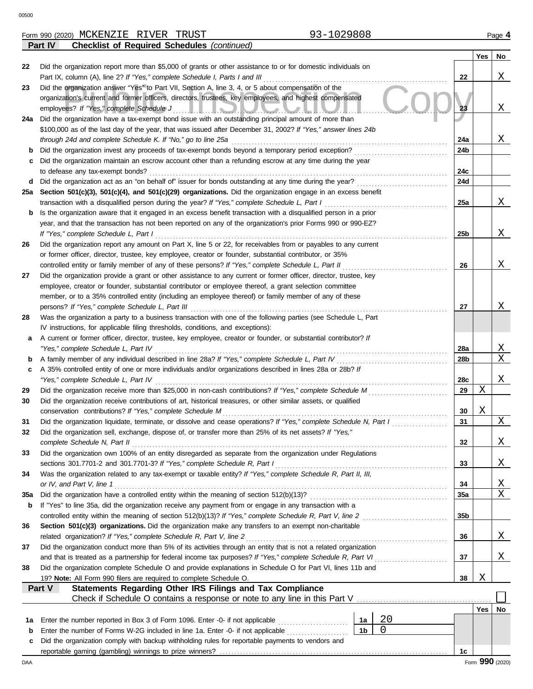|     | <b>Checklist of Required Schedules (continued)</b><br><b>Part IV</b>                                                                                              |            |     |                 |  |  |  |  |  |  |
|-----|-------------------------------------------------------------------------------------------------------------------------------------------------------------------|------------|-----|-----------------|--|--|--|--|--|--|
|     |                                                                                                                                                                   |            | Yes | No              |  |  |  |  |  |  |
| 22  | Did the organization report more than \$5,000 of grants or other assistance to or for domestic individuals on                                                     |            |     |                 |  |  |  |  |  |  |
|     | Part IX, column (A), line 2? If "Yes," complete Schedule I, Parts I and III                                                                                       | 22         |     | Χ               |  |  |  |  |  |  |
| 23  | Did the organization answer "Yes" to Part VII, Section A, line 3, 4, or 5 about compensation of the                                                               |            |     |                 |  |  |  |  |  |  |
|     | organization's current and former officers, directors, trustees, key employees, and highest compensated                                                           |            |     |                 |  |  |  |  |  |  |
|     | employees? If "Yes," complete Schedule J<br><u>LIJUVULIV</u>                                                                                                      |            |     |                 |  |  |  |  |  |  |
| 24a | Did the organization have a tax-exempt bond issue with an outstanding principal amount of more than                                                               |            |     |                 |  |  |  |  |  |  |
|     | \$100,000 as of the last day of the year, that was issued after December 31, 2002? If "Yes," answer lines 24b                                                     |            |     | Χ               |  |  |  |  |  |  |
| b   | through 24d and complete Schedule K. If "No," go to line 25a<br>Did the organization invest any proceeds of tax-exempt bonds beyond a temporary period exception? | 24a<br>24b |     |                 |  |  |  |  |  |  |
| c   | Did the organization maintain an escrow account other than a refunding escrow at any time during the year                                                         |            |     |                 |  |  |  |  |  |  |
|     | to defease any tax-exempt bonds?                                                                                                                                  | 24c        |     |                 |  |  |  |  |  |  |
| d   | Did the organization act as an "on behalf of" issuer for bonds outstanding at any time during the year?                                                           | 24d        |     |                 |  |  |  |  |  |  |
| 25а | Section 501(c)(3), 501(c)(4), and 501(c)(29) organizations. Did the organization engage in an excess benefit                                                      |            |     |                 |  |  |  |  |  |  |
|     | transaction with a disqualified person during the year? If "Yes," complete Schedule L, Part I                                                                     | 25a        |     | Χ               |  |  |  |  |  |  |
| b   | Is the organization aware that it engaged in an excess benefit transaction with a disqualified person in a prior                                                  |            |     |                 |  |  |  |  |  |  |
|     | year, and that the transaction has not been reported on any of the organization's prior Forms 990 or 990-EZ?                                                      |            |     |                 |  |  |  |  |  |  |
|     | If "Yes," complete Schedule L, Part I                                                                                                                             | 25b        |     | Χ               |  |  |  |  |  |  |
| 26  | Did the organization report any amount on Part X, line 5 or 22, for receivables from or payables to any current                                                   |            |     |                 |  |  |  |  |  |  |
|     | or former officer, director, trustee, key employee, creator or founder, substantial contributor, or 35%                                                           |            |     |                 |  |  |  |  |  |  |
|     | controlled entity or family member of any of these persons? If "Yes," complete Schedule L, Part II                                                                | 26         |     | Χ               |  |  |  |  |  |  |
| 27  | Did the organization provide a grant or other assistance to any current or former officer, director, trustee, key                                                 |            |     |                 |  |  |  |  |  |  |
|     | employee, creator or founder, substantial contributor or employee thereof, a grant selection committee                                                            |            |     |                 |  |  |  |  |  |  |
|     | member, or to a 35% controlled entity (including an employee thereof) or family member of any of these                                                            |            |     |                 |  |  |  |  |  |  |
|     | persons? If "Yes," complete Schedule L, Part III                                                                                                                  | 27         |     | Χ               |  |  |  |  |  |  |
| 28  | Was the organization a party to a business transaction with one of the following parties (see Schedule L, Part                                                    |            |     |                 |  |  |  |  |  |  |
|     | IV instructions, for applicable filing thresholds, conditions, and exceptions):                                                                                   |            |     |                 |  |  |  |  |  |  |
| а   | A current or former officer, director, trustee, key employee, creator or founder, or substantial contributor? If                                                  |            |     |                 |  |  |  |  |  |  |
|     | "Yes," complete Schedule L, Part IV                                                                                                                               | 28a        |     | Χ               |  |  |  |  |  |  |
| b   | A family member of any individual described in line 28a? If "Yes," complete Schedule L, Part IV                                                                   | 28b        |     | Χ               |  |  |  |  |  |  |
| c   | A 35% controlled entity of one or more individuals and/or organizations described in lines 28a or 28b? If<br>"Yes," complete Schedule L, Part IV                  |            |     | Χ               |  |  |  |  |  |  |
| 29  | Did the organization receive more than \$25,000 in non-cash contributions? If "Yes," complete Schedule M                                                          | 28c<br>29  | Χ   |                 |  |  |  |  |  |  |
| 30  | .<br>Did the organization receive contributions of art, historical treasures, or other similar assets, or qualified                                               |            |     |                 |  |  |  |  |  |  |
|     | conservation contributions? If "Yes," complete Schedule M                                                                                                         | 30         | Χ   |                 |  |  |  |  |  |  |
| 31  | Did the organization liquidate, terminate, or dissolve and cease operations? If "Yes," complete Schedule N, Part I                                                | 31         |     | Χ               |  |  |  |  |  |  |
| 32  | Did the organization sell, exchange, dispose of, or transfer more than 25% of its net assets? If "Yes,"                                                           |            |     |                 |  |  |  |  |  |  |
|     | complete Schedule N, Part II                                                                                                                                      | 32         |     | Χ               |  |  |  |  |  |  |
| 33  | Did the organization own 100% of an entity disregarded as separate from the organization under Regulations                                                        |            |     |                 |  |  |  |  |  |  |
|     | sections 301.7701-2 and 301.7701-3? If "Yes," complete Schedule R, Part I                                                                                         | 33         |     | Χ               |  |  |  |  |  |  |
| 34  | Was the organization related to any tax-exempt or taxable entity? If "Yes," complete Schedule R, Part II, III,                                                    |            |     |                 |  |  |  |  |  |  |
|     | or IV, and Part V, line 1                                                                                                                                         | 34         |     | $\mathbf X$     |  |  |  |  |  |  |
| 35a | Did the organization have a controlled entity within the meaning of section 512(b)(13)?                                                                           | 35a        |     | Χ               |  |  |  |  |  |  |
| b   | If "Yes" to line 35a, did the organization receive any payment from or engage in any transaction with a                                                           |            |     |                 |  |  |  |  |  |  |
|     | controlled entity within the meaning of section 512(b)(13)? If "Yes," complete Schedule R, Part V, line 2                                                         |            |     |                 |  |  |  |  |  |  |
| 36  | Section 501(c)(3) organizations. Did the organization make any transfers to an exempt non-charitable                                                              |            |     |                 |  |  |  |  |  |  |
|     | related organization? If "Yes," complete Schedule R, Part V, line 2                                                                                               | 36         |     | Χ               |  |  |  |  |  |  |
| 37  | Did the organization conduct more than 5% of its activities through an entity that is not a related organization                                                  |            |     |                 |  |  |  |  |  |  |
|     | and that is treated as a partnership for federal income tax purposes? If "Yes," complete Schedule R, Part VI                                                      | 37         |     | Χ               |  |  |  |  |  |  |
| 38  | Did the organization complete Schedule O and provide explanations in Schedule O for Part VI, lines 11b and                                                        |            |     |                 |  |  |  |  |  |  |
|     | 19? Note: All Form 990 filers are required to complete Schedule O.<br>Statements Regarding Other IRS Filings and Tax Compliance<br>Part V                         | 38         | Χ   |                 |  |  |  |  |  |  |
|     |                                                                                                                                                                   |            |     |                 |  |  |  |  |  |  |
|     |                                                                                                                                                                   |            | Yes | No              |  |  |  |  |  |  |
| 1а  | 20<br>Enter the number reported in Box 3 of Form 1096. Enter -0- if not applicable<br>1a                                                                          |            |     |                 |  |  |  |  |  |  |
| b   | $\mathbf 0$<br>1 <sub>b</sub><br>Enter the number of Forms W-2G included in line 1a. Enter -0- if not applicable                                                  |            |     |                 |  |  |  |  |  |  |
| c   | Did the organization comply with backup withholding rules for reportable payments to vendors and                                                                  |            |     |                 |  |  |  |  |  |  |
|     |                                                                                                                                                                   | 1c         |     |                 |  |  |  |  |  |  |
| DAA |                                                                                                                                                                   |            |     | Form 990 (2020) |  |  |  |  |  |  |

MCKENZIE RIVER TRUST 193-1029808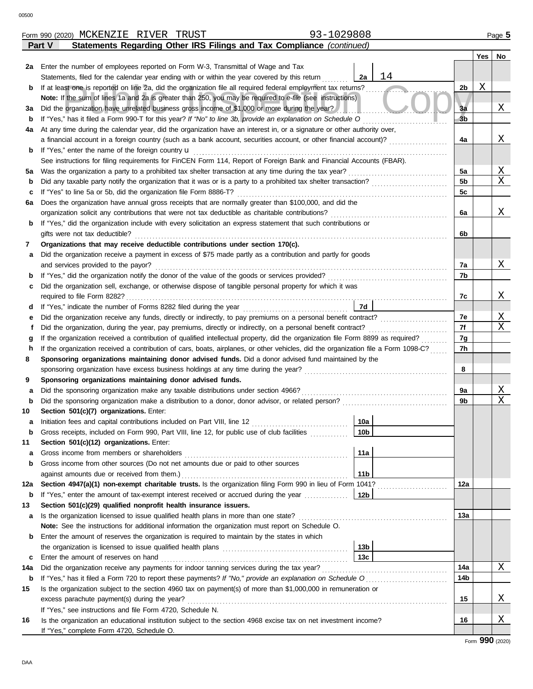|     | Statements Regarding Other IRS Filings and Tax Compliance (continued)<br>Part V                                                         |                 |          |     |                             |  |  |  |  |  |  |  |
|-----|-----------------------------------------------------------------------------------------------------------------------------------------|-----------------|----------|-----|-----------------------------|--|--|--|--|--|--|--|
|     |                                                                                                                                         |                 |          | Yes | No                          |  |  |  |  |  |  |  |
|     | 2a Enter the number of employees reported on Form W-3, Transmittal of Wage and Tax                                                      |                 |          |     |                             |  |  |  |  |  |  |  |
|     | 14<br>2a<br>Statements, filed for the calendar year ending with or within the year covered by this return                               |                 |          |     |                             |  |  |  |  |  |  |  |
| b   | If at least one is reported on line 2a, did the organization file all required federal employment tax returns?                          |                 |          |     |                             |  |  |  |  |  |  |  |
|     | Note: If the sum of lines 1a and 2a is greater than 250, you may be required to e-file (see instructions)                               |                 |          |     |                             |  |  |  |  |  |  |  |
| За  | Did the organization have unrelated business gross income of \$1,000 or more during the year?                                           |                 |          |     |                             |  |  |  |  |  |  |  |
| b   | If "Yes," has it filed a Form 990-T for this year? If "No" to line 3b, provide an explanation on Schedule O                             |                 |          |     |                             |  |  |  |  |  |  |  |
| 4a  | At any time during the calendar year, did the organization have an interest in, or a signature or other authority over,                 |                 |          |     |                             |  |  |  |  |  |  |  |
|     | a financial account in a foreign country (such as a bank account, securities account, or other financial account)?                      |                 |          |     |                             |  |  |  |  |  |  |  |
| b   | If "Yes," enter the name of the foreign country u                                                                                       |                 |          |     |                             |  |  |  |  |  |  |  |
|     | See instructions for filing requirements for FinCEN Form 114, Report of Foreign Bank and Financial Accounts (FBAR).                     |                 |          |     |                             |  |  |  |  |  |  |  |
| 5a  | Was the organization a party to a prohibited tax shelter transaction at any time during the tax year?                                   |                 | 5a       |     | $\mathbf{X}$                |  |  |  |  |  |  |  |
| b   |                                                                                                                                         |                 | 5b       |     | $\mathbf X$                 |  |  |  |  |  |  |  |
| c   | If "Yes" to line 5a or 5b, did the organization file Form 8886-T?                                                                       |                 | 5c       |     |                             |  |  |  |  |  |  |  |
| 6а  | Does the organization have annual gross receipts that are normally greater than \$100,000, and did the                                  |                 |          |     |                             |  |  |  |  |  |  |  |
|     | organization solicit any contributions that were not tax deductible as charitable contributions?                                        |                 | 6a       |     | Χ                           |  |  |  |  |  |  |  |
| b   | If "Yes," did the organization include with every solicitation an express statement that such contributions or                          |                 |          |     |                             |  |  |  |  |  |  |  |
|     | gifts were not tax deductible?                                                                                                          |                 | 6b       |     |                             |  |  |  |  |  |  |  |
| 7   | Organizations that may receive deductible contributions under section 170(c).                                                           |                 |          |     |                             |  |  |  |  |  |  |  |
| а   | Did the organization receive a payment in excess of \$75 made partly as a contribution and partly for goods                             |                 |          |     |                             |  |  |  |  |  |  |  |
|     | and services provided to the payor?                                                                                                     |                 | 7а<br>7b |     | Χ                           |  |  |  |  |  |  |  |
|     | If "Yes," did the organization notify the donor of the value of the goods or services provided?<br>b                                    |                 |          |     |                             |  |  |  |  |  |  |  |
|     | Did the organization sell, exchange, or otherwise dispose of tangible personal property for which it was<br>с                           |                 |          |     |                             |  |  |  |  |  |  |  |
|     | required to file Form 8282?<br>7d                                                                                                       |                 |          |     |                             |  |  |  |  |  |  |  |
| d   | Did the organization receive any funds, directly or indirectly, to pay premiums on a personal benefit contract?                         |                 |          |     |                             |  |  |  |  |  |  |  |
|     | е<br>Did the organization, during the year, pay premiums, directly or indirectly, on a personal benefit contract?<br>f                  |                 |          |     |                             |  |  |  |  |  |  |  |
|     | If the organization received a contribution of qualified intellectual property, did the organization file Form 8899 as required?<br>g   |                 |          |     |                             |  |  |  |  |  |  |  |
|     | If the organization received a contribution of cars, boats, airplanes, or other vehicles, did the organization file a Form 1098-C?<br>h |                 |          |     |                             |  |  |  |  |  |  |  |
|     | Sponsoring organizations maintaining donor advised funds. Did a donor advised fund maintained by the<br>8                               |                 |          |     |                             |  |  |  |  |  |  |  |
|     | sponsoring organization have excess business holdings at any time during the year?                                                      |                 |          |     |                             |  |  |  |  |  |  |  |
| 9   | Sponsoring organizations maintaining donor advised funds.                                                                               |                 |          |     |                             |  |  |  |  |  |  |  |
| а   | Did the sponsoring organization make any taxable distributions under section 4966?                                                      |                 |          |     |                             |  |  |  |  |  |  |  |
| b   | Did the sponsoring organization make a distribution to a donor, donor advisor, or related person?                                       |                 | 9a<br>9b |     | $\mathbf{X}$<br>$\mathbf X$ |  |  |  |  |  |  |  |
| 10  | Section 501(c)(7) organizations. Enter:                                                                                                 |                 |          |     |                             |  |  |  |  |  |  |  |
| а   | Initiation fees and capital contributions included on Part VIII, line 12 [11] [11] [12] [11] [12] [11] [12] [1                          | 10a             |          |     |                             |  |  |  |  |  |  |  |
|     | Gross receipts, included on Form 990, Part VIII, line 12, for public use of club facilities                                             | 10 <sub>b</sub> |          |     |                             |  |  |  |  |  |  |  |
| 11  | Section 501(c)(12) organizations. Enter:                                                                                                |                 |          |     |                             |  |  |  |  |  |  |  |
| а   | Gross income from members or shareholders                                                                                               | 11a             |          |     |                             |  |  |  |  |  |  |  |
| b   | Gross income from other sources (Do not net amounts due or paid to other sources                                                        |                 |          |     |                             |  |  |  |  |  |  |  |
|     | 11 <sub>b</sub><br>against amounts due or received from them.)                                                                          |                 |          |     |                             |  |  |  |  |  |  |  |
| 12a | Section 4947(a)(1) non-exempt charitable trusts. Is the organization filing Form 990 in lieu of Form 1041?                              |                 |          |     |                             |  |  |  |  |  |  |  |
| b   | If "Yes," enter the amount of tax-exempt interest received or accrued during the year<br>12b                                            |                 |          |     |                             |  |  |  |  |  |  |  |
| 13  | Section 501(c)(29) qualified nonprofit health insurance issuers.                                                                        |                 |          |     |                             |  |  |  |  |  |  |  |
| а   | Is the organization licensed to issue qualified health plans in more than one state?                                                    |                 | 13a      |     |                             |  |  |  |  |  |  |  |
|     | Note: See the instructions for additional information the organization must report on Schedule O.                                       |                 |          |     |                             |  |  |  |  |  |  |  |
| b   | Enter the amount of reserves the organization is required to maintain by the states in which                                            |                 |          |     |                             |  |  |  |  |  |  |  |
|     | 13 <sub>b</sub>                                                                                                                         |                 |          |     |                             |  |  |  |  |  |  |  |
| c   | Enter the amount of reserves on hand                                                                                                    | 13 <sub>c</sub> |          |     |                             |  |  |  |  |  |  |  |
| 14a | Did the organization receive any payments for indoor tanning services during the tax year?                                              |                 | 14a      |     | Χ                           |  |  |  |  |  |  |  |
| b   | If "Yes," has it filed a Form 720 to report these payments? If "No," provide an explanation on Schedule O                               |                 | 14b      |     |                             |  |  |  |  |  |  |  |
| 15  | Is the organization subject to the section 4960 tax on payment(s) of more than \$1,000,000 in remuneration or                           |                 |          |     |                             |  |  |  |  |  |  |  |
|     | excess parachute payment(s) during the year?                                                                                            |                 | 15       |     | Χ                           |  |  |  |  |  |  |  |
|     | If "Yes," see instructions and file Form 4720, Schedule N.                                                                              |                 |          |     |                             |  |  |  |  |  |  |  |
| 16  | Is the organization an educational institution subject to the section 4968 excise tax on net investment income?                         |                 | 16       |     | Χ                           |  |  |  |  |  |  |  |
|     | If "Yes," complete Form 4720, Schedule O.                                                                                               |                 |          |     |                             |  |  |  |  |  |  |  |

Form 990 (2020) Page **5** MCKENZIE RIVER TRUST 93-1029808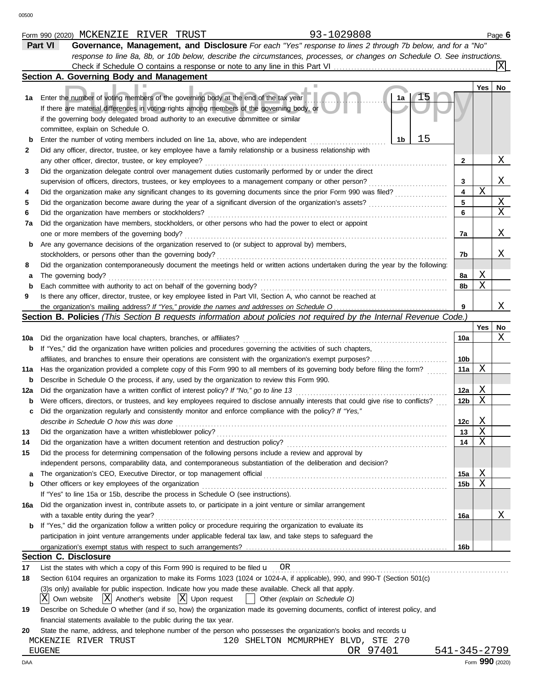|     | Part VI<br>Governance, Management, and Disclosure For each "Yes" response to lines 2 through 7b below, and for a "No"               |                         |             |                 |
|-----|-------------------------------------------------------------------------------------------------------------------------------------|-------------------------|-------------|-----------------|
|     | response to line 8a, 8b, or 10b below, describe the circumstances, processes, or changes on Schedule O. See instructions.           |                         |             |                 |
|     |                                                                                                                                     |                         |             |                 |
|     | Section A. Governing Body and Management                                                                                            |                         |             |                 |
|     |                                                                                                                                     |                         | Yes         | No              |
| 1а  | Enter the number of voting members of the governing body at the end of the tax year<br>1a                                           |                         |             |                 |
|     | If there are material differences in voting rights among members of the governing body, or                                          |                         |             |                 |
|     | if the governing body delegated broad authority to an executive committee or similar                                                |                         |             |                 |
|     | committee, explain on Schedule O.                                                                                                   |                         |             |                 |
| b   | 15<br>1b<br>Enter the number of voting members included on line 1a, above, who are independent                                      |                         |             |                 |
| 2   | Did any officer, director, trustee, or key employee have a family relationship or a business relationship with                      |                         |             |                 |
|     | any other officer, director, trustee, or key employee?                                                                              | 2                       |             | Χ               |
| 3   | Did the organization delegate control over management duties customarily performed by or under the direct                           |                         |             |                 |
|     | supervision of officers, directors, trustees, or key employees to a management company or other person?                             | 3                       |             | Χ               |
| 4   | Did the organization make any significant changes to its governing documents since the prior Form 990 was filed?                    | $\overline{\mathbf{4}}$ | $\mathbf X$ |                 |
| 5   |                                                                                                                                     | 5                       |             | Χ               |
|     | Did the organization have members or stockholders?                                                                                  | 6                       |             | X               |
| 7a  | Did the organization have members, stockholders, or other persons who had the power to elect or appoint                             |                         |             |                 |
|     | one or more members of the governing body?                                                                                          | 7a                      |             | Χ               |
| b   | Are any governance decisions of the organization reserved to (or subject to approval by) members,                                   |                         |             |                 |
|     | stockholders, or persons other than the governing body?                                                                             | 7b                      |             | Χ               |
| 8   | Did the organization contemporaneously document the meetings held or written actions undertaken during the year by the following:   |                         | Χ           |                 |
| а   | The governing body?<br>Each committee with authority to act on behalf of the governing body?                                        | 8a<br>8b                | X           |                 |
| b   |                                                                                                                                     |                         |             |                 |
| 9   | Is there any officer, director, trustee, or key employee listed in Part VII, Section A, who cannot be reached at                    | 9                       |             | Χ               |
|     | Section B. Policies (This Section B requests information about policies not required by the Internal Revenue Code.)                 |                         |             |                 |
|     |                                                                                                                                     |                         | Yes         | No              |
| 10a | Did the organization have local chapters, branches, or affiliates?                                                                  | 10a                     |             | Χ               |
| b   | If "Yes," did the organization have written policies and procedures governing the activities of such chapters,                      |                         |             |                 |
|     | affiliates, and branches to ensure their operations are consistent with the organization's exempt purposes?                         | 10 <sub>b</sub>         |             |                 |
| 11a | Has the organization provided a complete copy of this Form 990 to all members of its governing body before filing the form?         | 11a                     | Χ           |                 |
| b   | Describe in Schedule O the process, if any, used by the organization to review this Form 990.                                       |                         |             |                 |
| 12a | Did the organization have a written conflict of interest policy? If "No," go to line 13                                             | 12a                     | Χ           |                 |
| b   | Were officers, directors, or trustees, and key employees required to disclose annually interests that could give rise to conflicts? | 12 <sub>b</sub>         | X           |                 |
| c   | Did the organization regularly and consistently monitor and enforce compliance with the policy? If "Yes,"                           |                         |             |                 |
|     | describe in Schedule O how this was done                                                                                            | 12c                     | Χ           |                 |
| 13  | Did the organization have a written whistleblower policy?                                                                           | 13                      | Y.          |                 |
| 14  | Did the organization have a written document retention and destruction policy?                                                      | 14                      | Χ           |                 |
| 15  | Did the process for determining compensation of the following persons include a review and approval by                              |                         |             |                 |
|     | independent persons, comparability data, and contemporaneous substantiation of the deliberation and decision?                       |                         |             |                 |
|     |                                                                                                                                     | 15a                     | Χ           |                 |
| b   | Other officers or key employees of the organization                                                                                 | 15b                     | Χ           |                 |
|     | If "Yes" to line 15a or 15b, describe the process in Schedule O (see instructions).                                                 |                         |             |                 |
| 16a | Did the organization invest in, contribute assets to, or participate in a joint venture or similar arrangement                      |                         |             |                 |
|     | with a taxable entity during the year?                                                                                              | 16a                     |             | Χ               |
| b   | If "Yes," did the organization follow a written policy or procedure requiring the organization to evaluate its                      |                         |             |                 |
|     | participation in joint venture arrangements under applicable federal tax law, and take steps to safeguard the                       |                         |             |                 |
|     |                                                                                                                                     | 16b                     |             |                 |
|     | <b>Section C. Disclosure</b>                                                                                                        |                         |             |                 |
| 17  | List the states with which a copy of this Form 990 is required to be filed $\mathbf{u}$ OR                                          |                         |             |                 |
| 18  | Section 6104 requires an organization to make its Forms 1023 (1024 or 1024-A, if applicable), 990, and 990-T (Section 501(c)        |                         |             |                 |
|     | (3)s only) available for public inspection. Indicate how you made these available. Check all that apply.                            |                         |             |                 |
|     | $ X $ Another's website $ X $ Upon request<br>Own website<br>Other (explain on Schedule O)                                          |                         |             |                 |
| 19  | Describe on Schedule O whether (and if so, how) the organization made its governing documents, conflict of interest policy, and     |                         |             |                 |
|     | financial statements available to the public during the tax year.                                                                   |                         |             |                 |
| 20  | State the name, address, and telephone number of the person who possesses the organization's books and records u                    |                         |             |                 |
|     | 120 SHELTON MCMURPHEY BLVD, STE 270<br>MCKENZIE RIVER TRUST                                                                         |                         |             |                 |
|     | OR 97401<br>EUGENE                                                                                                                  | 541-345-2799            |             |                 |
| DAA |                                                                                                                                     |                         |             | Form 990 (2020) |

Form 990 (2020) Page **6** MCKENZIE RIVER TRUST 93-1029808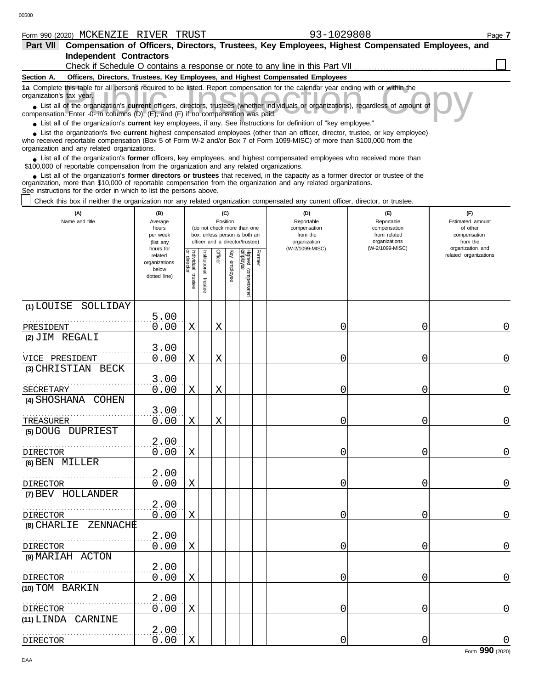|  | Form | 990 (2020) | MCKENZIE | תהזדר<br>VLIN<br>고고 | <b>TUDITOT</b><br>ד כחש | 0000<br>70 U C | Page |
|--|------|------------|----------|---------------------|-------------------------|----------------|------|
|--|------|------------|----------|---------------------|-------------------------|----------------|------|

| <b>Independent Contractors</b>                                                                                                                                                                                                                                                                                                                                                                                                                                                                                                                          |                                                               |                       |                      |          |                 |                                                                                                 |        | Check if Schedule O contains a response or note to any line in this Part VII     |                                                                                       |                                                                                     |
|---------------------------------------------------------------------------------------------------------------------------------------------------------------------------------------------------------------------------------------------------------------------------------------------------------------------------------------------------------------------------------------------------------------------------------------------------------------------------------------------------------------------------------------------------------|---------------------------------------------------------------|-----------------------|----------------------|----------|-----------------|-------------------------------------------------------------------------------------------------|--------|----------------------------------------------------------------------------------|---------------------------------------------------------------------------------------|-------------------------------------------------------------------------------------|
| Section A.                                                                                                                                                                                                                                                                                                                                                                                                                                                                                                                                              |                                                               |                       |                      |          |                 |                                                                                                 |        | Officers, Directors, Trustees, Key Employees, and Highest Compensated Employees  |                                                                                       |                                                                                     |
| 1a Complete this table for all persons required to be listed. Report compensation for the calendar year ending with or within the<br>organization's tax year.<br>List all of the organization's current officers, directors, trustees (whether individuals or organizations), regardless of amount of<br>compensation. Enter -0- in columns (D), (E), and (F) if no compensation was paid.<br>• List all of the organization's current key employees, if any. See instructions for definition of "key employee."                                        |                                                               |                       |                      |          |                 |                                                                                                 |        |                                                                                  |                                                                                       |                                                                                     |
| • List the organization's five current highest compensated employees (other than an officer, director, trustee, or key employee)<br>who received reportable compensation (Box 5 of Form W-2 and/or Box 7 of Form 1099-MISC) of more than \$100,000 from the<br>organization and any related organizations.                                                                                                                                                                                                                                              |                                                               |                       |                      |          |                 |                                                                                                 |        |                                                                                  |                                                                                       |                                                                                     |
| • List all of the organization's former officers, key employees, and highest compensated employees who received more than<br>\$100,000 of reportable compensation from the organization and any related organizations.<br>• List all of the organization's former directors or trustees that received, in the capacity as a former director or trustee of the<br>organization, more than \$10,000 of reportable compensation from the organization and any related organizations.<br>See instructions for the order in which to list the persons above. |                                                               |                       |                      |          |                 |                                                                                                 |        |                                                                                  |                                                                                       |                                                                                     |
| Check this box if neither the organization nor any related organization compensated any current officer, director, or trustee.                                                                                                                                                                                                                                                                                                                                                                                                                          |                                                               |                       |                      |          |                 |                                                                                                 |        |                                                                                  |                                                                                       |                                                                                     |
| (A)<br>Name and title                                                                                                                                                                                                                                                                                                                                                                                                                                                                                                                                   | (B)<br>Average<br>hours<br>per week<br>(list any<br>hours for |                       |                      | Position | (C)             | (do not check more than one<br>box, unless person is both an<br>officer and a director/trustee) |        | (D)<br>Reportable<br>compensation<br>from the<br>organization<br>(W-2/1099-MISC) | (E)<br>Reportable<br>compensation<br>from related<br>organizations<br>(W-2/1099-MISC) | (F)<br>Estimated amount<br>of other<br>compensation<br>from the<br>organization and |
|                                                                                                                                                                                                                                                                                                                                                                                                                                                                                                                                                         | related<br>organizations<br>below<br>dotted line)             | Individual<br>trustee | nstitutional trustee | Officer  | Key<br>employee | Highest compensated<br>employee                                                                 | Former |                                                                                  |                                                                                       | related organizations                                                               |
| (1) LOUISE<br>SOLLIDAY                                                                                                                                                                                                                                                                                                                                                                                                                                                                                                                                  | 5.00                                                          |                       |                      |          |                 |                                                                                                 |        |                                                                                  |                                                                                       |                                                                                     |
| PRESIDENT                                                                                                                                                                                                                                                                                                                                                                                                                                                                                                                                               | 0.00                                                          | Χ                     |                      | Χ        |                 |                                                                                                 |        | 0                                                                                | 0                                                                                     | 0                                                                                   |
| (2) JIM REGALI                                                                                                                                                                                                                                                                                                                                                                                                                                                                                                                                          |                                                               |                       |                      |          |                 |                                                                                                 |        |                                                                                  |                                                                                       |                                                                                     |
| VICE PRESIDENT                                                                                                                                                                                                                                                                                                                                                                                                                                                                                                                                          | 3.00<br>0.00                                                  | Χ                     |                      | Χ        |                 |                                                                                                 |        | 0                                                                                | 0                                                                                     | 0                                                                                   |
| (3) CHRISTIAN<br>BECK                                                                                                                                                                                                                                                                                                                                                                                                                                                                                                                                   | 3.00                                                          |                       |                      |          |                 |                                                                                                 |        |                                                                                  |                                                                                       |                                                                                     |
| SECRETARY<br>(4) SHOSHANA<br>COHEN                                                                                                                                                                                                                                                                                                                                                                                                                                                                                                                      | 0.00                                                          | Χ                     |                      | Χ        |                 |                                                                                                 |        | 0                                                                                | 0                                                                                     | 0                                                                                   |
|                                                                                                                                                                                                                                                                                                                                                                                                                                                                                                                                                         | 3.00                                                          |                       |                      |          |                 |                                                                                                 |        |                                                                                  |                                                                                       |                                                                                     |
| TREASURER                                                                                                                                                                                                                                                                                                                                                                                                                                                                                                                                               | 0.00                                                          | Χ                     |                      | Χ        |                 |                                                                                                 |        | 0                                                                                | 0                                                                                     | 0                                                                                   |
| (5) DOUG DUPRIEST                                                                                                                                                                                                                                                                                                                                                                                                                                                                                                                                       | 2.00                                                          |                       |                      |          |                 |                                                                                                 |        |                                                                                  |                                                                                       |                                                                                     |
| DIRECTOR<br>(6) BEN MILLER                                                                                                                                                                                                                                                                                                                                                                                                                                                                                                                              | 0.00                                                          | Χ                     |                      |          |                 |                                                                                                 |        | 0                                                                                | 0                                                                                     | 0                                                                                   |
|                                                                                                                                                                                                                                                                                                                                                                                                                                                                                                                                                         | 2.00                                                          |                       |                      |          |                 |                                                                                                 |        |                                                                                  |                                                                                       |                                                                                     |
| <b>DIRECTOR</b>                                                                                                                                                                                                                                                                                                                                                                                                                                                                                                                                         | 0.00                                                          | Χ                     |                      |          |                 |                                                                                                 |        | 0                                                                                | 0                                                                                     | 0                                                                                   |
| (7) BEV HOLLANDER                                                                                                                                                                                                                                                                                                                                                                                                                                                                                                                                       | 2.00                                                          |                       |                      |          |                 |                                                                                                 |        |                                                                                  |                                                                                       |                                                                                     |
| <b>DIRECTOR</b>                                                                                                                                                                                                                                                                                                                                                                                                                                                                                                                                         | 0.00                                                          | Χ                     |                      |          |                 |                                                                                                 |        | 0                                                                                | 0                                                                                     | $\boldsymbol{0}$                                                                    |
| (8) CHARLIE<br>ZENNACHE                                                                                                                                                                                                                                                                                                                                                                                                                                                                                                                                 |                                                               |                       |                      |          |                 |                                                                                                 |        |                                                                                  |                                                                                       |                                                                                     |
|                                                                                                                                                                                                                                                                                                                                                                                                                                                                                                                                                         | 2.00                                                          |                       |                      |          |                 |                                                                                                 |        |                                                                                  |                                                                                       |                                                                                     |
| <b>DIRECTOR</b><br>(9) MARIAH ACTON                                                                                                                                                                                                                                                                                                                                                                                                                                                                                                                     | 0.00                                                          | Χ                     |                      |          |                 |                                                                                                 |        | 0                                                                                | 0                                                                                     | $\boldsymbol{0}$                                                                    |
|                                                                                                                                                                                                                                                                                                                                                                                                                                                                                                                                                         | 2.00                                                          |                       |                      |          |                 |                                                                                                 |        |                                                                                  |                                                                                       |                                                                                     |
| <b>DIRECTOR</b>                                                                                                                                                                                                                                                                                                                                                                                                                                                                                                                                         | 0.00                                                          | Χ                     |                      |          |                 |                                                                                                 |        | 0                                                                                | 0                                                                                     | 0                                                                                   |
| (10) TOM BARKIN                                                                                                                                                                                                                                                                                                                                                                                                                                                                                                                                         | 2.00                                                          |                       |                      |          |                 |                                                                                                 |        |                                                                                  |                                                                                       |                                                                                     |
| <b>DIRECTOR</b>                                                                                                                                                                                                                                                                                                                                                                                                                                                                                                                                         | 0.00                                                          | Χ                     |                      |          |                 |                                                                                                 |        | 0                                                                                | 0                                                                                     | 0                                                                                   |
| (11) LINDA CARNINE                                                                                                                                                                                                                                                                                                                                                                                                                                                                                                                                      |                                                               |                       |                      |          |                 |                                                                                                 |        |                                                                                  |                                                                                       |                                                                                     |
| <b>DIRECTOR</b>                                                                                                                                                                                                                                                                                                                                                                                                                                                                                                                                         | 2.00<br>0.00                                                  | Χ                     |                      |          |                 |                                                                                                 |        | 0                                                                                | 0                                                                                     | $\mathsf{O}$                                                                        |

**Part VII Compensation of Officers, Directors, Trustees, Key Employees, Highest Compensated Employees, and**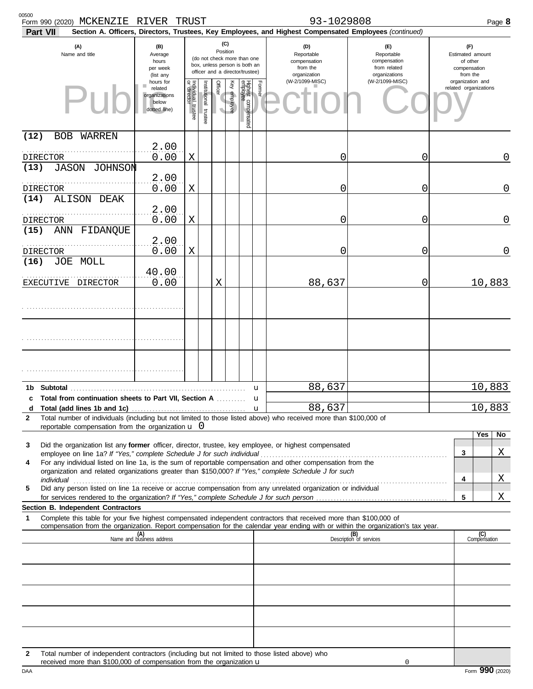| <b>Part VII</b>         | Form 990 (2020) MCKENZIE RIVER TRUST                                                                                                                                  |                                                                |                                                                                                                    |                       |                                                               |              |                                                                    |                                                                 | 93-1029808<br>Section A. Officers, Directors, Trustees, Key Employees, and Highest Compensated Employees (continued)                                                                                                                                                                                                                                                                                                                           |                                | Page 8                                    |
|-------------------------|-----------------------------------------------------------------------------------------------------------------------------------------------------------------------|----------------------------------------------------------------|--------------------------------------------------------------------------------------------------------------------|-----------------------|---------------------------------------------------------------|--------------|--------------------------------------------------------------------|-----------------------------------------------------------------|------------------------------------------------------------------------------------------------------------------------------------------------------------------------------------------------------------------------------------------------------------------------------------------------------------------------------------------------------------------------------------------------------------------------------------------------|--------------------------------|-------------------------------------------|
|                         | (A)<br>(B)<br>Name and title<br>Average<br>hours<br>per week<br>(list any                                                                                             |                                                                | (C)<br>Position<br>(do not check more than one<br>box, unless person is both an<br>officer and a director/trustee) |                       | (D)<br>Reportable<br>compensation<br>from the<br>organization |              | (E)<br>Reportable<br>compensation<br>from related<br>organizations | (F)<br>Estimated amount<br>of other<br>compensation<br>from the |                                                                                                                                                                                                                                                                                                                                                                                                                                                |                                |                                           |
|                         |                                                                                                                                                                       | hours for<br>related<br>organizations<br>below<br>dotted line) | Individual<br>or director<br>trustee                                                                               | Institutional trustee | Officer<br>$\overline{\phantom{a}}$                           | Key employee | <b>Highest</b> cc<br>employee<br>compensated                       | Former                                                          | (W-2/1099-MISC)                                                                                                                                                                                                                                                                                                                                                                                                                                | (W-2/1099-MISC)                | organization and<br>related organizations |
| (12)<br>BOB             | WARREN                                                                                                                                                                |                                                                |                                                                                                                    |                       |                                                               |              |                                                                    |                                                                 |                                                                                                                                                                                                                                                                                                                                                                                                                                                |                                |                                           |
| <b>DIRECTOR</b><br>(13) | JASON JOHNSON                                                                                                                                                         | 2.00<br>0.00                                                   | Χ                                                                                                                  |                       |                                                               |              |                                                                    |                                                                 | 0                                                                                                                                                                                                                                                                                                                                                                                                                                              | 0                              | 0                                         |
| <b>DIRECTOR</b>         |                                                                                                                                                                       | 2.00<br>0.00                                                   | Χ                                                                                                                  |                       |                                                               |              |                                                                    |                                                                 | 0                                                                                                                                                                                                                                                                                                                                                                                                                                              | 0                              | 0                                         |
| (14)                    | ALISON DEAK                                                                                                                                                           | 2.00                                                           |                                                                                                                    |                       |                                                               |              |                                                                    |                                                                 |                                                                                                                                                                                                                                                                                                                                                                                                                                                |                                |                                           |
| <b>DIRECTOR</b><br>(15) | ANN FIDANQUE                                                                                                                                                          | 0.00<br>2.00                                                   | Χ                                                                                                                  |                       |                                                               |              |                                                                    |                                                                 | 0                                                                                                                                                                                                                                                                                                                                                                                                                                              | 0                              | 0                                         |
| <b>DIRECTOR</b><br>(16) | JOE MOLL                                                                                                                                                              | 0.00                                                           | Χ                                                                                                                  |                       |                                                               |              |                                                                    |                                                                 | 0                                                                                                                                                                                                                                                                                                                                                                                                                                              | 0                              | 0                                         |
|                         | EXECUTIVE DIRECTOR                                                                                                                                                    | 40.00<br>0.00                                                  |                                                                                                                    |                       | X                                                             |              |                                                                    |                                                                 | 88,637                                                                                                                                                                                                                                                                                                                                                                                                                                         | 0                              | 10,883                                    |
|                         |                                                                                                                                                                       |                                                                |                                                                                                                    |                       |                                                               |              |                                                                    |                                                                 |                                                                                                                                                                                                                                                                                                                                                                                                                                                |                                |                                           |
|                         |                                                                                                                                                                       |                                                                |                                                                                                                    |                       |                                                               |              |                                                                    |                                                                 |                                                                                                                                                                                                                                                                                                                                                                                                                                                |                                |                                           |
|                         |                                                                                                                                                                       |                                                                |                                                                                                                    |                       |                                                               |              |                                                                    |                                                                 |                                                                                                                                                                                                                                                                                                                                                                                                                                                |                                |                                           |
|                         |                                                                                                                                                                       |                                                                |                                                                                                                    |                       |                                                               |              |                                                                    | u                                                               | 88,637                                                                                                                                                                                                                                                                                                                                                                                                                                         |                                | 10,883                                    |
| d                       | c Total from continuation sheets to Part VII, Section A                                                                                                               |                                                                |                                                                                                                    |                       |                                                               |              |                                                                    | u<br>$\mathbf u$                                                | 88,637                                                                                                                                                                                                                                                                                                                                                                                                                                         |                                | 10,883                                    |
| 2                       | reportable compensation from the organization $\mathbf{u}$ 0                                                                                                          |                                                                |                                                                                                                    |                       |                                                               |              |                                                                    |                                                                 | Total number of individuals (including but not limited to those listed above) who received more than \$100,000 of                                                                                                                                                                                                                                                                                                                              |                                |                                           |
| 3<br>4<br>5             |                                                                                                                                                                       |                                                                |                                                                                                                    |                       |                                                               |              |                                                                    |                                                                 | Did the organization list any former officer, director, trustee, key employee, or highest compensated<br>For any individual listed on line 1a, is the sum of reportable compensation and other compensation from the<br>organization and related organizations greater than \$150,000? If "Yes," complete Schedule J for such<br>Did any person listed on line 1a receive or accrue compensation from any unrelated organization or individual |                                | Yes<br>No<br>Χ<br>3<br>Χ<br>4             |
|                         | <b>Section B. Independent Contractors</b>                                                                                                                             |                                                                |                                                                                                                    |                       |                                                               |              |                                                                    |                                                                 |                                                                                                                                                                                                                                                                                                                                                                                                                                                |                                | Χ<br>5                                    |
| 1                       |                                                                                                                                                                       |                                                                |                                                                                                                    |                       |                                                               |              |                                                                    |                                                                 | Complete this table for your five highest compensated independent contractors that received more than \$100,000 of                                                                                                                                                                                                                                                                                                                             |                                |                                           |
|                         |                                                                                                                                                                       | (A)<br>Name and business address                               |                                                                                                                    |                       |                                                               |              |                                                                    |                                                                 | compensation from the organization. Report compensation for the calendar year ending with or within the organization's tax year.                                                                                                                                                                                                                                                                                                               | (B)<br>Description of services | (C)<br>Compensation                       |
|                         |                                                                                                                                                                       |                                                                |                                                                                                                    |                       |                                                               |              |                                                                    |                                                                 |                                                                                                                                                                                                                                                                                                                                                                                                                                                |                                |                                           |
|                         |                                                                                                                                                                       |                                                                |                                                                                                                    |                       |                                                               |              |                                                                    |                                                                 |                                                                                                                                                                                                                                                                                                                                                                                                                                                |                                |                                           |
|                         |                                                                                                                                                                       |                                                                |                                                                                                                    |                       |                                                               |              |                                                                    |                                                                 |                                                                                                                                                                                                                                                                                                                                                                                                                                                |                                |                                           |
|                         |                                                                                                                                                                       |                                                                |                                                                                                                    |                       |                                                               |              |                                                                    |                                                                 |                                                                                                                                                                                                                                                                                                                                                                                                                                                |                                |                                           |
| $\mathbf{2}$            | Total number of independent contractors (including but not limited to those listed above) who<br>received more than \$100,000 of compensation from the organization u |                                                                |                                                                                                                    |                       |                                                               |              |                                                                    |                                                                 |                                                                                                                                                                                                                                                                                                                                                                                                                                                |                                |                                           |

DAA Form **990** (2020) received more than \$100,000 of compensation from the organization u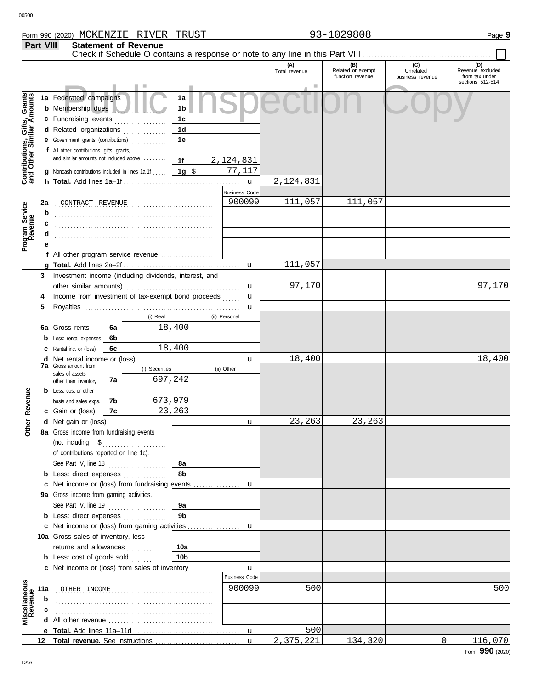**Part VIII Statement of Revenue**

#### Check if Schedule O contains a response or note to any line in this Part VIII **(A) (B) (C) (D)** Total revenue Related or exempt Unrelated Revenue excluded function revenue business revenue from tax under sections 512-514 Public Inspection Copy <u>ិទី</u> **Contributions, Gifts, Grants and Other Similar Amounts 1a** Federated campaigns **. . . . . . . . . . . . 1a** Gifts, Grant<br>nilar Amount: **1b b** Membership dues . . . . . . . . . . . . . . . . . . . **1c c** Fundraising events **. . . . . . . . . . . . . .** . . **1d d** Related organizations . . . . . . . . . . . . . Contributions,<br>and Other Simi **1e e** Government grants (contributions) . . . . . . . . . . . . **f** All other contributions, gifts, grants, and similar amounts not included above ........ **1f** 2,124,831 **1g** \$ . . . . . . . . . . . . . . . . . . . . . 77,117 **g** Noncash contributions included in lines 1a-1f . . . . . 2,124,831 **h Total.** Add lines 1a–1f . . . . . . . . . . . . . . . . . . . . . . . . . . . . . . . . . . . . . . . . u Business Code . . . . . . . . . . . . . . . . . . . . . . . . . . . . . . . . . . . . . . . . . . . . . . . . . . . . . . . **2a** CONTRACT REVENUE 900099 111,057 111,057 Program Service<br>Revenue **Program Service b c** . . . . . . . . . . . . . . . . . . . . . . . . . . . . . . . . . . . . . . . . . . . . . . . . . . . . . . . **d** . . . . . . . . . . . . . . . . . . . . . . . . . . . . . . . . . . . . . . . . . . . . . . . . . . . . . . . **e** . . . . . . . . . . . . . . . . . . . . . . . . . . . . . . . . . . . . . . . . . . . . . . . . . . . . . . . **f** All other program service revenue . . . . . . . . . . . . . . . . . . . 111,057 **g Total.** Add lines 2a–2f . . . . . . . . . . . . . . . . . . . . . . . . . . . . . . . . . . . . . . . . u **3** Investment income (including dividends, interest, and 97,170 97,170 other similar amounts) . . . . . . . . . . . . . . . . . . . . . . . . . . . . . . . . . . . . . . . u Income from investment of tax-exempt bond proceeds **4** u **5** Royalties ..... u (i) Real (ii) Personal 18,400 **6a 6a** Gross rents **6b b** Less: rental expenses 18,400 **6c c** Rental inc. or (loss) 18,400 18,400 **d** Net rental income or (loss) . . . . . . . . . . . . . . . . . . . . . . . . . . . . . . . . . . . u **7a** Gross amount from (i) Securities (ii) Other sales of assets 697,242 **7a** other than inventory Revenue **b** Less: cost or other **Other Revenue 7b** 673,979 basis and sales exps. **7c** 23,263 **c** Gain or (loss) **Other** 23,263 23,263 **d** u Net gain or (loss) . . . . . . . . . . . . . . . . . . . . . . . . . . . . . . . . . . . . . . . . . . . . . **8a** Gross income from fundraising events (not including \$ . . . . . . . . . . . . . . . . . . . . . . of contributions reported on line 1c). See Part IV, line 18 . . . . . . . . . . . . . . . . . . . . **8a 8b b** Less: direct expenses . . . . . . . . . . . . . u **c** Net income or (loss) from fundraising events ............... **9a** Gross income from gaming activities. See Part IV, line 19 . . . . . . . . . . . . . . . . . . . . **9a 9b b** Less: direct expenses ............... u Net income or (loss) from gaming activities . . . . . . . . . . . . . . . . . . **c** 10a Gross sales of inventory, less returns and allowances ......... **10a 10b b** Less: cost of goods sold  $\ldots$ Net income or (loss) from sales of inventory . . . . . . . . . . . . . . . . . **c** u Business Code **Revenue Miscellaneous** . . . . . . . . . . . . . . . . . . . . . . . . . . . . . . . . . . . . . . . . . . . . . . . . . . . . . . . OTHER INCOME 900099 500 500 **11a** . . . . . . . . . . . . . . . . . . . . . . . . . . . . . . . . . . . . . . . . . . . . . . . . . . . . . . . **b c d** All other revenue . . . . . . . . . . . . . . . . . . . . . . . . . . . . . . . . . . . . . 500 u **e Total.** Add lines 11a–11d . . . . . . . . . . . . . . . . . . . . . . . . . . . . . . . . . . . . 2,375,221 134,320 0 116,070 u **12 Total revenue.** See instructions ................................

Form **990** (2020)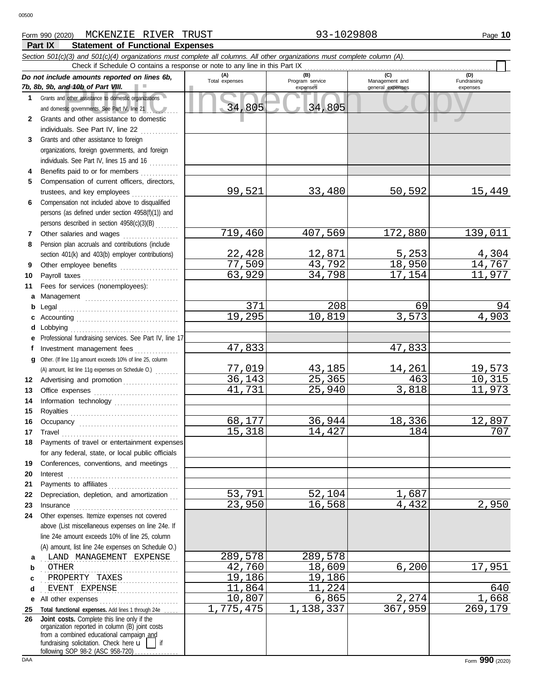### **Part IX Statement of Functional Expenses** Form 990 (2020) Page **10** MCKENZIE RIVER TRUST 93-1029808

|              | Section 501(c)(3) and 501(c)(4) organizations must complete all columns. All other organizations must complete column (A). |                       |                        |                  |                         |
|--------------|----------------------------------------------------------------------------------------------------------------------------|-----------------------|------------------------|------------------|-------------------------|
|              | Check if Schedule O contains a response or note to any line in this Part IX                                                |                       |                        | (C)              | (D)                     |
|              | Do not include amounts reported on lines 6b,<br>7b, 8b, 9b, and 10b of Part VIII.                                          | (A)<br>Total expenses | (B)<br>Program service | Management and   | Fundraising             |
| $\mathbf 1$  | Grants and other assistance to domestic organizations                                                                      |                       | expenses               | general expenses | expenses                |
|              |                                                                                                                            | 34,805                | 34,805                 |                  |                         |
| $\mathbf{2}$ | and domestic governments. See Part IV, line 21<br>Grants and other assistance to domestic                                  |                       |                        |                  |                         |
|              | individuals. See Part IV, line 22                                                                                          |                       |                        |                  |                         |
| 3            | Grants and other assistance to foreign                                                                                     |                       |                        |                  |                         |
|              | organizations, foreign governments, and foreign                                                                            |                       |                        |                  |                         |
|              | individuals. See Part IV, lines 15 and 16                                                                                  |                       |                        |                  |                         |
| 4            | Benefits paid to or for members                                                                                            |                       |                        |                  |                         |
| 5            | Compensation of current officers, directors,                                                                               |                       |                        |                  |                         |
|              | trustees, and key employees                                                                                                | 99,521                | 33,480                 | 50,592           | 15,449                  |
| 6            | Compensation not included above to disqualified                                                                            |                       |                        |                  |                         |
|              | persons (as defined under section 4958(f)(1)) and                                                                          |                       |                        |                  |                         |
|              | persons described in section 4958(c)(3)(B)                                                                                 |                       |                        |                  |                         |
| 7            | Other salaries and wages                                                                                                   | 719,460               | 407,569                | 172,880          | 139,011                 |
| 8            | Pension plan accruals and contributions (include                                                                           |                       |                        |                  |                         |
|              | section 401(k) and 403(b) employer contributions)                                                                          | 22,428                | 12,871                 | 5,253            | 4,304                   |
| 9            | Other employee benefits                                                                                                    | 77,509                | 43,792                 | 18,950           | 14,767                  |
| 10           | Payroll taxes                                                                                                              | 63,929                | 34,798                 | 17,154           | 11,977                  |
| 11           | Fees for services (nonemployees):                                                                                          |                       |                        |                  |                         |
| a            |                                                                                                                            |                       |                        |                  |                         |
| b            | Legal                                                                                                                      | 371                   | 208                    | 69               | 94                      |
| с            |                                                                                                                            | 19,295                | 10,819                 | 3,573            | 4,903                   |
| d            |                                                                                                                            |                       |                        |                  |                         |
| е            | Professional fundraising services. See Part IV, line 17                                                                    |                       |                        |                  |                         |
| f            | Investment management fees                                                                                                 | 47,833                |                        | 47,833           |                         |
| g            | Other. (If line 11g amount exceeds 10% of line 25, column                                                                  |                       |                        |                  |                         |
|              | (A) amount, list line 11g expenses on Schedule O.)                                                                         | 77,019                | 43,185                 | 14,261           | <u>19,573</u><br>10,315 |
| 12           | Advertising and promotion                                                                                                  | 36,143                | 25,365                 | 463              |                         |
| 13           |                                                                                                                            | 41,731                | 25,940                 | 3,818            | 11,973                  |
| 14           | Information technology                                                                                                     |                       |                        |                  |                         |
| 15           |                                                                                                                            |                       |                        |                  |                         |
| 16           |                                                                                                                            | 68,177                | 36,944                 | 18,336           | 12,897                  |
| 17           | Travel                                                                                                                     | 15,318                | 14,427                 | 184              | 707                     |
| 18           | Payments of travel or entertainment expenses                                                                               |                       |                        |                  |                         |
|              | for any federal, state, or local public officials                                                                          |                       |                        |                  |                         |
| 19<br>20     | Conferences, conventions, and meetings                                                                                     |                       |                        |                  |                         |
| 21           |                                                                                                                            |                       |                        |                  |                         |
| 22           | Payments to affiliates<br>Depreciation, depletion, and amortization                                                        | 53,791                | 52,104                 | 1,687            |                         |
| 23           |                                                                                                                            | 23,950                | 16,568                 | 4,432            | 2,950                   |
| 24           | Other expenses. Itemize expenses not covered                                                                               |                       |                        |                  |                         |
|              | above (List miscellaneous expenses on line 24e. If                                                                         |                       |                        |                  |                         |
|              | line 24e amount exceeds 10% of line 25, column                                                                             |                       |                        |                  |                         |
|              | (A) amount, list line 24e expenses on Schedule O.)                                                                         |                       |                        |                  |                         |
| a            | LAND MANAGEMENT EXPENSE                                                                                                    | 289,578               | 289,578                |                  |                         |
| b            | OTHER                                                                                                                      | 42,760                | 18,609                 | 6,200            | 17,951                  |
| c            | PROPERTY TAXES                                                                                                             | 19,186                | 19,186                 |                  |                         |
| d            | EVENT EXPENSE                                                                                                              | 11,864                | 11,224                 |                  | 640                     |
| е            | All other expenses                                                                                                         | 10,807                | 6,865                  | 2,274            | 1,668                   |
| 25           | Total functional expenses. Add lines 1 through 24e                                                                         | 1,775,475             | 1,138,337              | 367,959          | 269,179                 |
| 26           | Joint costs. Complete this line only if the                                                                                |                       |                        |                  |                         |
|              | organization reported in column (B) joint costs<br>from a combined educational campaign and                                |                       |                        |                  |                         |
|              | fundraising solicitation. Check here $\mathbf{u}$     if                                                                   |                       |                        |                  |                         |
|              | following SOP 98-2 (ASC 958-720)                                                                                           |                       |                        |                  |                         |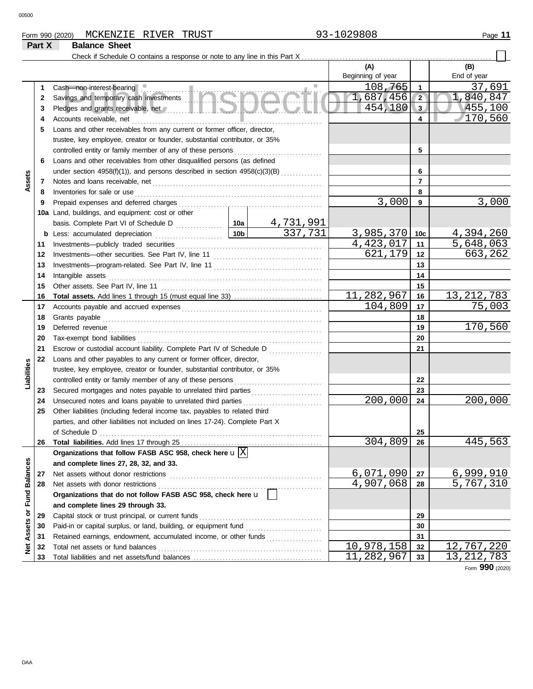00500

## Form 990 (2020) Page **11** MCKENZIE RIVER TRUST 93-1029808

# **Part X Balance Sheet**

Check if Schedule O contains a response or note to any line in this Part X.

|                             |    |                                                                                        |                 |           | (A)                    |                | (B)                    |
|-----------------------------|----|----------------------------------------------------------------------------------------|-----------------|-----------|------------------------|----------------|------------------------|
|                             |    |                                                                                        |                 |           | Beginning of year      |                | End of year            |
|                             | 1  | Cash-non-interest-bearing                                                              |                 |           | 108,765                | 1              | 37,691                 |
|                             | 2  | Savings and temporary cash investments                                                 |                 |           | 1,687,456              | $\sqrt{2}$     | 1,840,847              |
|                             | 3  |                                                                                        |                 |           | 454,180                | 3              | 455,100                |
|                             | 4  | Accounts receivable, net                                                               |                 |           |                        | 4              | 170,560                |
|                             | 5  | Loans and other receivables from any current or former officer, director,              |                 |           |                        |                |                        |
|                             |    | trustee, key employee, creator or founder, substantial contributor, or 35%             |                 |           |                        |                |                        |
|                             |    | controlled entity or family member of any of these persons                             |                 |           |                        | 5              |                        |
|                             | 6  | Loans and other receivables from other disqualified persons (as defined                |                 |           |                        |                |                        |
|                             |    |                                                                                        |                 |           |                        | 6              |                        |
| Assets                      | 7  |                                                                                        |                 |           |                        | $\overline{7}$ |                        |
|                             | 8  | Inventories for sale or use                                                            |                 |           |                        | 8              |                        |
|                             | 9  | Prepaid expenses and deferred charges                                                  |                 |           | 3,000                  | 9              | 3,000                  |
|                             |    | 10a Land, buildings, and equipment: cost or other                                      |                 |           |                        |                |                        |
|                             |    |                                                                                        |                 | 4,731,991 |                        |                |                        |
|                             |    | <b>b</b> Less: accumulated depreciation                                                | 10 <sub>b</sub> | 337,731   | 3,985,370              | 10c            | 4,394,260              |
|                             | 11 |                                                                                        |                 |           | $\overline{4,423,017}$ | 11             | $\overline{5,648,063}$ |
|                             | 12 | Investments-other securities. See Part IV, line 11                                     |                 |           | 621,179                | 12             | 663,262                |
|                             | 13 |                                                                                        |                 |           |                        | 13             |                        |
|                             | 14 | Intangible assets                                                                      |                 |           |                        | 14             |                        |
|                             | 15 | Other assets. See Part IV, line 11                                                     |                 |           |                        | 15             |                        |
|                             | 16 |                                                                                        |                 |           | 11,282,967             | 16             | 13, 212, 783           |
|                             | 17 |                                                                                        |                 |           | 104,809                | 17             | 75,003                 |
|                             | 18 |                                                                                        |                 |           |                        | 18             |                        |
|                             | 19 | Deferred revenue                                                                       |                 |           |                        | 19             | 170,560                |
|                             | 20 |                                                                                        |                 |           |                        | 20             |                        |
|                             | 21 | Escrow or custodial account liability. Complete Part IV of Schedule D                  |                 |           |                        | 21             |                        |
|                             | 22 | Loans and other payables to any current or former officer, director,                   |                 |           |                        |                |                        |
| Liabilities                 |    | trustee, key employee, creator or founder, substantial contributor, or 35%             |                 |           |                        |                |                        |
|                             |    | controlled entity or family member of any of these persons                             |                 |           |                        | 22             |                        |
|                             | 23 |                                                                                        |                 | 23        |                        |                |                        |
|                             | 24 | Unsecured notes and loans payable to unrelated third parties                           |                 |           | 200,000                | 24             | 200,000                |
|                             | 25 | Other liabilities (including federal income tax, payables to related third             |                 |           |                        |                |                        |
|                             |    | parties, and other liabilities not included on lines 17-24). Complete Part X           |                 |           |                        |                |                        |
|                             |    | of Schedule D                                                                          |                 |           | 304,809                | 25<br>26       | 445,563                |
|                             | 26 | Organizations that follow FASB ASC 958, check here $\mathbf{u}[\overline{\mathrm{X}}]$ |                 |           |                        |                |                        |
|                             |    | and complete lines 27, 28, 32, and 33.                                                 |                 |           |                        |                |                        |
|                             | 27 | Net assets without donor restrictions                                                  |                 |           | 6,071,090              | 27             | 6,999,910              |
|                             | 28 | Net assets with donor restrictions                                                     |                 |           | 4,907,068              | 28             | 5,767,310              |
|                             |    | Organizations that do not follow FASB ASC 958, check here u                            |                 |           |                        |                |                        |
|                             |    | and complete lines 29 through 33.                                                      |                 |           |                        |                |                        |
|                             | 29 | Capital stock or trust principal, or current funds                                     |                 |           |                        | 29             |                        |
| Net Assets or Fund Balances | 30 | Paid-in or capital surplus, or land, building, or equipment fund                       |                 |           |                        | 30             |                        |
|                             | 31 | Retained earnings, endowment, accumulated income, or other funds                       |                 |           |                        | 31             |                        |
|                             | 32 | Total net assets or fund balances                                                      |                 |           | 10,978,158             | 32             | 12,767,220             |
|                             | 33 |                                                                                        |                 |           | 11,282,967             | 33             | 13, 212, 783           |
|                             |    |                                                                                        |                 |           |                        |                | <b>OOO</b>             |

Form **990** (2020)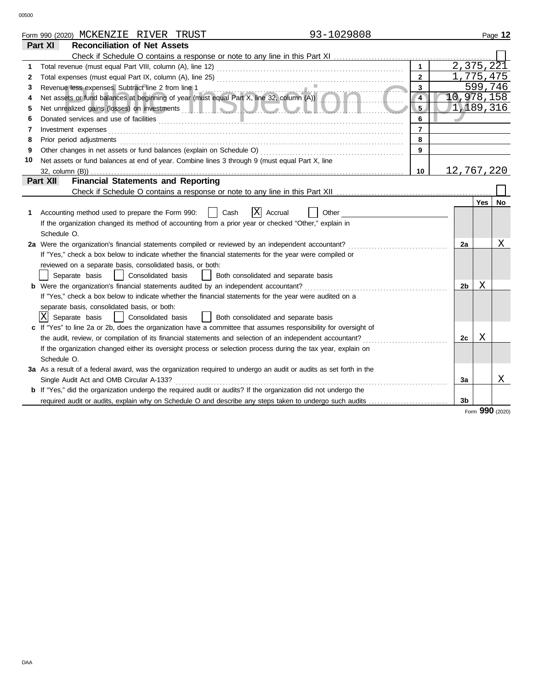|    | 93-1029808<br>Form 990 (2020) MCKENZIE RIVER TRUST                                                                                                                                                                                   |                         |    |            | Page 12 |
|----|--------------------------------------------------------------------------------------------------------------------------------------------------------------------------------------------------------------------------------------|-------------------------|----|------------|---------|
|    | Part XI<br><b>Reconciliation of Net Assets</b>                                                                                                                                                                                       |                         |    |            |         |
|    |                                                                                                                                                                                                                                      |                         |    |            |         |
| 1  |                                                                                                                                                                                                                                      | $\mathbf{1}$            |    | 2,375,221  |         |
| 2  |                                                                                                                                                                                                                                      | $\overline{2}$          |    | 1,775,475  |         |
| 3  | Revenue less expenses. Subtract line 2 from line 1                                                                                                                                                                                   | $\overline{\mathbf{3}}$ |    | 599,746    |         |
| 4  | Revenue less expenses. Subtract line 2 from line 1<br>Net assets or fund balances at beginning of year (must equal Part X, line 32, column (A))                                                                                      | $\overline{4}$          |    | 10,978,158 |         |
| 5  | Net unrealized gains (losses) on investments <b>the contract of the contract of the contract of the contract of the contract of the contract of the contract of the contract of the contract of the contract of the contract of </b> | 5 <sub>1</sub>          |    | 1,189,316  |         |
| 6  |                                                                                                                                                                                                                                      | 6                       |    |            |         |
| 7  | Investment expenses                                                                                                                                                                                                                  | $\overline{7}$          |    |            |         |
| 8  | Prior period adjustments                                                                                                                                                                                                             | 8                       |    |            |         |
| 9  | Other changes in net assets or fund balances (explain on Schedule O)                                                                                                                                                                 | 9                       |    |            |         |
| 10 | Net assets or fund balances at end of year. Combine lines 3 through 9 (must equal Part X, line                                                                                                                                       |                         |    |            |         |
|    |                                                                                                                                                                                                                                      | 10                      |    | 12,767,220 |         |
|    | <b>Financial Statements and Reporting</b><br>Part XII                                                                                                                                                                                |                         |    |            |         |
|    |                                                                                                                                                                                                                                      |                         |    |            |         |
|    |                                                                                                                                                                                                                                      |                         |    | Yes        | No      |
| 1  | X<br>Cash<br>Accounting method used to prepare the Form 990:<br>Accrual<br>Other                                                                                                                                                     |                         |    |            |         |
|    | If the organization changed its method of accounting from a prior year or checked "Other," explain in                                                                                                                                |                         |    |            |         |
|    | Schedule O.                                                                                                                                                                                                                          |                         |    |            |         |
|    | 2a Were the organization's financial statements compiled or reviewed by an independent accountant?                                                                                                                                   |                         | 2a |            | Χ       |
|    | If "Yes," check a box below to indicate whether the financial statements for the year were compiled or                                                                                                                               |                         |    |            |         |
|    | reviewed on a separate basis, consolidated basis, or both:                                                                                                                                                                           |                         |    |            |         |
|    | Consolidated basis<br>Separate basis<br>Both consolidated and separate basis<br>$\perp$                                                                                                                                              |                         |    |            |         |
|    | <b>b</b> Were the organization's financial statements audited by an independent accountant?                                                                                                                                          |                         | 2b | Χ          |         |
|    | If "Yes," check a box below to indicate whether the financial statements for the year were audited on a                                                                                                                              |                         |    |            |         |
|    | separate basis, consolidated basis, or both:                                                                                                                                                                                         |                         |    |            |         |
|    | X Separate basis<br>  Consolidated basis<br>  Both consolidated and separate basis                                                                                                                                                   |                         |    |            |         |
|    | If "Yes" to line 2a or 2b, does the organization have a committee that assumes responsibility for oversight of                                                                                                                       |                         |    |            |         |
|    | the audit, review, or compilation of its financial statements and selection of an independent accountant?                                                                                                                            |                         | 2с | Χ          |         |
|    | If the organization changed either its oversight process or selection process during the tax year, explain on                                                                                                                        |                         |    |            |         |
|    | Schedule O.                                                                                                                                                                                                                          |                         |    |            |         |
|    | 3a As a result of a federal award, was the organization required to undergo an audit or audits as set forth in the                                                                                                                   |                         |    |            |         |
|    | Single Audit Act and OMB Circular A-133?                                                                                                                                                                                             |                         | За |            | Χ       |
|    | <b>b</b> If "Yes," did the organization undergo the required audit or audits? If the organization did not undergo the                                                                                                                |                         |    |            |         |
|    | required audit or audits, explain why on Schedule O and describe any steps taken to undergo such audits                                                                                                                              |                         | 3b |            |         |

Form **990** (2020)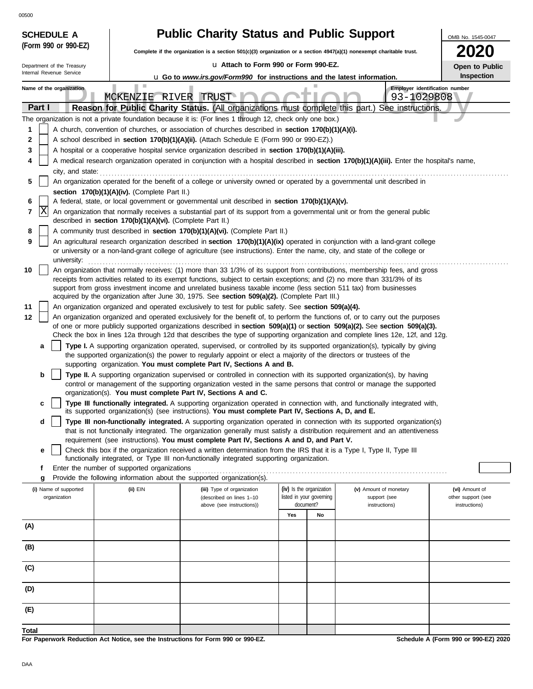00500

| <b>UUCUU</b><br><b>SCHEDULE A</b>          |                                                            | <b>Public Charity Status and Public Support</b>                                                                                                                                                                                                                                                                                                                                                    |                                                      |    |                                                                   | OMB No. 1545-0047                    |
|--------------------------------------------|------------------------------------------------------------|----------------------------------------------------------------------------------------------------------------------------------------------------------------------------------------------------------------------------------------------------------------------------------------------------------------------------------------------------------------------------------------------------|------------------------------------------------------|----|-------------------------------------------------------------------|--------------------------------------|
| (Form 990 or 990-EZ)                       |                                                            | Complete if the organization is a section $501(c)(3)$ organization or a section $4947(a)(1)$ nonexempt charitable trust.                                                                                                                                                                                                                                                                           |                                                      |    |                                                                   | 2020                                 |
| Department of the Treasury                 |                                                            | La Attach to Form 990 or Form 990-EZ.                                                                                                                                                                                                                                                                                                                                                              |                                                      |    |                                                                   | Open to Public                       |
| Internal Revenue Service                   |                                                            | <b>u</b> Go to www.irs.gov/Form990 for instructions and the latest information.                                                                                                                                                                                                                                                                                                                    |                                                      |    |                                                                   | Inspection                           |
| Name of the organization<br>Part I         | MCKENZIE RIVER TRUST                                       | Reason for Public Charity Status. (All organizations must complete this part.)                                                                                                                                                                                                                                                                                                                     |                                                      |    | Employer identification number<br>93-1029808<br>See instructions. |                                      |
|                                            |                                                            | The organization is not a private foundation because it is: (For lines 1 through 12, check only one box.)                                                                                                                                                                                                                                                                                          |                                                      |    |                                                                   |                                      |
| 1                                          |                                                            | A church, convention of churches, or association of churches described in section 170(b)(1)(A)(i).                                                                                                                                                                                                                                                                                                 |                                                      |    |                                                                   |                                      |
| 2                                          |                                                            | A school described in section 170(b)(1)(A)(ii). (Attach Schedule E (Form 990 or 990-EZ).)                                                                                                                                                                                                                                                                                                          |                                                      |    |                                                                   |                                      |
| 3<br>4                                     |                                                            | A hospital or a cooperative hospital service organization described in section 170(b)(1)(A)(iii).                                                                                                                                                                                                                                                                                                  |                                                      |    |                                                                   |                                      |
| city, and state:                           |                                                            | A medical research organization operated in conjunction with a hospital described in section 170(b)(1)(A)(iii). Enter the hospital's name,                                                                                                                                                                                                                                                         |                                                      |    |                                                                   |                                      |
| 5                                          |                                                            | An organization operated for the benefit of a college or university owned or operated by a governmental unit described in                                                                                                                                                                                                                                                                          |                                                      |    |                                                                   |                                      |
|                                            | section 170(b)(1)(A)(iv). (Complete Part II.)              |                                                                                                                                                                                                                                                                                                                                                                                                    |                                                      |    |                                                                   |                                      |
| 6                                          |                                                            | A federal, state, or local government or governmental unit described in section 170(b)(1)(A)(v).                                                                                                                                                                                                                                                                                                   |                                                      |    |                                                                   |                                      |
| X<br>7                                     | described in section 170(b)(1)(A)(vi). (Complete Part II.) | An organization that normally receives a substantial part of its support from a governmental unit or from the general public                                                                                                                                                                                                                                                                       |                                                      |    |                                                                   |                                      |
| 8                                          |                                                            | A community trust described in section 170(b)(1)(A)(vi). (Complete Part II.)                                                                                                                                                                                                                                                                                                                       |                                                      |    |                                                                   |                                      |
| 9<br>university:                           |                                                            | An agricultural research organization described in section 170(b)(1)(A)(ix) operated in conjunction with a land-grant college<br>or university or a non-land-grant college of agriculture (see instructions). Enter the name, city, and state of the college or                                                                                                                                    |                                                      |    |                                                                   |                                      |
| 10                                         |                                                            | An organization that normally receives: (1) more than 33 1/3% of its support from contributions, membership fees, and gross<br>receipts from activities related to its exempt functions, subject to certain exceptions; and (2) no more than 331/3% of its<br>support from gross investment income and unrelated business taxable income (less section 511 tax) from businesses                    |                                                      |    |                                                                   |                                      |
| 11                                         |                                                            | acquired by the organization after June 30, 1975. See section 509(a)(2). (Complete Part III.)<br>An organization organized and operated exclusively to test for public safety. See section 509(a)(4).                                                                                                                                                                                              |                                                      |    |                                                                   |                                      |
| 12                                         |                                                            | An organization organized and operated exclusively for the benefit of, to perform the functions of, or to carry out the purposes<br>of one or more publicly supported organizations described in section 509(a)(1) or section 509(a)(2). See section 509(a)(3).<br>Check the box in lines 12a through 12d that describes the type of supporting organization and complete lines 12e, 12f, and 12g. |                                                      |    |                                                                   |                                      |
| a                                          |                                                            | Type I. A supporting organization operated, supervised, or controlled by its supported organization(s), typically by giving<br>the supported organization(s) the power to regularly appoint or elect a majority of the directors or trustees of the<br>supporting organization. You must complete Part IV, Sections A and B.                                                                       |                                                      |    |                                                                   |                                      |
| b                                          |                                                            | Type II. A supporting organization supervised or controlled in connection with its supported organization(s), by having<br>control or management of the supporting organization vested in the same persons that control or manage the supported<br>organization(s). You must complete Part IV, Sections A and C.                                                                                   |                                                      |    |                                                                   |                                      |
| с                                          |                                                            | Type III functionally integrated. A supporting organization operated in connection with, and functionally integrated with,<br>its supported organization(s) (see instructions). You must complete Part IV, Sections A, D, and E.                                                                                                                                                                   |                                                      |    |                                                                   |                                      |
| d                                          |                                                            | Type III non-functionally integrated. A supporting organization operated in connection with its supported organization(s)<br>that is not functionally integrated. The organization generally must satisfy a distribution requirement and an attentiveness<br>requirement (see instructions). You must complete Part IV, Sections A and D, and Part V.                                              |                                                      |    |                                                                   |                                      |
| е                                          |                                                            | Check this box if the organization received a written determination from the IRS that it is a Type I, Type II, Type III<br>functionally integrated, or Type III non-functionally integrated supporting organization.                                                                                                                                                                               |                                                      |    |                                                                   |                                      |
| f                                          | Enter the number of supported organizations                |                                                                                                                                                                                                                                                                                                                                                                                                    |                                                      |    |                                                                   |                                      |
| g<br>(i) Name of supported<br>organization | (ii) EIN                                                   | Provide the following information about the supported organization(s).<br>(iii) Type of organization<br>(described on lines 1-10                                                                                                                                                                                                                                                                   | (iv) Is the organization<br>listed in your governing |    | (v) Amount of monetary<br>support (see                            | (vi) Amount of<br>other support (see |
|                                            |                                                            | above (see instructions))                                                                                                                                                                                                                                                                                                                                                                          | document?                                            |    | instructions)                                                     | instructions)                        |
|                                            |                                                            |                                                                                                                                                                                                                                                                                                                                                                                                    | Yes                                                  | No |                                                                   |                                      |
| (A)                                        |                                                            |                                                                                                                                                                                                                                                                                                                                                                                                    |                                                      |    |                                                                   |                                      |
| (B)                                        |                                                            |                                                                                                                                                                                                                                                                                                                                                                                                    |                                                      |    |                                                                   |                                      |
| (C)                                        |                                                            |                                                                                                                                                                                                                                                                                                                                                                                                    |                                                      |    |                                                                   |                                      |
| (D)                                        |                                                            |                                                                                                                                                                                                                                                                                                                                                                                                    |                                                      |    |                                                                   |                                      |
| (E)                                        |                                                            |                                                                                                                                                                                                                                                                                                                                                                                                    |                                                      |    |                                                                   |                                      |
| <b>Total</b>                               |                                                            |                                                                                                                                                                                                                                                                                                                                                                                                    |                                                      |    |                                                                   |                                      |

**For Paperwork Reduction Act Notice, see the Instructions for Form 990 or 990-EZ.**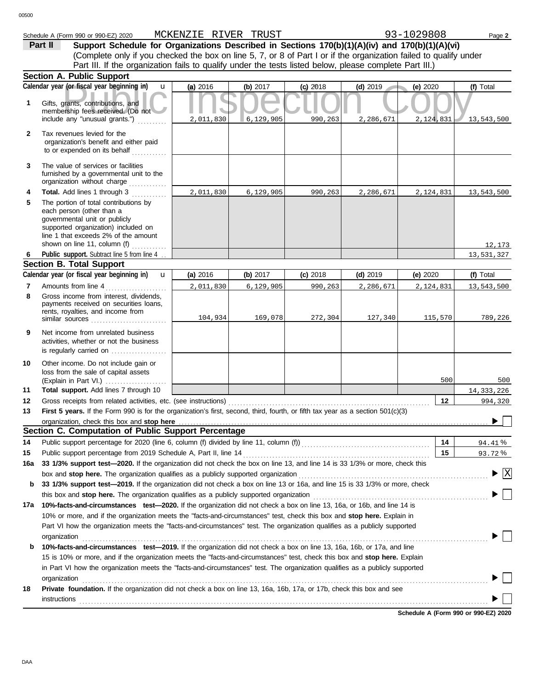# Schedule A (Form 990 or 990-EZ) 2020 Page **2** MCKENZIE RIVER TRUST 93-1029808

**Section A. Public Support** (Complete only if you checked the box on line 5, 7, or 8 of Part I or if the organization failed to qualify under **Part II** Support Schedule for Organizations Described in Sections 170(b)(1)(A)(iv) and 170(b)(1)(A)(vi) Part III. If the organization fails to qualify under the tests listed below, please complete Part III.)

|              | əecuvii A. Fubiic əuppoll                                                                                                                                                                                                                         |           |            |            |            |            |              |
|--------------|---------------------------------------------------------------------------------------------------------------------------------------------------------------------------------------------------------------------------------------------------|-----------|------------|------------|------------|------------|--------------|
|              | Calendar year (or fiscal year beginning in)<br>$\mathbf{u}$                                                                                                                                                                                       | (a) 2016  | (b) $2017$ | $(c)$ 2018 | $(d)$ 2019 | (e) $2020$ | (f) Total    |
| 1            | Gifts, grants, contributions, and<br>membership fees received. (Do not                                                                                                                                                                            |           |            |            |            |            |              |
|              | include any "unusual grants.")                                                                                                                                                                                                                    | 2,011,830 | 6,129,905  | 990,263    | 2,286,671  | 2,124,831  | 13,543,500   |
| $\mathbf{2}$ | Tax revenues levied for the<br>organization's benefit and either paid<br>to or expended on its behalf                                                                                                                                             |           |            |            |            |            |              |
| 3            | The value of services or facilities<br>furnished by a governmental unit to the<br>organization without charge                                                                                                                                     |           |            |            |            |            |              |
| 4            | Total. Add lines 1 through 3                                                                                                                                                                                                                      | 2,011,830 | 6,129,905  | 990,263    | 2,286,671  | 2,124,831  | 13,543,500   |
| 5            | The portion of total contributions by<br>each person (other than a<br>governmental unit or publicly<br>supported organization) included on<br>line 1 that exceeds 2% of the amount<br>shown on line 11, column (f)                                |           |            |            |            |            | 12,173       |
| 6            | Public support. Subtract line 5 from line 4                                                                                                                                                                                                       |           |            |            |            |            | 13,531,327   |
|              | <b>Section B. Total Support</b>                                                                                                                                                                                                                   |           |            |            |            |            |              |
|              | Calendar year (or fiscal year beginning in)<br>$\mathbf{u}$                                                                                                                                                                                       | (a) 2016  | (b) $2017$ | $(c)$ 2018 | $(d)$ 2019 | (e) $2020$ | (f) Total    |
| 7            | Amounts from line 4<br>.                                                                                                                                                                                                                          | 2,011,830 | 6,129,905  | 990,263    | 2,286,671  | 2,124,831  | 13,543,500   |
| 8            | Gross income from interest, dividends,<br>payments received on securities loans,<br>rents, royalties, and income from                                                                                                                             | 104,934   | 169,078    | 272,304    | 127,340    | 115,570    | 789,226      |
| 9            | Net income from unrelated business<br>activities, whether or not the business<br>is regularly carried on                                                                                                                                          |           |            |            |            |            |              |
| 10           | Other income. Do not include gain or<br>loss from the sale of capital assets                                                                                                                                                                      |           |            |            |            | 500        | 500          |
| 11           | Total support. Add lines 7 through 10                                                                                                                                                                                                             |           |            |            |            |            | 14, 333, 226 |
| 12           | Gross receipts from related activities, etc. (see instructions)                                                                                                                                                                                   |           |            |            |            | 12         | 994,320      |
| 13           | First 5 years. If the Form 990 is for the organization's first, second, third, fourth, or fifth tax year as a section 501(c)(3)                                                                                                                   |           |            |            |            |            |              |
|              | organization, check this box and stop here                                                                                                                                                                                                        |           |            |            |            |            |              |
|              | Section C. Computation of Public Support Percentage                                                                                                                                                                                               |           |            |            |            |            |              |
| 14           | Public support percentage for 2020 (line 6, column (f) divided by line 11, column (f)) [[[[[[[[[[[[[[[[[[[[[[                                                                                                                                     |           |            |            |            | 14         | 94.41%       |
| 15           | Public support percentage from 2019 Schedule A, Part II, line 14                                                                                                                                                                                  |           |            |            |            | 15         | 93.72%       |
| 16a          | 33 1/3% support test-2020. If the organization did not check the box on line 13, and line 14 is 33 1/3% or more, check this                                                                                                                       |           |            |            |            |            |              |
|              | box and stop here. The organization qualifies as a publicly supported organization [11] content content content of the content of the state of the state of the state of the state of the state of the state of the state of t                    |           |            |            |            |            | $\mathbf{X}$ |
| b            | 33 1/3% support test-2019. If the organization did not check a box on line 13 or 16a, and line 15 is 33 1/3% or more, check                                                                                                                       |           |            |            |            |            |              |
|              | this box and stop here. The organization qualifies as a publicly supported organization                                                                                                                                                           |           |            |            |            |            |              |
| 17a          | 10%-facts-and-circumstances test-2020. If the organization did not check a box on line 13, 16a, or 16b, and line 14 is<br>10% or more, and if the organization meets the "facts-and-circumstances" test, check this box and stop here. Explain in |           |            |            |            |            |              |
|              | Part VI how the organization meets the "facts-and-circumstances" test. The organization qualifies as a publicly supported                                                                                                                         |           |            |            |            |            |              |
|              | organization                                                                                                                                                                                                                                      |           |            |            |            |            |              |
| b            | 10%-facts-and-circumstances test-2019. If the organization did not check a box on line 13, 16a, 16b, or 17a, and line                                                                                                                             |           |            |            |            |            |              |
|              | 15 is 10% or more, and if the organization meets the "facts-and-circumstances" test, check this box and stop here. Explain                                                                                                                        |           |            |            |            |            |              |
|              | in Part VI how the organization meets the "facts-and-circumstances" test. The organization qualifies as a publicly supported                                                                                                                      |           |            |            |            |            |              |
|              | organization                                                                                                                                                                                                                                      |           |            |            |            |            |              |
| 18           | Private foundation. If the organization did not check a box on line 13, 16a, 16b, 17a, or 17b, check this box and see                                                                                                                             |           |            |            |            |            |              |
|              | instructions                                                                                                                                                                                                                                      |           |            |            |            |            |              |
|              |                                                                                                                                                                                                                                                   |           |            |            |            |            |              |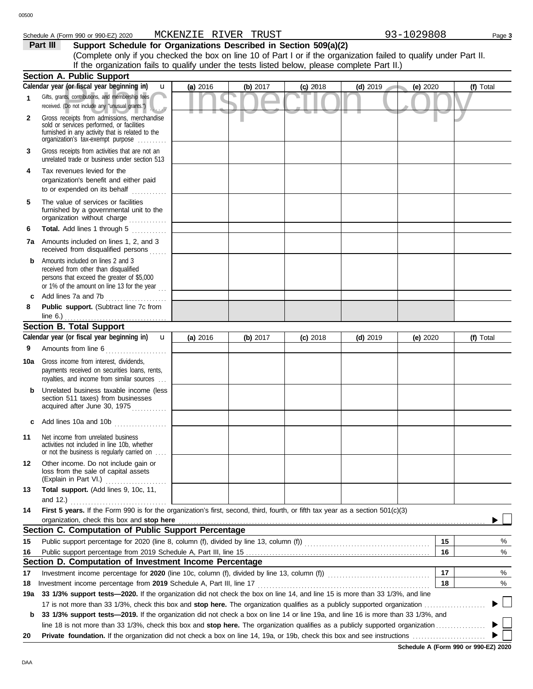## Schedule A (Form 990 or 990-EZ) 2020 Page **3** MCKENZIE RIVER TRUST 93-1029808

**Part III** Support Schedule for Organizations Described in Section 509(a)(2) (Complete only if you checked the box on line 10 of Part I or if the organization failed to qualify under Part II. If the organization fails to qualify under the tests listed below, please complete Part II.)

|     | <b>Section A. Public Support</b>                                                                                                                                                       |          |            |            |            |          |                          |
|-----|----------------------------------------------------------------------------------------------------------------------------------------------------------------------------------------|----------|------------|------------|------------|----------|--------------------------|
|     | Calendar year (or fiscal year beginning in)<br>u                                                                                                                                       | (a) 2016 | (b) $2017$ | $(c)$ 2018 | $(d)$ 2019 | (e) 2020 | (f) Total                |
| 1   | Gifts, grants, contributions, and membership fees<br>received. (Do not include any "unusual grants.")                                                                                  |          |            |            |            |          |                          |
| 2   | Gross receipts from admissions, merchandise<br>sold or services performed, or facilities<br>furnished in any activity that is related to the<br>organization's fax-exempt purpose      |          |            |            |            |          |                          |
| 3   | Gross receipts from activities that are not an<br>unrelated trade or business under section 513                                                                                        |          |            |            |            |          |                          |
| 4   | Tax revenues levied for the<br>organization's benefit and either paid<br>to or expended on its behalf                                                                                  |          |            |            |            |          |                          |
| 5   | The value of services or facilities<br>furnished by a governmental unit to the<br>organization without charge                                                                          |          |            |            |            |          |                          |
| 6   | Total. Add lines 1 through 5                                                                                                                                                           |          |            |            |            |          |                          |
|     | 7a Amounts included on lines 1, 2, and 3<br>received from disqualified persons                                                                                                         |          |            |            |            |          |                          |
| b   | Amounts included on lines 2 and 3<br>received from other than disqualified<br>persons that exceed the greater of \$5,000<br>or 1% of the amount on line 13 for the year $\frac{1}{11}$ |          |            |            |            |          |                          |
| c   | Add lines 7a and 7b                                                                                                                                                                    |          |            |            |            |          |                          |
| 8   | Public support. (Subtract line 7c from<br>line $6.$ )                                                                                                                                  |          |            |            |            |          |                          |
|     | <b>Section B. Total Support</b>                                                                                                                                                        |          |            |            |            |          |                          |
|     | Calendar year (or fiscal year beginning in)<br>$\mathbf{u}$                                                                                                                            | (a) 2016 | (b) $2017$ | $(c)$ 2018 | $(d)$ 2019 | (e) 2020 | (f) Total                |
| 9   | Amounts from line 6                                                                                                                                                                    |          |            |            |            |          |                          |
| 10a | Gross income from interest, dividends,<br>payments received on securities loans, rents,<br>royalties, and income from similar sources                                                  |          |            |            |            |          |                          |
| b   | Unrelated business taxable income (less<br>section 511 taxes) from businesses<br>acquired after June 30, 1975                                                                          |          |            |            |            |          |                          |
|     | Add lines 10a and 10b                                                                                                                                                                  |          |            |            |            |          |                          |
| 11  | Net income from unrelated business<br>activities not included in line 10b, whether<br>or not the business is regularly carried on                                                      |          |            |            |            |          |                          |
| 12  | Other income. Do not include gain or<br>loss from the sale of capital assets<br>(Explain in Part VI.)                                                                                  |          |            |            |            |          |                          |
| 13  | Total support. (Add lines 9, 10c, 11,                                                                                                                                                  |          |            |            |            |          |                          |
|     | and 12.) $\ldots$                                                                                                                                                                      |          |            |            |            |          |                          |
| 14  | First 5 years. If the Form 990 is for the organization's first, second, third, fourth, or fifth tax year as a section 501(c)(3)                                                        |          |            |            |            |          |                          |
|     | organization, check this box and stop here                                                                                                                                             |          |            |            |            |          |                          |
|     | Section C. Computation of Public Support Percentage                                                                                                                                    |          |            |            |            | 15       |                          |
| 15  |                                                                                                                                                                                        |          |            |            |            | 16       | %<br>%                   |
| 16  | Section D. Computation of Investment Income Percentage                                                                                                                                 |          |            |            |            |          |                          |
| 17  | Investment income percentage for 2020 (line 10c, column (f), divided by line 13, column (f)) [[[[[[[[[[[[[[[[[                                                                         |          |            |            |            | 17       | %                        |
| 18  |                                                                                                                                                                                        |          |            |            |            | 18       | %                        |
| 19a | 33 1/3% support tests-2020. If the organization did not check the box on line 14, and line 15 is more than 33 1/3%, and line                                                           |          |            |            |            |          |                          |
|     |                                                                                                                                                                                        |          |            |            |            |          | $\overline{\phantom{a}}$ |
| b   | 33 1/3% support tests-2019. If the organization did not check a box on line 14 or line 19a, and line 16 is more than 33 1/3%, and                                                      |          |            |            |            |          |                          |
|     |                                                                                                                                                                                        |          |            |            |            |          | $\mathbf{L}$             |
| 20  |                                                                                                                                                                                        |          |            |            |            |          |                          |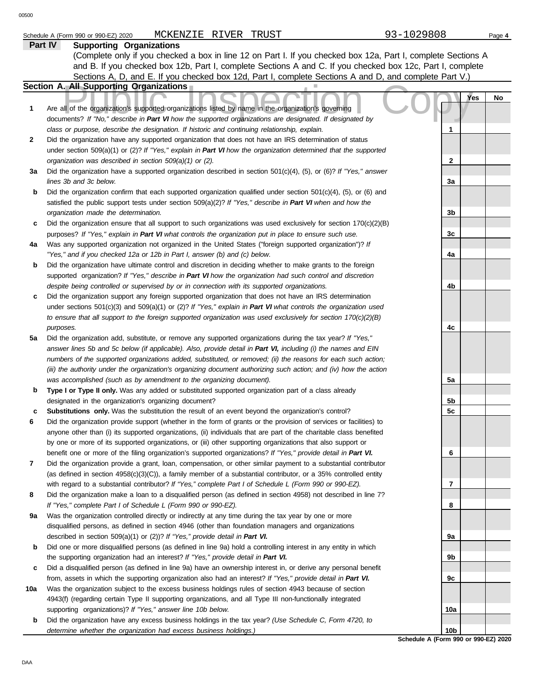| 00500 | 93-1029808<br>MCKENZIE RIVER TRUST                                                                                                                                                                                                |                |           |
|-------|-----------------------------------------------------------------------------------------------------------------------------------------------------------------------------------------------------------------------------------|----------------|-----------|
|       | Schedule A (Form 990 or 990-EZ) 2020<br><b>Supporting Organizations</b><br>Part IV                                                                                                                                                |                | Page 4    |
|       | (Complete only if you checked a box in line 12 on Part I. If you checked box 12a, Part I, complete Sections A                                                                                                                     |                |           |
|       | and B. If you checked box 12b, Part I, complete Sections A and C. If you checked box 12c, Part I, complete                                                                                                                        |                |           |
|       | Sections A, D, and E. If you checked box 12d, Part I, complete Sections A and D, and complete Part V.)                                                                                                                            |                |           |
|       | <b>Section A. All Supporting Organizations</b>                                                                                                                                                                                    |                |           |
|       |                                                                                                                                                                                                                                   |                | Yes<br>No |
| 1     | Are all of the organization's supported organizations listed by name in the organization's governing<br>documents? If "No," describe in Part VI how the supported organizations are designated. If designated by                  |                |           |
|       | class or purpose, describe the designation. If historic and continuing relationship, explain.                                                                                                                                     | 1              |           |
| 2     | Did the organization have any supported organization that does not have an IRS determination of status                                                                                                                            |                |           |
|       | under section 509(a)(1) or (2)? If "Yes," explain in Part VI how the organization determined that the supported                                                                                                                   |                |           |
|       | organization was described in section 509(a)(1) or (2).                                                                                                                                                                           | 2              |           |
| За    | Did the organization have a supported organization described in section $501(c)(4)$ , (5), or (6)? If "Yes," answer                                                                                                               |                |           |
|       | lines 3b and 3c below.                                                                                                                                                                                                            | 3a             |           |
| b     | Did the organization confirm that each supported organization qualified under section $501(c)(4)$ , $(5)$ , or $(6)$ and                                                                                                          |                |           |
|       | satisfied the public support tests under section 509(a)(2)? If "Yes," describe in Part VI when and how the                                                                                                                        |                |           |
|       | organization made the determination.                                                                                                                                                                                              | 3b             |           |
| c     | Did the organization ensure that all support to such organizations was used exclusively for section $170(c)(2)(B)$                                                                                                                |                |           |
|       | purposes? If "Yes," explain in Part VI what controls the organization put in place to ensure such use.                                                                                                                            | 3c             |           |
| 4a    | Was any supported organization not organized in the United States ("foreign supported organization")? If                                                                                                                          |                |           |
|       | "Yes," and if you checked 12a or 12b in Part I, answer (b) and (c) below.                                                                                                                                                         | 4a             |           |
| b     | Did the organization have ultimate control and discretion in deciding whether to make grants to the foreign                                                                                                                       |                |           |
|       | supported organization? If "Yes," describe in Part VI how the organization had such control and discretion                                                                                                                        |                |           |
|       | despite being controlled or supervised by or in connection with its supported organizations.                                                                                                                                      | 4b             |           |
| c     | Did the organization support any foreign supported organization that does not have an IRS determination                                                                                                                           |                |           |
|       | under sections $501(c)(3)$ and $509(a)(1)$ or (2)? If "Yes," explain in Part VI what controls the organization used                                                                                                               |                |           |
|       | to ensure that all support to the foreign supported organization was used exclusively for section $170(c)(2)(B)$                                                                                                                  |                |           |
|       | purposes.                                                                                                                                                                                                                         | 4с             |           |
| 5a    | Did the organization add, substitute, or remove any supported organizations during the tax year? If "Yes,"                                                                                                                        |                |           |
|       | answer lines 5b and 5c below (if applicable). Also, provide detail in Part VI, including (i) the names and EIN                                                                                                                    |                |           |
|       | numbers of the supported organizations added, substituted, or removed; (ii) the reasons for each such action;                                                                                                                     |                |           |
|       | (iii) the authority under the organization's organizing document authorizing such action; and (iv) how the action                                                                                                                 |                |           |
|       | was accomplished (such as by amendment to the organizing document).                                                                                                                                                               | 5a             |           |
| b     | Type I or Type II only. Was any added or substituted supported organization part of a class already                                                                                                                               |                |           |
|       | designated in the organization's organizing document?                                                                                                                                                                             | 5b             |           |
| c     | <b>Substitutions only.</b> Was the substitution the result of an event beyond the organization's control?                                                                                                                         | 5c             |           |
| 6     | Did the organization provide support (whether in the form of grants or the provision of services or facilities) to                                                                                                                |                |           |
|       | anyone other than (i) its supported organizations, (ii) individuals that are part of the charitable class benefited                                                                                                               |                |           |
|       | by one or more of its supported organizations, or (iii) other supporting organizations that also support or                                                                                                                       |                |           |
| 7     | benefit one or more of the filing organization's supported organizations? If "Yes," provide detail in Part VI.<br>Did the organization provide a grant, loan, compensation, or other similar payment to a substantial contributor | 6              |           |
|       | (as defined in section $4958(c)(3)(C)$ ), a family member of a substantial contributor, or a 35% controlled entity                                                                                                                |                |           |
|       | with regard to a substantial contributor? If "Yes," complete Part I of Schedule L (Form 990 or 990-EZ).                                                                                                                           | $\overline{7}$ |           |
| 8     | Did the organization make a loan to a disqualified person (as defined in section 4958) not described in line 7?                                                                                                                   |                |           |
|       | If "Yes," complete Part I of Schedule L (Form 990 or 990-EZ).                                                                                                                                                                     | 8              |           |
| 9а    | Was the organization controlled directly or indirectly at any time during the tax year by one or more                                                                                                                             |                |           |
|       | disqualified persons, as defined in section 4946 (other than foundation managers and organizations                                                                                                                                |                |           |
|       | described in section 509(a)(1) or (2))? If "Yes," provide detail in Part VI.                                                                                                                                                      | 9a             |           |
| b     | Did one or more disqualified persons (as defined in line 9a) hold a controlling interest in any entity in which                                                                                                                   |                |           |
|       | the supporting organization had an interest? If "Yes," provide detail in Part VI.                                                                                                                                                 | 9 <sub>b</sub> |           |

- **c** Did a disqualified person (as defined in line 9a) have an ownership interest in, or derive any personal benefit from, assets in which the supporting organization also had an interest? *If "Yes," provide detail in Part VI.*
- **10a** Was the organization subject to the excess business holdings rules of section 4943 because of section 4943(f) (regarding certain Type II supporting organizations, and all Type III non-functionally integrated supporting organizations)? *If "Yes," answer line 10b below.*
	- **b** Did the organization have any excess business holdings in the tax year? *(Use Schedule C, Form 4720, to determine whether the organization had excess business holdings.)*

**Schedule A (Form 990 or 990-EZ) 2020 10b**

**9c**

**10a**

DAA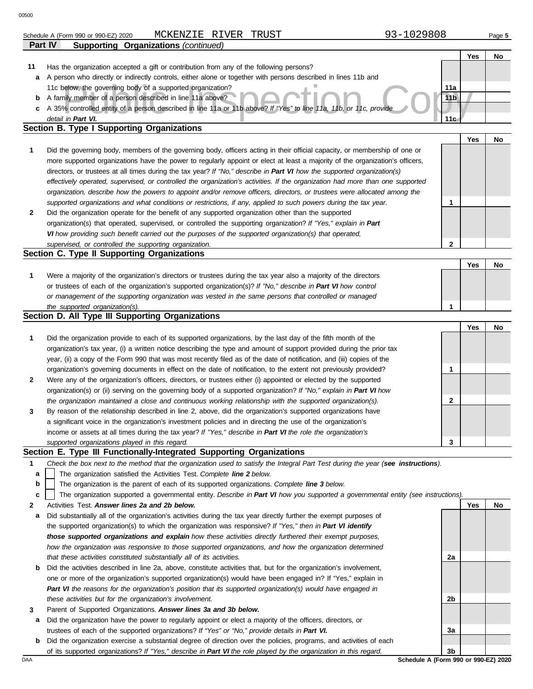|    | MCKENZIE RIVER<br>TRUST<br>Schedule A (Form 990 or 990-EZ) 2020                                                                                                                                                              | 93-1029808      |     | Page 5 |
|----|------------------------------------------------------------------------------------------------------------------------------------------------------------------------------------------------------------------------------|-----------------|-----|--------|
|    | <b>Supporting Organizations (continued)</b><br>Part IV                                                                                                                                                                       |                 |     |        |
|    |                                                                                                                                                                                                                              |                 | Yes | No     |
| 11 | Has the organization accepted a gift or contribution from any of the following persons?                                                                                                                                      |                 |     |        |
| а  | A person who directly or indirectly controls, either alone or together with persons described in lines 11b and                                                                                                               |                 |     |        |
|    | 11c below, the governing body of a supported organization?                                                                                                                                                                   | 11a             |     |        |
| b  | A family member of a person described in line 11a above?                                                                                                                                                                     | 11 <sub>b</sub> |     |        |
| с  | A 35% controlled entity of a person described in line 11a or 11b above? If "Yes" to line 11a, 11b, or 11c, provide                                                                                                           |                 |     |        |
|    | detail in Part VI.                                                                                                                                                                                                           | 11 <sub>c</sub> |     |        |
|    | Section B. Type I Supporting Organizations                                                                                                                                                                                   |                 |     |        |
|    |                                                                                                                                                                                                                              |                 | Yes | No     |
| 1  | Did the governing body, members of the governing body, officers acting in their official capacity, or membership of one or                                                                                                   |                 |     |        |
|    | more supported organizations have the power to regularly appoint or elect at least a majority of the organization's officers,                                                                                                |                 |     |        |
|    | directors, or trustees at all times during the tax year? If "No," describe in Part VI how the supported organization(s)                                                                                                      |                 |     |        |
|    | effectively operated, supervised, or controlled the organization's activities. If the organization had more than one supported                                                                                               |                 |     |        |
|    | organization, describe how the powers to appoint and/or remove officers, directors, or trustees were allocated among the                                                                                                     |                 |     |        |
|    | supported organizations and what conditions or restrictions, if any, applied to such powers during the tax year.                                                                                                             | 1               |     |        |
| 2  | Did the organization operate for the benefit of any supported organization other than the supported                                                                                                                          |                 |     |        |
|    | organization(s) that operated, supervised, or controlled the supporting organization? If "Yes," explain in Part                                                                                                              |                 |     |        |
|    | VI how providing such benefit carried out the purposes of the supported organization(s) that operated,                                                                                                                       |                 |     |        |
|    | supervised, or controlled the supporting organization.                                                                                                                                                                       | $\mathbf{2}$    |     |        |
|    | Section C. Type II Supporting Organizations                                                                                                                                                                                  |                 |     |        |
|    |                                                                                                                                                                                                                              |                 | Yes | No     |
| 1  | Were a majority of the organization's directors or trustees during the tax year also a majority of the directors                                                                                                             |                 |     |        |
|    | or trustees of each of the organization's supported organization(s)? If "No," describe in Part VI how control                                                                                                                |                 |     |        |
|    | or management of the supporting organization was vested in the same persons that controlled or managed                                                                                                                       |                 |     |        |
|    |                                                                                                                                                                                                                              |                 |     |        |
|    | the supported organization(s).                                                                                                                                                                                               | 1               |     |        |
|    | Section D. All Type III Supporting Organizations                                                                                                                                                                             |                 |     |        |
|    |                                                                                                                                                                                                                              |                 | Yes | No     |
| 1  | Did the organization provide to each of its supported organizations, by the last day of the fifth month of the                                                                                                               |                 |     |        |
|    | organization's tax year, (i) a written notice describing the type and amount of support provided during the prior tax                                                                                                        |                 |     |        |
|    | year, (ii) a copy of the Form 990 that was most recently filed as of the date of notification, and (iii) copies of the                                                                                                       |                 |     |        |
|    | organization's governing documents in effect on the date of notification, to the extent not previously provided?                                                                                                             | 1               |     |        |
| 2  | Were any of the organization's officers, directors, or trustees either (i) appointed or elected by the supported                                                                                                             |                 |     |        |
|    | organization(s) or (ii) serving on the governing body of a supported organization? If "No," explain in Part VI how                                                                                                           |                 |     |        |
|    | the organization maintained a close and continuous working relationship with the supported organization(s).                                                                                                                  | 2               |     |        |
| 3  | By reason of the relationship described in line 2, above, did the organization's supported organizations have                                                                                                                |                 |     |        |
|    | a significant voice in the organization's investment policies and in directing the use of the organization's                                                                                                                 |                 |     |        |
|    | income or assets at all times during the tax year? If "Yes," describe in Part VI the role the organization's                                                                                                                 |                 |     |        |
|    | supported organizations played in this regard.                                                                                                                                                                               | 3               |     |        |
|    | Section E. Type III Functionally-Integrated Supporting Organizations                                                                                                                                                         |                 |     |        |
| 1  | Check the box next to the method that the organization used to satisfy the Integral Part Test during the year (see instructions).                                                                                            |                 |     |        |
| a  | The organization satisfied the Activities Test. Complete line 2 below.                                                                                                                                                       |                 |     |        |
| b  | The organization is the parent of each of its supported organizations. Complete line 3 below.                                                                                                                                |                 |     |        |
| c  | The organization supported a governmental entity. Describe in Part VI how you supported a governmental entity (see instructions).                                                                                            |                 |     |        |
| 2  | Activities Test. Answer lines 2a and 2b below.                                                                                                                                                                               |                 | Yes | No     |
| а  | Did substantially all of the organization's activities during the tax year directly further the exempt purposes of                                                                                                           |                 |     |        |
|    | the supported organization(s) to which the organization was responsive? If "Yes," then in Part VI identify                                                                                                                   |                 |     |        |
|    | those supported organizations and explain how these activities directly furthered their exempt purposes,                                                                                                                     |                 |     |        |
|    | how the organization was responsive to those supported organizations, and how the organization determined                                                                                                                    |                 |     |        |
|    | that these activities constituted substantially all of its activities.                                                                                                                                                       | 2a              |     |        |
| b  | Did the activities described in line 2a, above, constitute activities that, but for the organization's involvement,                                                                                                          |                 |     |        |
|    | one or more of the organization's supported organization(s) would have been engaged in? If "Yes," explain in<br>Part VI the reasons for the organization's position that its supported organization(s) would have engaged in |                 |     |        |

- **3** *these activities but for the organization's involvement.* Parent of Supported Organizations. *Answer lines 3a and 3b below.*
- **a** Did the organization have the power to regularly appoint or elect a majority of the officers, directors, or trustees of each of the supported organizations? *If "Yes" or "No," provide details in Part VI.*
- **b** Did the organization exercise a substantial degree of direction over the policies, programs, and activities of each of its supported organizations? *If "Yes," describe in Part VI the role played by the organization in this regard.*

DAA **Schedule A (Form 990 or 990-EZ) 2020 3b**

**2b**

**3a**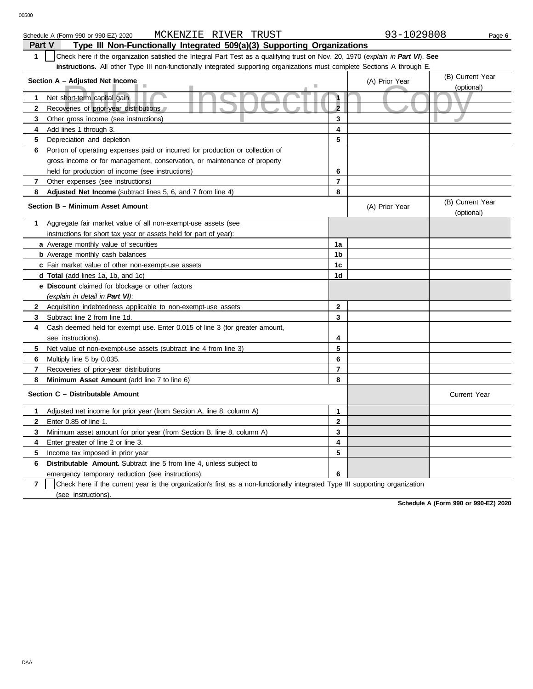| MCKENZIE RIVER TRUST<br>Schedule A (Form 990 or 990-EZ) 2020                                                                                    |                | 93-1029808     | Page 6                         |
|-------------------------------------------------------------------------------------------------------------------------------------------------|----------------|----------------|--------------------------------|
| <b>Part V</b><br>Type III Non-Functionally Integrated 509(a)(3) Supporting Organizations                                                        |                |                |                                |
| Check here if the organization satisfied the Integral Part Test as a qualifying trust on Nov. 20, 1970 (explain in Part VI). See<br>$\mathbf 1$ |                |                |                                |
| instructions. All other Type III non-functionally integrated supporting organizations must complete Sections A through E.                       |                |                |                                |
| Section A - Adjusted Net Income                                                                                                                 |                | (A) Prior Year | (B) Current Year<br>(optional) |
| Net short-term capital gain<br>1                                                                                                                | $\mathbf{1}$   |                |                                |
| $\mathbf{2}$<br>Recoveries of prior-year distributions                                                                                          | $\overline{2}$ |                |                                |
| 3<br>Other gross income (see instructions)                                                                                                      | 3              |                |                                |
| Add lines 1 through 3.<br>4                                                                                                                     | 4              |                |                                |
| 5<br>Depreciation and depletion                                                                                                                 | 5              |                |                                |
| Portion of operating expenses paid or incurred for production or collection of<br>6                                                             |                |                |                                |
| gross income or for management, conservation, or maintenance of property                                                                        |                |                |                                |
| held for production of income (see instructions)                                                                                                | 6              |                |                                |
| Other expenses (see instructions)<br>7                                                                                                          | $\overline{7}$ |                |                                |
| Adjusted Net Income (subtract lines 5, 6, and 7 from line 4)<br>8                                                                               | 8              |                |                                |
| Section B - Minimum Asset Amount                                                                                                                |                | (A) Prior Year | (B) Current Year<br>(optional) |
| Aggregate fair market value of all non-exempt-use assets (see<br>1                                                                              |                |                |                                |
| instructions for short tax year or assets held for part of year):                                                                               |                |                |                                |
| a Average monthly value of securities                                                                                                           | 1a             |                |                                |
| <b>b</b> Average monthly cash balances                                                                                                          | 1 <sub>b</sub> |                |                                |
| c Fair market value of other non-exempt-use assets                                                                                              | 1c             |                |                                |
| <b>d Total</b> (add lines 1a, 1b, and 1c)                                                                                                       | 1d             |                |                                |
| <b>e</b> Discount claimed for blockage or other factors                                                                                         |                |                |                                |
| (explain in detail in Part VI):                                                                                                                 |                |                |                                |
| $\mathbf{2}$<br>Acquisition indebtedness applicable to non-exempt-use assets                                                                    | $\mathbf{2}$   |                |                                |
| 3<br>Subtract line 2 from line 1d.                                                                                                              | 3              |                |                                |
| Cash deemed held for exempt use. Enter 0.015 of line 3 (for greater amount,<br>4                                                                |                |                |                                |
| see instructions).                                                                                                                              | 4              |                |                                |
| 5<br>Net value of non-exempt-use assets (subtract line 4 from line 3)                                                                           | 5              |                |                                |
| 6<br>Multiply line 5 by 0.035.                                                                                                                  | 6              |                |                                |
| 7<br>Recoveries of prior-year distributions                                                                                                     | $\overline{7}$ |                |                                |
| 8<br>Minimum Asset Amount (add line 7 to line 6)                                                                                                | 8              |                |                                |
| Section C - Distributable Amount                                                                                                                |                |                | Current Year                   |
| Adjusted net income for prior year (from Section A, line 8, column A)<br>1                                                                      | 1              |                |                                |
| $\mathbf{2}$<br>Enter 0.85 of line 1.                                                                                                           | $\mathbf{2}$   |                |                                |
| Minimum asset amount for prior year (from Section B, line 8, column A)<br>3                                                                     | 3              |                |                                |
| Enter greater of line 2 or line 3.<br>4                                                                                                         | 4              |                |                                |

**5**

**7** emergency temporary reduction (see instructions). (see instructions). Check here if the current year is the organization's first as a non-functionally integrated Type III supporting organization **6**

**Schedule A (Form 990 or 990-EZ) 2020**

**6**

**5** Income tax imposed in prior year

**Distributable Amount.** Subtract line 5 from line 4, unless subject to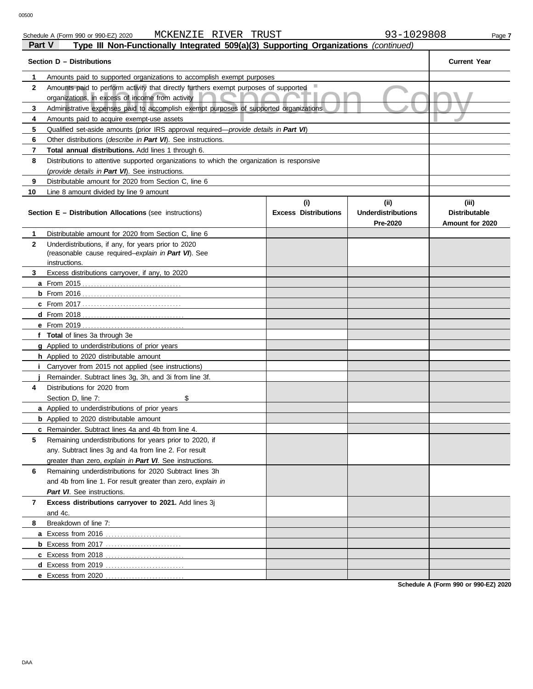| ган v        | rype in Non-Functionary integrated 509(a)(5) Supporting Organizations ( <i>continued</i> ) |                             |                                       |                                         |  |  |  |  |
|--------------|--------------------------------------------------------------------------------------------|-----------------------------|---------------------------------------|-----------------------------------------|--|--|--|--|
|              | Section D - Distributions                                                                  |                             |                                       | <b>Current Year</b>                     |  |  |  |  |
| 1            | Amounts paid to supported organizations to accomplish exempt purposes                      |                             |                                       |                                         |  |  |  |  |
| $\mathbf{2}$ | Amounts paid to perform activity that directly furthers exempt purposes of supported       |                             |                                       |                                         |  |  |  |  |
|              | organizations, in excess of income from activity                                           |                             |                                       |                                         |  |  |  |  |
| 3            | Administrative expenses paid to accomplish exempt purposes of supported organizations      |                             |                                       |                                         |  |  |  |  |
| 4            | Amounts paid to acquire exempt-use assets                                                  |                             |                                       |                                         |  |  |  |  |
| 5            | Qualified set-aside amounts (prior IRS approval required—provide details in Part VI)       |                             |                                       |                                         |  |  |  |  |
| 6            | Other distributions (describe in Part VI). See instructions.                               |                             |                                       |                                         |  |  |  |  |
| 7            | <b>Total annual distributions.</b> Add lines 1 through 6.                                  |                             |                                       |                                         |  |  |  |  |
| 8            | Distributions to attentive supported organizations to which the organization is responsive |                             |                                       |                                         |  |  |  |  |
|              | (provide details in Part VI). See instructions.                                            |                             |                                       |                                         |  |  |  |  |
| 9            | Distributable amount for 2020 from Section C, line 6                                       |                             |                                       |                                         |  |  |  |  |
| 10           | Line 8 amount divided by line 9 amount                                                     |                             |                                       |                                         |  |  |  |  |
|              |                                                                                            | (i)                         | (ii)                                  | (iii)                                   |  |  |  |  |
|              | <b>Section E - Distribution Allocations (see instructions)</b>                             | <b>Excess Distributions</b> | <b>Underdistributions</b><br>Pre-2020 | <b>Distributable</b><br>Amount for 2020 |  |  |  |  |
| 1            | Distributable amount for 2020 from Section C, line 6                                       |                             |                                       |                                         |  |  |  |  |
| $\mathbf{2}$ | Underdistributions, if any, for years prior to 2020                                        |                             |                                       |                                         |  |  |  |  |
|              | (reasonable cause required-explain in Part VI). See                                        |                             |                                       |                                         |  |  |  |  |
|              | instructions.                                                                              |                             |                                       |                                         |  |  |  |  |
| 3            | Excess distributions carryover, if any, to 2020                                            |                             |                                       |                                         |  |  |  |  |
|              |                                                                                            |                             |                                       |                                         |  |  |  |  |
|              |                                                                                            |                             |                                       |                                         |  |  |  |  |
|              |                                                                                            |                             |                                       |                                         |  |  |  |  |
|              |                                                                                            |                             |                                       |                                         |  |  |  |  |
|              |                                                                                            |                             |                                       |                                         |  |  |  |  |
|              | f Total of lines 3a through 3e                                                             |                             |                                       |                                         |  |  |  |  |
|              | g Applied to underdistributions of prior years                                             |                             |                                       |                                         |  |  |  |  |
|              | h Applied to 2020 distributable amount                                                     |                             |                                       |                                         |  |  |  |  |
| Ť.           | Carryover from 2015 not applied (see instructions)                                         |                             |                                       |                                         |  |  |  |  |
|              | Remainder. Subtract lines 3g, 3h, and 3i from line 3f.                                     |                             |                                       |                                         |  |  |  |  |
| 4            | Distributions for 2020 from                                                                |                             |                                       |                                         |  |  |  |  |
|              | \$<br>Section D, line 7:                                                                   |                             |                                       |                                         |  |  |  |  |
|              | a Applied to underdistributions of prior years                                             |                             |                                       |                                         |  |  |  |  |
|              | <b>b</b> Applied to 2020 distributable amount                                              |                             |                                       |                                         |  |  |  |  |
|              | <b>c</b> Remainder. Subtract lines 4a and 4b from line 4.                                  |                             |                                       |                                         |  |  |  |  |
| 5            | Remaining underdistributions for years prior to 2020, if                                   |                             |                                       |                                         |  |  |  |  |
|              | any. Subtract lines 3g and 4a from line 2. For result                                      |                             |                                       |                                         |  |  |  |  |
|              | greater than zero, explain in Part VI. See instructions.                                   |                             |                                       |                                         |  |  |  |  |
| 6            | Remaining underdistributions for 2020 Subtract lines 3h                                    |                             |                                       |                                         |  |  |  |  |
|              | and 4b from line 1. For result greater than zero, explain in                               |                             |                                       |                                         |  |  |  |  |
|              | Part VI. See instructions.                                                                 |                             |                                       |                                         |  |  |  |  |
| 7            | Excess distributions carryover to 2021. Add lines 3j                                       |                             |                                       |                                         |  |  |  |  |
|              | and 4c.                                                                                    |                             |                                       |                                         |  |  |  |  |
| 8            | Breakdown of line 7:                                                                       |                             |                                       |                                         |  |  |  |  |
|              | a Excess from 2016                                                                         |                             |                                       |                                         |  |  |  |  |
|              |                                                                                            |                             |                                       |                                         |  |  |  |  |
|              | c Excess from 2018                                                                         |                             |                                       |                                         |  |  |  |  |
|              | d Excess from 2019                                                                         |                             |                                       |                                         |  |  |  |  |
|              | e Excess from 2020                                                                         |                             |                                       |                                         |  |  |  |  |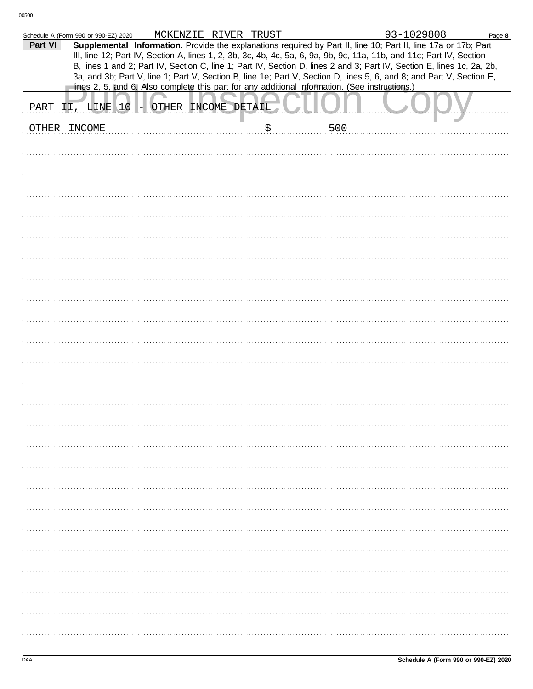| Part VI | Schedule A (Form 990 or 990-EZ) 2020 | MCKENZIE RIVER TRUST |                                                                                                | 93-1029808<br>Supplemental Information. Provide the explanations required by Part II, line 10; Part II, line 17a or 17b; Part<br>III, line 12; Part IV, Section A, lines 1, 2, 3b, 3c, 4b, 4c, 5a, 6, 9a, 9b, 9c, 11a, 11b, and 11c; Part IV, Section<br>B, lines 1 and 2; Part IV, Section C, line 1; Part IV, Section D, lines 2 and 3; Part IV, Section E, lines 1c, 2a, 2b,<br>3a, and 3b; Part V, line 1; Part V, Section B, line 1e; Part V, Section D, lines 5, 6, and 8; and Part V, Section E, | Page 8 |
|---------|--------------------------------------|----------------------|------------------------------------------------------------------------------------------------|---------------------------------------------------------------------------------------------------------------------------------------------------------------------------------------------------------------------------------------------------------------------------------------------------------------------------------------------------------------------------------------------------------------------------------------------------------------------------------------------------------|--------|
|         |                                      |                      | lines 2, 5, and 6. Also complete this part for any additional information. (See instructions.) |                                                                                                                                                                                                                                                                                                                                                                                                                                                                                                         |        |
| PART    | II, LINE 10 - OTHER INCOME DETAIL    |                      |                                                                                                |                                                                                                                                                                                                                                                                                                                                                                                                                                                                                                         |        |
|         | OTHER INCOME                         |                      | 500                                                                                            |                                                                                                                                                                                                                                                                                                                                                                                                                                                                                                         |        |
|         |                                      |                      |                                                                                                |                                                                                                                                                                                                                                                                                                                                                                                                                                                                                                         |        |
|         |                                      |                      |                                                                                                |                                                                                                                                                                                                                                                                                                                                                                                                                                                                                                         |        |
|         |                                      |                      |                                                                                                |                                                                                                                                                                                                                                                                                                                                                                                                                                                                                                         |        |
|         |                                      |                      |                                                                                                |                                                                                                                                                                                                                                                                                                                                                                                                                                                                                                         |        |
|         |                                      |                      |                                                                                                |                                                                                                                                                                                                                                                                                                                                                                                                                                                                                                         |        |
|         |                                      |                      |                                                                                                |                                                                                                                                                                                                                                                                                                                                                                                                                                                                                                         |        |
|         |                                      |                      |                                                                                                |                                                                                                                                                                                                                                                                                                                                                                                                                                                                                                         |        |
|         |                                      |                      |                                                                                                |                                                                                                                                                                                                                                                                                                                                                                                                                                                                                                         |        |
|         |                                      |                      |                                                                                                |                                                                                                                                                                                                                                                                                                                                                                                                                                                                                                         |        |
|         |                                      |                      |                                                                                                |                                                                                                                                                                                                                                                                                                                                                                                                                                                                                                         |        |
|         |                                      |                      |                                                                                                |                                                                                                                                                                                                                                                                                                                                                                                                                                                                                                         |        |
|         |                                      |                      |                                                                                                |                                                                                                                                                                                                                                                                                                                                                                                                                                                                                                         |        |
|         |                                      |                      |                                                                                                |                                                                                                                                                                                                                                                                                                                                                                                                                                                                                                         |        |
|         |                                      |                      |                                                                                                |                                                                                                                                                                                                                                                                                                                                                                                                                                                                                                         |        |
|         |                                      |                      |                                                                                                |                                                                                                                                                                                                                                                                                                                                                                                                                                                                                                         |        |
|         |                                      |                      |                                                                                                |                                                                                                                                                                                                                                                                                                                                                                                                                                                                                                         |        |
|         |                                      |                      |                                                                                                |                                                                                                                                                                                                                                                                                                                                                                                                                                                                                                         |        |
|         |                                      |                      |                                                                                                |                                                                                                                                                                                                                                                                                                                                                                                                                                                                                                         |        |
|         |                                      |                      |                                                                                                |                                                                                                                                                                                                                                                                                                                                                                                                                                                                                                         |        |
|         |                                      |                      |                                                                                                |                                                                                                                                                                                                                                                                                                                                                                                                                                                                                                         |        |
|         |                                      |                      |                                                                                                |                                                                                                                                                                                                                                                                                                                                                                                                                                                                                                         |        |
|         |                                      |                      |                                                                                                |                                                                                                                                                                                                                                                                                                                                                                                                                                                                                                         |        |
|         |                                      |                      |                                                                                                |                                                                                                                                                                                                                                                                                                                                                                                                                                                                                                         |        |
|         |                                      |                      |                                                                                                |                                                                                                                                                                                                                                                                                                                                                                                                                                                                                                         |        |
|         |                                      |                      |                                                                                                |                                                                                                                                                                                                                                                                                                                                                                                                                                                                                                         |        |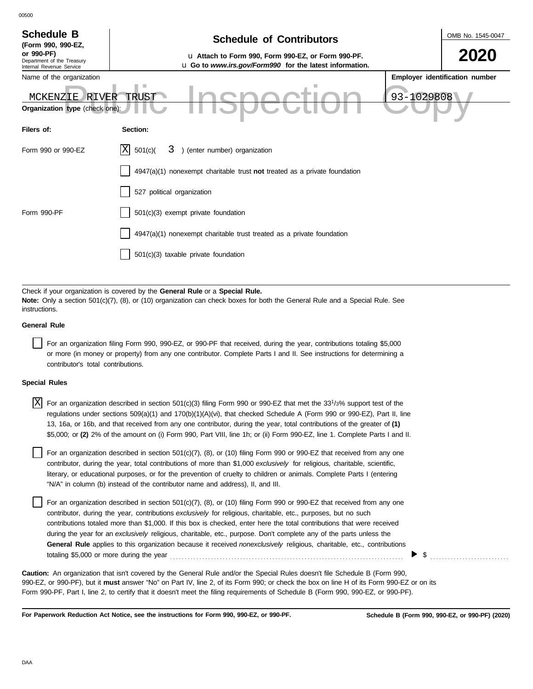| <b>Schedule B</b><br>(Form 990, 990-EZ,                              | <b>Schedule of Contributors</b>                                                                               |            | OMB No. 1545-0047              |
|----------------------------------------------------------------------|---------------------------------------------------------------------------------------------------------------|------------|--------------------------------|
| or 990-PF)<br>Department of the Treasury<br>Internal Revenue Service | u Attach to Form 990, Form 990-EZ, or Form 990-PF.<br>u Go to www.irs.gov/Form990 for the latest information. |            | 2020                           |
| Name of the organization                                             |                                                                                                               |            | Employer identification number |
| MCKENZIE<br>RIVER                                                    | <b>TRUST</b>                                                                                                  | 93-1029808 |                                |
| Organization type (check one):                                       |                                                                                                               |            |                                |
| Filers of:                                                           | Section:                                                                                                      |            |                                |
| Form 990 or 990-EZ                                                   | ΙXΙ<br>) (enter number) organization<br>501(c)<br>3.                                                          |            |                                |
|                                                                      | 4947(a)(1) nonexempt charitable trust not treated as a private foundation                                     |            |                                |
|                                                                      | 527 political organization                                                                                    |            |                                |
| Form 990-PF                                                          | 501(c)(3) exempt private foundation                                                                           |            |                                |
|                                                                      | 4947(a)(1) nonexempt charitable trust treated as a private foundation                                         |            |                                |
|                                                                      | $501(c)(3)$ taxable private foundation                                                                        |            |                                |

Check if your organization is covered by the **General Rule** or a **Special Rule. Note:** Only a section 501(c)(7), (8), or (10) organization can check boxes for both the General Rule and a Special Rule. See instructions.

### **General Rule**

00500

For an organization filing Form 990, 990-EZ, or 990-PF that received, during the year, contributions totaling \$5,000 or more (in money or property) from any one contributor. Complete Parts I and II. See instructions for determining a contributor's total contributions.

#### **Special Rules**

| $X$ For an organization described in section 501(c)(3) filing Form 990 or 990-EZ that met the 33 <sup>1</sup> /3% support test of the |
|---------------------------------------------------------------------------------------------------------------------------------------|
| regulations under sections 509(a)(1) and 170(b)(1)(A)(vi), that checked Schedule A (Form 990 or 990-EZ), Part II, line                |
| 13, 16a, or 16b, and that received from any one contributor, during the year, total contributions of the greater of (1)               |
| \$5,000; or (2) 2% of the amount on (i) Form 990, Part VIII, line 1h; or (ii) Form 990-EZ, line 1. Complete Parts I and II.           |

literary, or educational purposes, or for the prevention of cruelty to children or animals. Complete Parts I (entering For an organization described in section  $501(c)(7)$ ,  $(8)$ , or  $(10)$  filing Form 990 or 990-EZ that received from any one contributor, during the year, total contributions of more than \$1,000 *exclusively* for religious, charitable, scientific, "N/A" in column (b) instead of the contributor name and address), II, and III.

For an organization described in section 501(c)(7), (8), or (10) filing Form 990 or 990-EZ that received from any one contributor, during the year, contributions *exclusively* for religious, charitable, etc., purposes, but no such contributions totaled more than \$1,000. If this box is checked, enter here the total contributions that were received during the year for an *exclusively* religious, charitable, etc., purpose. Don't complete any of the parts unless the **General Rule** applies to this organization because it received *nonexclusively* religious, charitable, etc., contributions totaling \$5,000 or more during the year . . . . . . . . . . . . . . . . . . . . . . . . . . . . . . . . . . . . . . . . . . . . . . . . . . . . . . . . . . . . . . . . . . . . . . . . . . . . . . . .

990-EZ, or 990-PF), but it **must** answer "No" on Part IV, line 2, of its Form 990; or check the box on line H of its Form 990-EZ or on its Form 990-PF, Part I, line 2, to certify that it doesn't meet the filing requirements of Schedule B (Form 990, 990-EZ, or 990-PF). **Caution:** An organization that isn't covered by the General Rule and/or the Special Rules doesn't file Schedule B (Form 990,

**For Paperwork Reduction Act Notice, see the instructions for Form 990, 990-EZ, or 990-PF.**

\$ . . . . . . . . . . . . . . . . . . . . . . . . . . .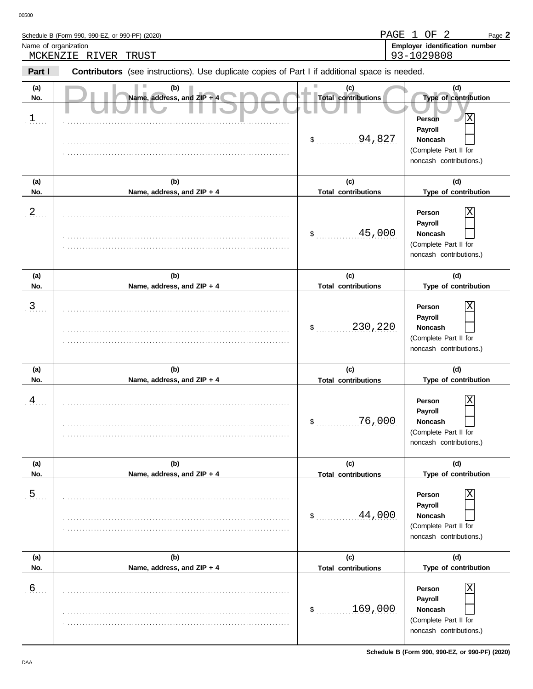|                             | Schedule B (Form 990, 990-EZ, or 990-PF) (2020)                                                                                  |                                                              | $\overline{2}$<br>PAGE 1 OF<br>Page 2                                                                                              |
|-----------------------------|----------------------------------------------------------------------------------------------------------------------------------|--------------------------------------------------------------|------------------------------------------------------------------------------------------------------------------------------------|
| Name of organization        |                                                                                                                                  |                                                              | Employer identification number                                                                                                     |
| Part I                      | MCKENZIE RIVER<br>TRUST<br><b>Contributors</b> (see instructions). Use duplicate copies of Part I if additional space is needed. |                                                              | 93-1029808                                                                                                                         |
| (a)<br>No.<br>$\frac{1}{2}$ | (b)<br>Name, address, and ZIP + 4                                                                                                | (c)<br><b>Total contributions</b><br>94,827<br>$\frac{1}{2}$ | (d)<br>Type of contribution<br>Χ<br><b>Person</b><br>Payroll<br><b>Noncash</b><br>(Complete Part II for<br>noncash contributions.) |
| (a)<br>No.                  | (b)<br>Name, address, and ZIP + 4                                                                                                | (c)<br><b>Total contributions</b>                            | (d)<br>Type of contribution                                                                                                        |
| $\frac{2}{2}$ .             |                                                                                                                                  | 45,000<br>\$                                                 | Person<br>Payroll<br><b>Noncash</b><br>(Complete Part II for<br>noncash contributions.)                                            |
| (a)<br>No.                  | (b)<br>Name, address, and ZIP + 4                                                                                                | (c)<br><b>Total contributions</b>                            | (d)<br>Type of contribution                                                                                                        |
| $\overline{3}$              |                                                                                                                                  | 230,220<br>\$                                                | Person<br>Payroll<br><b>Noncash</b><br>(Complete Part II for<br>noncash contributions.)                                            |
| (a)<br>No.                  | (b)<br>Name, address, and ZIP + 4                                                                                                | (c)<br><b>Total contributions</b>                            | (d)<br>Type of contribution                                                                                                        |
| 4                           |                                                                                                                                  | 76,000<br>\$                                                 | Person<br>Payroll<br>Noncash<br>(Complete Part II for<br>noncash contributions.)                                                   |
| (a)<br>No.                  | (b)<br>Name, address, and ZIP + 4                                                                                                | (c)<br><b>Total contributions</b>                            | (d)<br>Type of contribution                                                                                                        |
| $\overline{5}$              |                                                                                                                                  | 44,000<br>$\mathsf{s}$ .                                     | Person<br>Payroll<br><b>Noncash</b><br>(Complete Part II for<br>noncash contributions.)                                            |
| (a)<br>No.                  | (b)<br>Name, address, and ZIP + 4                                                                                                | (c)<br><b>Total contributions</b>                            | (d)<br>Type of contribution                                                                                                        |
| $6 \overline{6}$            |                                                                                                                                  |                                                              | $\overline{\mathrm{x}}$<br>Person                                                                                                  |

. . . . . . . . . . . . . . . . . . . . . . . . . . . . . . . . . . . . . . . . . . . . . . . . . . . . . . . . . . . . . . . . . . . . . . . . . . . . . . . . . . . . . . . . . . . . . . . . . . . . . . . . . . . . . . . . . . . . . . . . . . . . . . . . . . . . . . . . . . . . . . . . . . . . . . . . . .

(Complete Part II for noncash contributions.)

**Person Payroll Noncash**

 $$\dots \dots $169,000$\,.}$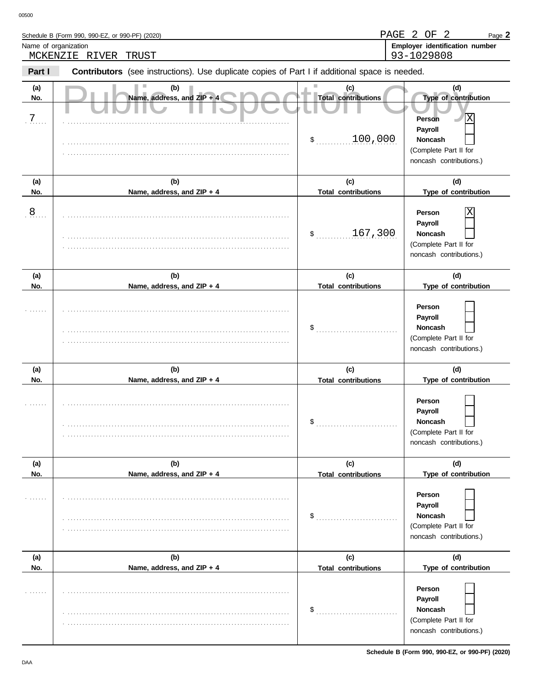|                      | Schedule B (Form 990, 990-EZ, or 990-PF) (2020)                                                |                                                               | PAGE 2 OF 2<br>Page 2                                                                                                        |
|----------------------|------------------------------------------------------------------------------------------------|---------------------------------------------------------------|------------------------------------------------------------------------------------------------------------------------------|
| Name of organization | MCKENZIE RIVER<br>TRUST                                                                        |                                                               | Employer identification number<br>93-1029808                                                                                 |
| Part I               | Contributors (see instructions). Use duplicate copies of Part I if additional space is needed. |                                                               |                                                                                                                              |
| (a)<br>No.<br>7      | (b)<br>Name, address, and ZIP + 4                                                              | (c)<br><b>Total contributions</b><br>100,000<br>$\frac{1}{2}$ | (d)<br>Type of contribution<br>ΙX<br><b>Person</b><br>Payroll<br>Noncash<br>(Complete Part II for<br>noncash contributions.) |
| (a)<br>No.           | (b)<br>Name, address, and ZIP + 4                                                              | (c)<br><b>Total contributions</b>                             | (d)<br>Type of contribution                                                                                                  |
| 8                    |                                                                                                | 167,300<br>$\mathsf{S}$                                       | Person<br>Payroll<br>Noncash<br>(Complete Part II for<br>noncash contributions.)                                             |
| (a)<br>No.           | (b)<br>Name, address, and ZIP + 4                                                              | (c)<br><b>Total contributions</b>                             | (d)<br>Type of contribution                                                                                                  |
|                      |                                                                                                | \$                                                            | Person<br>Payroll<br>Noncash<br>(Complete Part II for<br>noncash contributions.)                                             |
| (a)<br>No.           | (b)<br>Name, address, and ZIP + 4                                                              | (c)<br><b>Total contributions</b>                             | (d)<br>Type of contribution                                                                                                  |
|                      |                                                                                                | \$                                                            | Person<br>Payroll<br>Noncash<br>(Complete Part II for<br>noncash contributions.)                                             |
| (a)<br>No.           | (b)<br>Name, address, and ZIP + 4                                                              | (c)<br><b>Total contributions</b>                             | (d)<br>Type of contribution                                                                                                  |
| .                    |                                                                                                | \$                                                            | Person<br>Payroll<br>Noncash<br>(Complete Part II for<br>noncash contributions.)                                             |
| (a)<br>No.           | (b)<br>Name, address, and ZIP + 4                                                              | (c)<br><b>Total contributions</b>                             | (d)<br>Type of contribution                                                                                                  |
|                      |                                                                                                |                                                               | Person                                                                                                                       |

 $\mathfrak{S}$ 

. . . . . . . . . . . . . . . . . . . . . . . . . . . . . . . . . . . . . . . . . . . . . . . . . . . . . . . . . . . . . . . . . . . . . . . . . . . . . . . . . . . . . . . . . . . . . . . . . . . . . . . . . . . . . . . . . . . . . . . . . . . . . . . . . . . . . . . . . . . . . . . . . . . . . . . . . .

(Complete Part II for noncash contributions.)

**Payroll Noncash**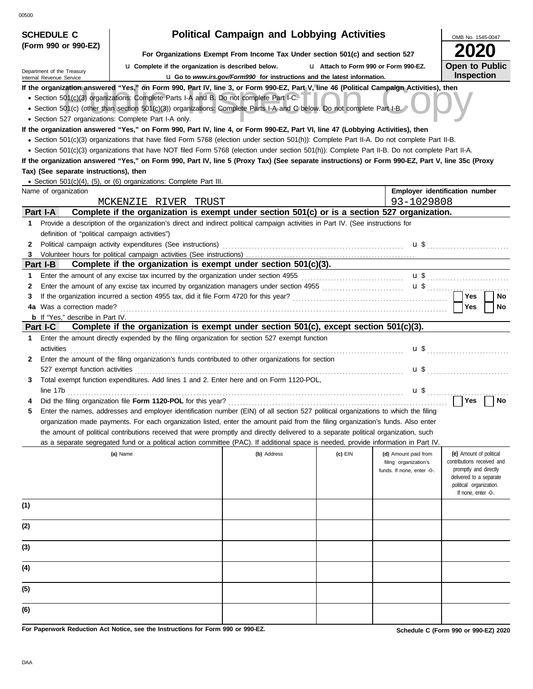| <b>SCHEDULE C</b>                                                    |                                                                                                                                                                                                                                                                                                                                                                                                                                                                                                                                                                                      | <b>Political Campaign and Lobbying Activities</b>                               |                                       |                                                                             | OMB No. 1545-0047                                                                                                                                           |  |  |
|----------------------------------------------------------------------|--------------------------------------------------------------------------------------------------------------------------------------------------------------------------------------------------------------------------------------------------------------------------------------------------------------------------------------------------------------------------------------------------------------------------------------------------------------------------------------------------------------------------------------------------------------------------------------|---------------------------------------------------------------------------------|---------------------------------------|-----------------------------------------------------------------------------|-------------------------------------------------------------------------------------------------------------------------------------------------------------|--|--|
| (Form 990 or 990-EZ)                                                 | For Organizations Exempt From Income Tax Under section 501(c) and section 527                                                                                                                                                                                                                                                                                                                                                                                                                                                                                                        |                                                                                 |                                       |                                                                             |                                                                                                                                                             |  |  |
|                                                                      |                                                                                                                                                                                                                                                                                                                                                                                                                                                                                                                                                                                      |                                                                                 | L1 Attach to Form 990 or Form 990-EZ. |                                                                             | <b>Open to Public</b>                                                                                                                                       |  |  |
| Department of the Treasury<br>Internal Revenue Service               | La Complete if the organization is described below.                                                                                                                                                                                                                                                                                                                                                                                                                                                                                                                                  | <b>u</b> Go to www.irs.gov/Form990 for instructions and the latest information. |                                       |                                                                             | Inspection                                                                                                                                                  |  |  |
|                                                                      | If the organization answered "Yes," on Form 990, Part IV, line 3, or Form 990-EZ, Part V, line 46 (Political Campaign Activities), then<br>• Section 501(c)(3) organizations: Complete Parts I-A and B. Do not complete Part I-C.<br>• Section 501(c) (other than section 501(c)(3)) organizations: Complete Parts I-A and C below. Do not complete Part I-B.<br>• Section 527 organizations: Complete Part I-A only.                                                                                                                                                                |                                                                                 |                                       |                                                                             |                                                                                                                                                             |  |  |
| Tax) (See separate instructions), then                               | If the organization answered "Yes," on Form 990, Part IV, line 4, or Form 990-EZ, Part VI, line 47 (Lobbying Activities), then<br>• Section 501(c)(3) organizations that have filed Form 5768 (election under section 501(h)): Complete Part II-A. Do not complete Part II-B.<br>• Section 501(c)(3) organizations that have NOT filed Form 5768 (election under section 501(h)): Complete Part II-B. Do not complete Part II-A.<br>If the organization answered "Yes," on Form 990, Part IV, line 5 (Proxy Tax) (See separate instructions) or Form 990-EZ, Part V, line 35c (Proxy |                                                                                 |                                       |                                                                             |                                                                                                                                                             |  |  |
|                                                                      | • Section 501(c)(4), (5), or (6) organizations: Complete Part III.                                                                                                                                                                                                                                                                                                                                                                                                                                                                                                                   |                                                                                 |                                       |                                                                             |                                                                                                                                                             |  |  |
| Name of organization                                                 |                                                                                                                                                                                                                                                                                                                                                                                                                                                                                                                                                                                      |                                                                                 |                                       |                                                                             | Employer identification number                                                                                                                              |  |  |
|                                                                      | MCKENZIE RIVER TRUST                                                                                                                                                                                                                                                                                                                                                                                                                                                                                                                                                                 |                                                                                 |                                       | 93-1029808                                                                  |                                                                                                                                                             |  |  |
| Part I-A                                                             | Complete if the organization is exempt under section 501(c) or is a section 527 organization.                                                                                                                                                                                                                                                                                                                                                                                                                                                                                        |                                                                                 |                                       |                                                                             |                                                                                                                                                             |  |  |
| $\mathbf 1$<br>definition of "political campaign activities")        | Provide a description of the organization's direct and indirect political campaign activities in Part IV. (See instructions for                                                                                                                                                                                                                                                                                                                                                                                                                                                      |                                                                                 |                                       |                                                                             |                                                                                                                                                             |  |  |
| 2<br>3                                                               | Political campaign activity expenditures (See instructions)                                                                                                                                                                                                                                                                                                                                                                                                                                                                                                                          |                                                                                 |                                       |                                                                             |                                                                                                                                                             |  |  |
| Part I-B                                                             | Complete if the organization is exempt under section 501(c)(3).                                                                                                                                                                                                                                                                                                                                                                                                                                                                                                                      |                                                                                 |                                       |                                                                             |                                                                                                                                                             |  |  |
| 1.                                                                   | Enter the amount of any excise tax incurred by the organization under section 4955 [[[[[[[[[[[[[[[[[[[[[[[[[[[                                                                                                                                                                                                                                                                                                                                                                                                                                                                       |                                                                                 |                                       |                                                                             |                                                                                                                                                             |  |  |
| 2                                                                    |                                                                                                                                                                                                                                                                                                                                                                                                                                                                                                                                                                                      |                                                                                 |                                       |                                                                             |                                                                                                                                                             |  |  |
| 3                                                                    | If the organization incurred a section 4955 tax, did it file Form 4720 for this year?                                                                                                                                                                                                                                                                                                                                                                                                                                                                                                |                                                                                 |                                       |                                                                             | Yes<br>No                                                                                                                                                   |  |  |
| 4a Was a correction made?<br><b>b</b> If "Yes," describe in Part IV. |                                                                                                                                                                                                                                                                                                                                                                                                                                                                                                                                                                                      |                                                                                 |                                       |                                                                             | Yes<br>No                                                                                                                                                   |  |  |
| Part I-C                                                             | Complete if the organization is exempt under section 501(c), except section 501(c)(3).                                                                                                                                                                                                                                                                                                                                                                                                                                                                                               |                                                                                 |                                       |                                                                             |                                                                                                                                                             |  |  |
| $\mathbf 1$<br>activities                                            | Enter the amount directly expended by the filing organization for section 527 exempt function                                                                                                                                                                                                                                                                                                                                                                                                                                                                                        |                                                                                 |                                       | u \$                                                                        |                                                                                                                                                             |  |  |
| 2<br>527 exempt function activities                                  | Enter the amount of the filing organization's funds contributed to other organizations for section                                                                                                                                                                                                                                                                                                                                                                                                                                                                                   |                                                                                 |                                       | $\mathbf{u}$ s                                                              |                                                                                                                                                             |  |  |
| 3<br>line 17b                                                        | Total exempt function expenditures. Add lines 1 and 2. Enter here and on Form 1120-POL,                                                                                                                                                                                                                                                                                                                                                                                                                                                                                              |                                                                                 |                                       | $\mathbf{u}$ \$                                                             |                                                                                                                                                             |  |  |
|                                                                      | Did the filing organization file Form 1120-POL for this year?                                                                                                                                                                                                                                                                                                                                                                                                                                                                                                                        |                                                                                 |                                       |                                                                             | Yes<br>No                                                                                                                                                   |  |  |
| 5                                                                    | Enter the names, addresses and employer identification number (EIN) of all section 527 political organizations to which the filing<br>organization made payments. For each organization listed, enter the amount paid from the filing organization's funds. Also enter                                                                                                                                                                                                                                                                                                               |                                                                                 |                                       |                                                                             |                                                                                                                                                             |  |  |
|                                                                      | the amount of political contributions received that were promptly and directly delivered to a separate political organization, such<br>as a separate segregated fund or a political action committee (PAC). If additional space is needed, provide information in Part IV.                                                                                                                                                                                                                                                                                                           |                                                                                 |                                       |                                                                             |                                                                                                                                                             |  |  |
|                                                                      | (a) Name                                                                                                                                                                                                                                                                                                                                                                                                                                                                                                                                                                             | (b) Address                                                                     | (c) EIN                               | (d) Amount paid from<br>filing organization's<br>funds. If none, enter -0-. | (e) Amount of political<br>contributions received and<br>promptly and directly<br>delivered to a separate<br>political organization.<br>If none, enter -0-. |  |  |
| (1)                                                                  |                                                                                                                                                                                                                                                                                                                                                                                                                                                                                                                                                                                      |                                                                                 |                                       |                                                                             |                                                                                                                                                             |  |  |
| (2)                                                                  |                                                                                                                                                                                                                                                                                                                                                                                                                                                                                                                                                                                      |                                                                                 |                                       |                                                                             |                                                                                                                                                             |  |  |
| (3)                                                                  |                                                                                                                                                                                                                                                                                                                                                                                                                                                                                                                                                                                      |                                                                                 |                                       |                                                                             |                                                                                                                                                             |  |  |
| (4)                                                                  |                                                                                                                                                                                                                                                                                                                                                                                                                                                                                                                                                                                      |                                                                                 |                                       |                                                                             |                                                                                                                                                             |  |  |
| (5)                                                                  |                                                                                                                                                                                                                                                                                                                                                                                                                                                                                                                                                                                      |                                                                                 |                                       |                                                                             |                                                                                                                                                             |  |  |
| (6)                                                                  |                                                                                                                                                                                                                                                                                                                                                                                                                                                                                                                                                                                      |                                                                                 |                                       |                                                                             |                                                                                                                                                             |  |  |

**For Paperwork Reduction Act Notice, see the Instructions for Form 990 or 990-EZ.**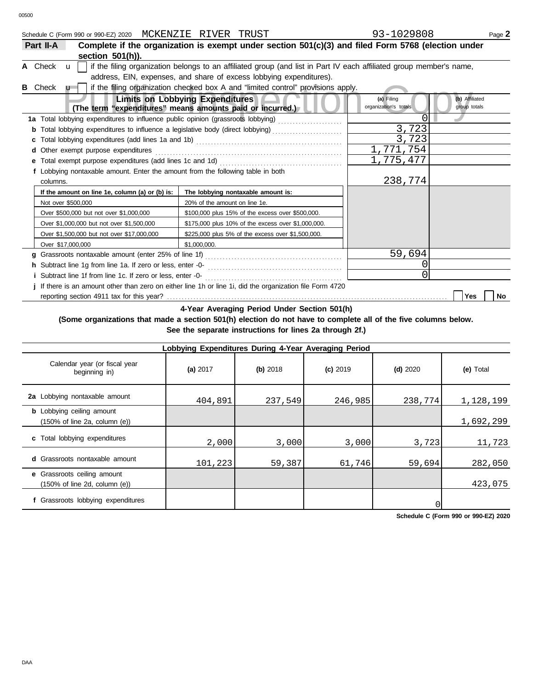|                | Schedule C (Form 990 or 990-EZ) 2020 MCKENZIE RIVER TRUST |                                                                     |  |                                                                                  | 93-1029808                                                                                                                                 | Page 2 |
|----------------|-----------------------------------------------------------|---------------------------------------------------------------------|--|----------------------------------------------------------------------------------|--------------------------------------------------------------------------------------------------------------------------------------------|--------|
| Part II-A      |                                                           |                                                                     |  |                                                                                  | Complete if the organization is exempt under section 501(c)(3) and filed Form 5768 (election under                                         |        |
|                | section 501(h)).                                          |                                                                     |  |                                                                                  |                                                                                                                                            |        |
|                |                                                           |                                                                     |  |                                                                                  | A Check $\mathbf{u}$   if the filing organization belongs to an affiliated group (and list in Part IV each affiliated group member's name, |        |
|                |                                                           | address, EIN, expenses, and share of excess lobbying expenditures). |  |                                                                                  |                                                                                                                                            |        |
| <b>B</b> Check | 11                                                        |                                                                     |  | if the filing organization checked box A and "limited control" provisions apply. |                                                                                                                                            |        |

| Check<br>$\mathbf{u}$                                                            | if the filing organization checked box A and "limited control" provisions apply.                          |                                     |                                |
|----------------------------------------------------------------------------------|-----------------------------------------------------------------------------------------------------------|-------------------------------------|--------------------------------|
|                                                                                  | <b>Limits on Lobbying Expenditures</b><br>(The term "expenditures" means amounts paid or incurred.)       | (a) Filing<br>organization's totals | (b) Affiliated<br>group totals |
| 1a Total lobbying expenditures to influence public opinion (grassroots lobbying) |                                                                                                           | 0                                   |                                |
|                                                                                  | <b>b</b> Total lobbying expenditures to influence a legislative body (direct lobbying)                    | 3,723                               |                                |
|                                                                                  |                                                                                                           | 3,723                               |                                |
|                                                                                  | 1,771,754                                                                                                 |                                     |                                |
|                                                                                  |                                                                                                           | 1,775,477                           |                                |
| f Lobbying nontaxable amount. Enter the amount from the following table in both  |                                                                                                           |                                     |                                |
| columns.                                                                         |                                                                                                           | 238,774                             |                                |
| If the amount on line 1e, column (a) or (b) is:                                  | The lobbying nontaxable amount is:                                                                        |                                     |                                |
| Not over \$500,000                                                               | 20% of the amount on line 1e.                                                                             |                                     |                                |
| Over \$500,000 but not over \$1,000,000                                          | \$100,000 plus 15% of the excess over \$500,000.                                                          |                                     |                                |
| Over \$1,000,000 but not over \$1,500,000                                        | \$175,000 plus 10% of the excess over \$1,000,000.                                                        |                                     |                                |
| Over \$1,500,000 but not over \$17,000,000                                       | \$225,000 plus 5% of the excess over \$1,500,000.                                                         |                                     |                                |
| Over \$17,000,000                                                                | \$1,000,000.                                                                                              |                                     |                                |
|                                                                                  |                                                                                                           | 59,694                              |                                |
|                                                                                  |                                                                                                           |                                     |                                |
| i Subtract line 1f from line 1c. If zero or less, enter -0-                      |                                                                                                           | 0                                   |                                |
|                                                                                  | j If there is an amount other than zero on either line 1h or line 1i, did the organization file Form 4720 |                                     |                                |
| reporting section 4911 tax for this year?                                        |                                                                                                           |                                     | Yes<br>No                      |

**4-Year Averaging Period Under Section 501(h)**

**(Some organizations that made a section 501(h) election do not have to complete all of the five columns below. See the separate instructions for lines 2a through 2f.)**

| Lobbying Expenditures During 4-Year Averaging Period                                   |            |            |            |            |           |  |  |  |  |  |  |
|----------------------------------------------------------------------------------------|------------|------------|------------|------------|-----------|--|--|--|--|--|--|
| Calendar year (or fiscal year<br>beginning in)                                         | (a) $2017$ | $(b)$ 2018 | $(c)$ 2019 | $(d)$ 2020 | (e) Total |  |  |  |  |  |  |
| 2a Lobbying nontaxable amount                                                          | 404,891    | 237,549    | 246,985    | 238,774    | 1,128,199 |  |  |  |  |  |  |
| <b>b</b> Lobbying ceiling amount<br>$(150\% \text{ of line } 2a, \text{ column } (e))$ |            |            |            |            | 1,692,299 |  |  |  |  |  |  |
| c Total lobbying expenditures                                                          | 2,000      | 3,000      | 3,000      | 3,723      | 11,723    |  |  |  |  |  |  |
| <b>d</b> Grassroots nontaxable amount                                                  | 101,223    | 59,387     | 61,746     | 59,694     | 282,050   |  |  |  |  |  |  |
| e Grassroots ceiling amount<br>$(150\% \text{ of line } 2d, \text{ column } (e))$      |            |            |            |            | 423,075   |  |  |  |  |  |  |
| f Grassroots lobbying expenditures                                                     |            |            |            |            |           |  |  |  |  |  |  |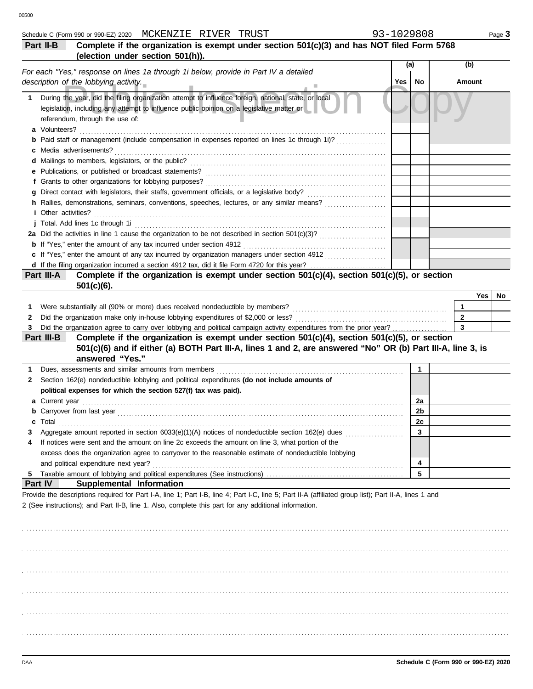|         | Schedule C (Form 990 or 990-EZ) 2020 MCKENZIE RIVER TRUST                                                                                             | 93-1029808 |     |    |              |     | Page 3 |
|---------|-------------------------------------------------------------------------------------------------------------------------------------------------------|------------|-----|----|--------------|-----|--------|
|         | Complete if the organization is exempt under section 501(c)(3) and has NOT filed Form 5768<br>Part II-B                                               |            |     |    |              |     |        |
|         | (election under section 501(h)).                                                                                                                      |            |     |    |              |     |        |
|         | For each "Yes," response on lines 1a through 1i below, provide in Part IV a detailed                                                                  |            | (a) |    | (b)          |     |        |
|         | description of the lobbying activity.                                                                                                                 |            | Yes | No | Amount       |     |        |
|         |                                                                                                                                                       |            |     |    |              |     |        |
| 1.      | During the year, did the filing organization attempt to influence foreign, national, state, or local                                                  |            |     |    |              |     |        |
|         | legislation, including any attempt to influence public opinion on a legislative matter or                                                             |            |     |    |              |     |        |
|         | referendum, through the use of:                                                                                                                       |            |     |    |              |     |        |
|         | a Volunteers?                                                                                                                                         |            |     |    |              |     |        |
|         | Paid staff or management (include compensation in expenses reported on lines 1c through 1i)?                                                          |            |     |    |              |     |        |
|         | Media advertisements?                                                                                                                                 |            |     |    |              |     |        |
|         | d Mailings to members, legislators, or the public?                                                                                                    |            |     |    |              |     |        |
|         | e Publications, or published or broadcast statements?                                                                                                 |            |     |    |              |     |        |
|         | f Grants to other organizations for lobbying purposes?                                                                                                |            |     |    |              |     |        |
|         |                                                                                                                                                       |            |     |    |              |     |        |
|         | h Rallies, demonstrations, seminars, conventions, speeches, lectures, or any similar means?<br><i>i</i> Other activities?                             |            |     |    |              |     |        |
|         |                                                                                                                                                       |            |     |    |              |     |        |
|         | j Total. Add lines 1c through 1i                                                                                                                      |            |     |    |              |     |        |
|         | <b>b</b> If "Yes," enter the amount of any tax incurred under section 4912                                                                            |            |     |    |              |     |        |
|         | c If "Yes," enter the amount of any tax incurred by organization managers under section 4912                                                          |            |     |    |              |     |        |
|         |                                                                                                                                                       |            |     |    |              |     |        |
|         | Complete if the organization is exempt under section 501(c)(4), section 501(c)(5), or section<br>Part III-A                                           |            |     |    |              |     |        |
|         | $501(c)(6)$ .                                                                                                                                         |            |     |    |              |     |        |
|         |                                                                                                                                                       |            |     |    |              | Yes | No     |
| 1.      | Were substantially all (90% or more) dues received nondeductible by members?                                                                          |            |     |    | $\mathbf 1$  |     |        |
| 2       | Did the organization make only in-house lobbying expenditures of \$2,000 or less?                                                                     |            |     |    | $\mathbf{2}$ |     |        |
| 3       | Did the organization agree to carry over lobbying and political campaign activity expenditures from the prior year?                                   |            |     |    | 3            |     |        |
|         | Complete if the organization is exempt under section 501(c)(4), section 501(c)(5), or section<br>Part III-B                                           |            |     |    |              |     |        |
|         | 501(c)(6) and if either (a) BOTH Part III-A, lines 1 and 2, are answered "No" OR (b) Part III-A, line 3, is                                           |            |     |    |              |     |        |
|         | answered "Yes."                                                                                                                                       |            |     |    |              |     |        |
| 1       | Dues, assessments and similar amounts from members                                                                                                    |            |     | 1  |              |     |        |
| 2       | Section 162(e) nondeductible lobbying and political expenditures (do not include amounts of                                                           |            |     |    |              |     |        |
|         | political expenses for which the section 527(f) tax was paid).                                                                                        |            |     |    |              |     |        |
|         | Current year                                                                                                                                          |            |     | 2a |              |     |        |
|         |                                                                                                                                                       |            |     | 2b |              |     |        |
|         | Total                                                                                                                                                 |            |     | 2C |              |     |        |
| З       | Aggregate amount reported in section 6033(e)(1)(A) notices of nondeductible section 162(e) dues                                                       |            |     | 3  |              |     |        |
| 4       | If notices were sent and the amount on line 2c exceeds the amount on line 3, what portion of the                                                      |            |     |    |              |     |        |
|         | excess does the organization agree to carryover to the reasonable estimate of nondeductible lobbying                                                  |            |     |    |              |     |        |
|         | and political expenditure next year?                                                                                                                  |            |     | 4  |              |     |        |
| -5      |                                                                                                                                                       |            |     | 5  |              |     |        |
| Part IV | Supplemental Information                                                                                                                              |            |     |    |              |     |        |
|         | Provide the descriptions required for Part I-A, line 1; Part I-B, line 4; Part I-C, line 5; Part II-A (affiliated group list); Part II-A, lines 1 and |            |     |    |              |     |        |
|         | 2 (See instructions); and Part II-B, line 1. Also, complete this part for any additional information.                                                 |            |     |    |              |     |        |
|         |                                                                                                                                                       |            |     |    |              |     |        |
|         |                                                                                                                                                       |            |     |    |              |     |        |
|         |                                                                                                                                                       |            |     |    |              |     |        |
|         |                                                                                                                                                       |            |     |    |              |     |        |
|         |                                                                                                                                                       |            |     |    |              |     |        |
|         |                                                                                                                                                       |            |     |    |              |     |        |
|         |                                                                                                                                                       |            |     |    |              |     |        |
|         |                                                                                                                                                       |            |     |    |              |     |        |
|         |                                                                                                                                                       |            |     |    |              |     |        |
|         |                                                                                                                                                       |            |     |    |              |     |        |
|         |                                                                                                                                                       |            |     |    |              |     |        |
|         |                                                                                                                                                       |            |     |    |              |     |        |
|         |                                                                                                                                                       |            |     |    |              |     |        |
|         |                                                                                                                                                       |            |     |    |              |     |        |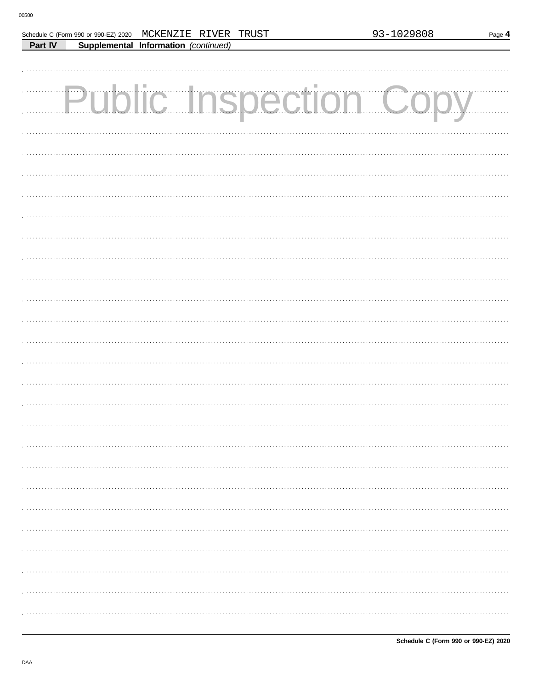|         |  | Schedule C (Form 990 or 990-EZ) 2020 MCKENZIE RIVER TRUST |  |  | 93-1029808<br>Page 4 |  |  |  |
|---------|--|-----------------------------------------------------------|--|--|----------------------|--|--|--|
| Part IV |  | Supplemental Information (continued)                      |  |  |                      |  |  |  |
|         |  |                                                           |  |  |                      |  |  |  |
|         |  |                                                           |  |  |                      |  |  |  |
|         |  |                                                           |  |  |                      |  |  |  |
|         |  | Public Inspection Copy                                    |  |  |                      |  |  |  |
|         |  |                                                           |  |  |                      |  |  |  |
|         |  |                                                           |  |  |                      |  |  |  |
|         |  |                                                           |  |  |                      |  |  |  |
|         |  |                                                           |  |  |                      |  |  |  |
|         |  |                                                           |  |  |                      |  |  |  |
|         |  |                                                           |  |  |                      |  |  |  |
|         |  |                                                           |  |  |                      |  |  |  |
|         |  |                                                           |  |  |                      |  |  |  |
|         |  |                                                           |  |  |                      |  |  |  |
|         |  |                                                           |  |  |                      |  |  |  |
|         |  |                                                           |  |  |                      |  |  |  |
|         |  |                                                           |  |  |                      |  |  |  |
|         |  |                                                           |  |  |                      |  |  |  |
|         |  |                                                           |  |  |                      |  |  |  |
|         |  |                                                           |  |  |                      |  |  |  |
|         |  |                                                           |  |  |                      |  |  |  |
|         |  |                                                           |  |  |                      |  |  |  |
|         |  |                                                           |  |  |                      |  |  |  |
|         |  |                                                           |  |  |                      |  |  |  |
|         |  |                                                           |  |  |                      |  |  |  |
|         |  |                                                           |  |  |                      |  |  |  |
|         |  |                                                           |  |  |                      |  |  |  |
|         |  |                                                           |  |  |                      |  |  |  |
|         |  |                                                           |  |  |                      |  |  |  |
|         |  |                                                           |  |  |                      |  |  |  |
|         |  |                                                           |  |  |                      |  |  |  |
|         |  |                                                           |  |  |                      |  |  |  |
|         |  |                                                           |  |  |                      |  |  |  |
|         |  |                                                           |  |  |                      |  |  |  |
|         |  |                                                           |  |  |                      |  |  |  |
|         |  |                                                           |  |  |                      |  |  |  |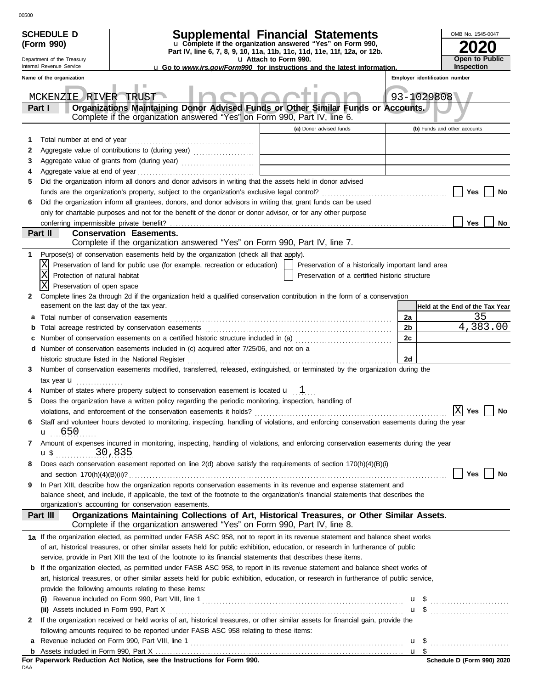|   | <b>SCHEDULE D</b>                                                                                           |                                                                                                                                                                           |                                                                                                                                        | Supplemental Financial Statements                  |  |    |                                | OMB No. 1545-0047               |
|---|-------------------------------------------------------------------------------------------------------------|---------------------------------------------------------------------------------------------------------------------------------------------------------------------------|----------------------------------------------------------------------------------------------------------------------------------------|----------------------------------------------------|--|----|--------------------------------|---------------------------------|
|   | (Form 990)                                                                                                  |                                                                                                                                                                           | u Complete if the organization answered "Yes" on Form 990,<br>Part IV, line 6, 7, 8, 9, 10, 11a, 11b, 11c, 11d, 11e, 11f, 12a, or 12b. |                                                    |  |    |                                |                                 |
|   | Department of the Treasury                                                                                  |                                                                                                                                                                           | u Attach to Form 990.                                                                                                                  |                                                    |  |    |                                | Open to Public                  |
|   | Internal Revenue Service<br><b>u</b> Go to www.irs.gov/Form990 for instructions and the latest information. |                                                                                                                                                                           |                                                                                                                                        |                                                    |  |    |                                | <b>Inspection</b>               |
|   | Name of the organization                                                                                    |                                                                                                                                                                           |                                                                                                                                        |                                                    |  |    | Employer identification number |                                 |
|   | MCKENZIE RIVER TRUST                                                                                        |                                                                                                                                                                           |                                                                                                                                        |                                                    |  |    | 93-1029808                     |                                 |
|   | Part I                                                                                                      | Organizations Maintaining Donor Advised Funds or Other Similar Funds or Accounts.<br>Complete if the organization answered "Yes" on Form 990, Part IV, line 6.            |                                                                                                                                        |                                                    |  |    |                                |                                 |
|   |                                                                                                             |                                                                                                                                                                           |                                                                                                                                        | (a) Donor advised funds                            |  |    |                                | (b) Funds and other accounts    |
| 1 | Total number at end of year                                                                                 |                                                                                                                                                                           |                                                                                                                                        |                                                    |  |    |                                |                                 |
| 2 |                                                                                                             | Aggregate value of contributions to (during year)                                                                                                                         |                                                                                                                                        |                                                    |  |    |                                |                                 |
| 3 |                                                                                                             | Aggregate value of grants from (during year)                                                                                                                              |                                                                                                                                        |                                                    |  |    |                                |                                 |
| 4 |                                                                                                             |                                                                                                                                                                           |                                                                                                                                        |                                                    |  |    |                                |                                 |
| 5 |                                                                                                             | Did the organization inform all donors and donor advisors in writing that the assets held in donor advised                                                                |                                                                                                                                        |                                                    |  |    |                                |                                 |
|   |                                                                                                             |                                                                                                                                                                           |                                                                                                                                        |                                                    |  |    |                                | Yes<br>No                       |
| 6 |                                                                                                             | Did the organization inform all grantees, donors, and donor advisors in writing that grant funds can be used                                                              |                                                                                                                                        |                                                    |  |    |                                |                                 |
|   |                                                                                                             | only for charitable purposes and not for the benefit of the donor or donor advisor, or for any other purpose                                                              |                                                                                                                                        |                                                    |  |    |                                |                                 |
|   |                                                                                                             |                                                                                                                                                                           |                                                                                                                                        |                                                    |  |    |                                | Yes<br>No                       |
|   | Part II                                                                                                     | <b>Conservation Easements.</b><br>Complete if the organization answered "Yes" on Form 990, Part IV, line 7.                                                               |                                                                                                                                        |                                                    |  |    |                                |                                 |
| 1 |                                                                                                             | Purpose(s) of conservation easements held by the organization (check all that apply).                                                                                     |                                                                                                                                        |                                                    |  |    |                                |                                 |
|   |                                                                                                             | Preservation of land for public use (for example, recreation or education)                                                                                                |                                                                                                                                        | Preservation of a historically important land area |  |    |                                |                                 |
|   | Χ<br>Protection of natural habitat                                                                          |                                                                                                                                                                           |                                                                                                                                        | Preservation of a certified historic structure     |  |    |                                |                                 |
|   | Preservation of open space                                                                                  |                                                                                                                                                                           |                                                                                                                                        |                                                    |  |    |                                |                                 |
| 2 |                                                                                                             | Complete lines 2a through 2d if the organization held a qualified conservation contribution in the form of a conservation                                                 |                                                                                                                                        |                                                    |  |    |                                |                                 |
|   |                                                                                                             | easement on the last day of the tax year.                                                                                                                                 |                                                                                                                                        |                                                    |  |    |                                | Held at the End of the Tax Year |
| а |                                                                                                             |                                                                                                                                                                           |                                                                                                                                        |                                                    |  | 2a |                                | 35                              |
| b |                                                                                                             |                                                                                                                                                                           |                                                                                                                                        |                                                    |  | 2b |                                | 4,383.00                        |
| c |                                                                                                             | Number of conservation easements on a certified historic structure included in (a) [[[[[ [ [ ]]]                                                                          |                                                                                                                                        |                                                    |  | 2c |                                |                                 |
| d |                                                                                                             | Number of conservation easements included in (c) acquired after 7/25/06, and not on a                                                                                     |                                                                                                                                        |                                                    |  |    |                                |                                 |
|   |                                                                                                             | historic structure listed in the National Register                                                                                                                        |                                                                                                                                        |                                                    |  | 2d |                                |                                 |
| 3 |                                                                                                             | Number of conservation easements modified, transferred, released, extinguished, or terminated by the organization during the                                              |                                                                                                                                        |                                                    |  |    |                                |                                 |
|   | tax year <b>u</b>                                                                                           | .                                                                                                                                                                         |                                                                                                                                        |                                                    |  |    |                                |                                 |
|   |                                                                                                             | Number of states where property subject to conservation easement is located $\mathbf{u}$ $1$                                                                              |                                                                                                                                        |                                                    |  |    |                                |                                 |
| 5 |                                                                                                             | Does the organization have a written policy regarding the periodic monitoring, inspection, handling of                                                                    |                                                                                                                                        |                                                    |  |    |                                | <b>No</b>                       |
|   |                                                                                                             | violations, and enforcement of the conservation easements it holds?<br>$\boxed{\text{X}}$ Yes                                                                             |                                                                                                                                        |                                                    |  |    |                                |                                 |
| 6 | $\mathbf{u}$ 650                                                                                            | Staff and volunteer hours devoted to monitoring, inspecting, handling of violations, and enforcing conservation easements during the year                                 |                                                                                                                                        |                                                    |  |    |                                |                                 |
| 7 |                                                                                                             | Amount of expenses incurred in monitoring, inspecting, handling of violations, and enforcing conservation easements during the year                                       |                                                                                                                                        |                                                    |  |    |                                |                                 |
|   | u\$ 30,835                                                                                                  |                                                                                                                                                                           |                                                                                                                                        |                                                    |  |    |                                |                                 |
| 8 |                                                                                                             | Does each conservation easement reported on line 2(d) above satisfy the requirements of section 170(h)(4)(B)(i)                                                           |                                                                                                                                        |                                                    |  |    |                                |                                 |
|   |                                                                                                             |                                                                                                                                                                           |                                                                                                                                        |                                                    |  |    |                                | Yes<br>No                       |
| 9 |                                                                                                             | In Part XIII, describe how the organization reports conservation easements in its revenue and expense statement and                                                       |                                                                                                                                        |                                                    |  |    |                                |                                 |
|   |                                                                                                             | balance sheet, and include, if applicable, the text of the footnote to the organization's financial statements that describes the                                         |                                                                                                                                        |                                                    |  |    |                                |                                 |
|   |                                                                                                             | organization's accounting for conservation easements.                                                                                                                     |                                                                                                                                        |                                                    |  |    |                                |                                 |
|   | Part III                                                                                                    | Organizations Maintaining Collections of Art, Historical Treasures, or Other Similar Assets.<br>Complete if the organization answered "Yes" on Form 990, Part IV, line 8. |                                                                                                                                        |                                                    |  |    |                                |                                 |
|   |                                                                                                             | 1a If the organization elected, as permitted under FASB ASC 958, not to report in its revenue statement and balance sheet works                                           |                                                                                                                                        |                                                    |  |    |                                |                                 |
|   |                                                                                                             | of art, historical treasures, or other similar assets held for public exhibition, education, or research in furtherance of public                                         |                                                                                                                                        |                                                    |  |    |                                |                                 |
|   |                                                                                                             | service, provide in Part XIII the text of the footnote to its financial statements that describes these items.                                                            |                                                                                                                                        |                                                    |  |    |                                |                                 |
| b |                                                                                                             | If the organization elected, as permitted under FASB ASC 958, to report in its revenue statement and balance sheet works of                                               |                                                                                                                                        |                                                    |  |    |                                |                                 |
|   |                                                                                                             | art, historical treasures, or other similar assets held for public exhibition, education, or research in furtherance of public service,                                   |                                                                                                                                        |                                                    |  |    |                                |                                 |
|   |                                                                                                             | provide the following amounts relating to these items:                                                                                                                    |                                                                                                                                        |                                                    |  |    |                                |                                 |
|   | (i)                                                                                                         |                                                                                                                                                                           |                                                                                                                                        |                                                    |  |    |                                |                                 |
|   |                                                                                                             |                                                                                                                                                                           |                                                                                                                                        |                                                    |  |    |                                | $\mathbf{u}$ \$                 |
| 2 |                                                                                                             | If the organization received or held works of art, historical treasures, or other similar assets for financial gain, provide the                                          |                                                                                                                                        |                                                    |  |    |                                |                                 |
|   |                                                                                                             | following amounts required to be reported under FASB ASC 958 relating to these items:                                                                                     |                                                                                                                                        |                                                    |  |    |                                |                                 |
|   |                                                                                                             | a Revenue included on Form 990, Part VIII, line 1                                                                                                                         |                                                                                                                                        |                                                    |  |    |                                |                                 |
|   |                                                                                                             |                                                                                                                                                                           |                                                                                                                                        |                                                    |  |    |                                |                                 |

**For Paperwork Reduction Act Notice, see the Instructions for Form 990.**<br><sub>DAA</sub>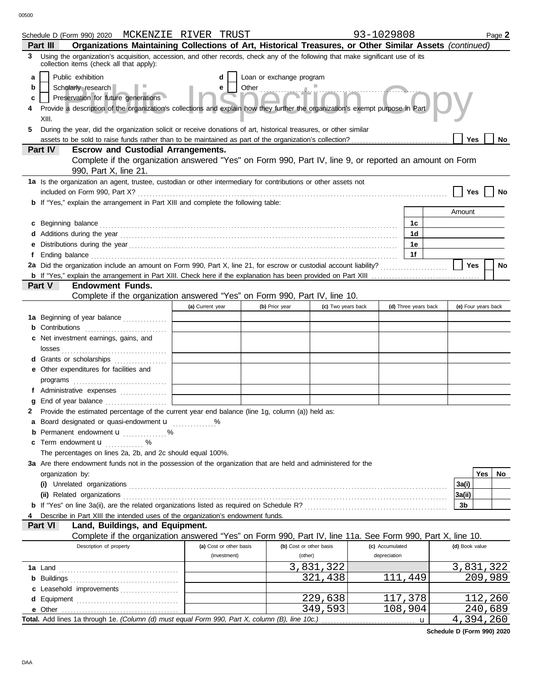00500

|    | Schedule D (Form 990) 2020 MCKENZIE RIVER TRUST                                                                                                                                                                                                        |                                         |                          |                                    | 93-1029808                      |                      |                |                     | Page 2    |
|----|--------------------------------------------------------------------------------------------------------------------------------------------------------------------------------------------------------------------------------------------------------|-----------------------------------------|--------------------------|------------------------------------|---------------------------------|----------------------|----------------|---------------------|-----------|
| 3  | Organizations Maintaining Collections of Art, Historical Treasures, or Other Similar Assets (continued)<br>Part III<br>Using the organization's acquisition, accession, and other records, check any of the following that make significant use of its |                                         |                          |                                    |                                 |                      |                |                     |           |
|    | collection items (check all that apply):                                                                                                                                                                                                               |                                         |                          |                                    |                                 |                      |                |                     |           |
| a  | Public exhibition                                                                                                                                                                                                                                      | d                                       | Loan or exchange program |                                    |                                 |                      |                |                     |           |
| b  | Scholarly research<br>Preservation for future generations                                                                                                                                                                                              | е                                       | Other                    |                                    |                                 |                      |                |                     |           |
| c  | Provide a description of the organization's collections and explain how they further the organization's exempt purpose in Part                                                                                                                         |                                         |                          |                                    |                                 |                      |                |                     |           |
|    | XIII.                                                                                                                                                                                                                                                  |                                         |                          |                                    |                                 |                      |                |                     |           |
| 5. | During the year, did the organization solicit or receive donations of art, historical treasures, or other similar                                                                                                                                      |                                         |                          |                                    |                                 |                      |                |                     |           |
|    | assets to be sold to raise funds rather than to be maintained as part of the organization's collection?                                                                                                                                                |                                         |                          |                                    |                                 |                      | <b>Yes</b>     |                     | No        |
|    | Part IV<br><b>Escrow and Custodial Arrangements.</b>                                                                                                                                                                                                   |                                         |                          |                                    |                                 |                      |                |                     |           |
|    | Complete if the organization answered "Yes" on Form 990, Part IV, line 9, or reported an amount on Form                                                                                                                                                |                                         |                          |                                    |                                 |                      |                |                     |           |
|    | 990, Part X, line 21.                                                                                                                                                                                                                                  |                                         |                          |                                    |                                 |                      |                |                     |           |
|    | 1a Is the organization an agent, trustee, custodian or other intermediary for contributions or other assets not                                                                                                                                        |                                         |                          |                                    |                                 |                      |                |                     |           |
|    |                                                                                                                                                                                                                                                        |                                         |                          |                                    |                                 |                      | Yes            |                     | No        |
|    | <b>b</b> If "Yes," explain the arrangement in Part XIII and complete the following table:                                                                                                                                                              |                                         |                          |                                    |                                 |                      |                |                     |           |
|    |                                                                                                                                                                                                                                                        |                                         |                          |                                    |                                 |                      | Amount         |                     |           |
|    | c Beginning balance <b>contract to the contract of the set of the contract of the contract of the contract of the contract of the contract of the contract of the contract of the contract of the contract of the contract of th</b>                   |                                         |                          |                                    |                                 | 1c                   |                |                     |           |
|    |                                                                                                                                                                                                                                                        |                                         |                          |                                    |                                 | 1d                   |                |                     |           |
| е  |                                                                                                                                                                                                                                                        |                                         |                          |                                    |                                 | 1e                   |                |                     |           |
| f  | Ending balance <b>construction and the construction of the construction</b> of the construction of the construction of the construction of the construction of the construction of the construction of the construction of the cons                    |                                         |                          |                                    |                                 | 1f                   | <b>Yes</b>     |                     |           |
|    |                                                                                                                                                                                                                                                        |                                         |                          |                                    |                                 |                      |                |                     | <b>No</b> |
|    | <b>Part V</b><br><b>Endowment Funds.</b>                                                                                                                                                                                                               |                                         |                          |                                    |                                 |                      |                |                     |           |
|    | Complete if the organization answered "Yes" on Form 990, Part IV, line 10.                                                                                                                                                                             |                                         |                          |                                    |                                 |                      |                |                     |           |
|    |                                                                                                                                                                                                                                                        | (a) Current year                        | (b) Prior year           | (c) Two years back                 |                                 | (d) Three years back |                | (e) Four years back |           |
|    | 1a Beginning of year balance                                                                                                                                                                                                                           | <u> 1990 - Jan Alexandria (</u>         |                          |                                    |                                 |                      |                |                     |           |
|    | <b>b</b> Contributions <b>contributions</b>                                                                                                                                                                                                            |                                         |                          |                                    |                                 |                      |                |                     |           |
|    | <b>c</b> Net investment earnings, gains, and                                                                                                                                                                                                           |                                         |                          |                                    |                                 |                      |                |                     |           |
|    |                                                                                                                                                                                                                                                        |                                         |                          |                                    |                                 |                      |                |                     |           |
|    | d Grants or scholarships                                                                                                                                                                                                                               |                                         |                          |                                    |                                 |                      |                |                     |           |
|    | e Other expenditures for facilities and                                                                                                                                                                                                                |                                         |                          |                                    |                                 |                      |                |                     |           |
|    |                                                                                                                                                                                                                                                        |                                         |                          |                                    |                                 |                      |                |                     |           |
|    | f Administrative expenses                                                                                                                                                                                                                              |                                         |                          |                                    |                                 |                      |                |                     |           |
| g  |                                                                                                                                                                                                                                                        |                                         |                          |                                    |                                 |                      |                |                     |           |
|    | Provide the estimated percentage of the current year end balance (line 1g, column (a)) held as:                                                                                                                                                        |                                         |                          |                                    |                                 |                      |                |                     |           |
|    | a Board designated or quasi-endowment <b>u</b> %                                                                                                                                                                                                       |                                         |                          |                                    |                                 |                      |                |                     |           |
|    | Permanent endowment <b>u</b> %                                                                                                                                                                                                                         |                                         |                          |                                    |                                 |                      |                |                     |           |
|    | c Term endowment <b>u</b> %                                                                                                                                                                                                                            |                                         |                          |                                    |                                 |                      |                |                     |           |
|    | The percentages on lines 2a, 2b, and 2c should equal 100%.                                                                                                                                                                                             |                                         |                          |                                    |                                 |                      |                |                     |           |
|    | 3a Are there endowment funds not in the possession of the organization that are held and administered for the                                                                                                                                          |                                         |                          |                                    |                                 |                      |                |                     |           |
|    | organization by:                                                                                                                                                                                                                                       |                                         |                          |                                    |                                 |                      |                | Yes                 | No.       |
|    |                                                                                                                                                                                                                                                        |                                         |                          |                                    |                                 |                      | 3a(i)          |                     |           |
|    | (ii) Related organizations <b>constants</b> and constant of the constant of the constant of the constant of the constant of the constant of the constant of the constant of the constant of the constant of the constant of the con                    |                                         |                          |                                    |                                 |                      | 3a(ii)         |                     |           |
|    |                                                                                                                                                                                                                                                        |                                         |                          |                                    |                                 |                      | 3b             |                     |           |
|    | Describe in Part XIII the intended uses of the organization's endowment funds.                                                                                                                                                                         |                                         |                          |                                    |                                 |                      |                |                     |           |
|    | Land, Buildings, and Equipment.<br><b>Part VI</b>                                                                                                                                                                                                      |                                         |                          |                                    |                                 |                      |                |                     |           |
|    | Complete if the organization answered "Yes" on Form 990, Part IV, line 11a. See Form 990, Part X, line 10.                                                                                                                                             |                                         |                          |                                    |                                 |                      |                |                     |           |
|    | Description of property                                                                                                                                                                                                                                | (a) Cost or other basis<br>(investment) |                          | (b) Cost or other basis<br>(other) | (c) Accumulated<br>depreciation |                      | (d) Book value |                     |           |
|    |                                                                                                                                                                                                                                                        |                                         |                          |                                    |                                 |                      |                |                     |           |
|    |                                                                                                                                                                                                                                                        |                                         |                          | 3,831,322<br>321,438               |                                 | 111,449              | 3,831,322      | 209,989             |           |
|    |                                                                                                                                                                                                                                                        |                                         |                          |                                    |                                 |                      |                |                     |           |
|    | c Leasehold improvements                                                                                                                                                                                                                               |                                         |                          | 229,638                            |                                 | 117,378              |                | 112,260             |           |
|    | e Other                                                                                                                                                                                                                                                |                                         |                          | 349,593                            |                                 | 108,904              |                | 240,689             |           |
|    | Total. Add lines 1a through 1e. (Column (d) must equal Form 990, Part X, column (B), line 10c.)                                                                                                                                                        |                                         |                          |                                    |                                 | u                    | 4,394,260      |                     |           |
|    |                                                                                                                                                                                                                                                        |                                         |                          |                                    |                                 |                      |                |                     |           |

**Schedule D (Form 990) 2020**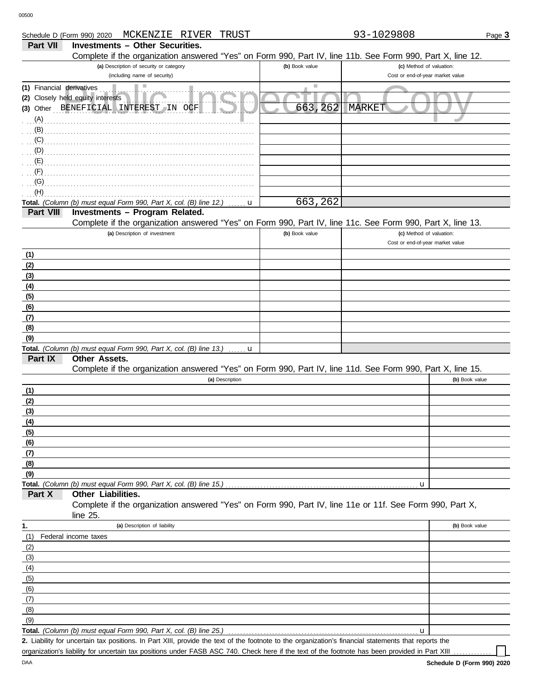|                           | MCKENZIE RIVER<br>TRUST<br>Schedule D (Form 990) 2020                                                      |                | 93-1029808                       | Page 3         |
|---------------------------|------------------------------------------------------------------------------------------------------------|----------------|----------------------------------|----------------|
| Part VII                  | <b>Investments - Other Securities.</b>                                                                     |                |                                  |                |
|                           | Complete if the organization answered "Yes" on Form 990, Part IV, line 11b. See Form 990, Part X, line 12. |                |                                  |                |
|                           | (a) Description of security or category                                                                    | (b) Book value | (c) Method of valuation:         |                |
|                           | (including name of security)                                                                               |                | Cost or end-of-year market value |                |
| (1) Financial derivatives | Ш                                                                                                          |                |                                  |                |
|                           | (2) Closely held equity interests                                                                          |                |                                  |                |
|                           | (3) Other BENEFICIAL INTEREST IN OCF                                                                       | 663,262        | <b>MARKET</b>                    |                |
| (A)                       |                                                                                                            |                |                                  |                |
| (B)                       |                                                                                                            |                |                                  |                |
| (C)                       |                                                                                                            |                |                                  |                |
| (D)                       |                                                                                                            |                |                                  |                |
| (E)                       |                                                                                                            |                |                                  |                |
| (F)                       |                                                                                                            |                |                                  |                |
| (G)                       |                                                                                                            |                |                                  |                |
| (H)                       |                                                                                                            |                |                                  |                |
|                           | Total. (Column (b) must equal Form 990, Part X, col. (B) line 12.)<br>u                                    | 663,262        |                                  |                |
| Part VIII                 | Investments - Program Related.                                                                             |                |                                  |                |
|                           | Complete if the organization answered "Yes" on Form 990, Part IV, line 11c. See Form 990, Part X, line 13. |                |                                  |                |
|                           | (a) Description of investment                                                                              | (b) Book value | (c) Method of valuation:         |                |
|                           |                                                                                                            |                | Cost or end-of-year market value |                |
| (1)                       |                                                                                                            |                |                                  |                |
| (2)                       |                                                                                                            |                |                                  |                |
| (3)                       |                                                                                                            |                |                                  |                |
| (4)                       |                                                                                                            |                |                                  |                |
| (5)                       |                                                                                                            |                |                                  |                |
| (6)                       |                                                                                                            |                |                                  |                |
| (7)                       |                                                                                                            |                |                                  |                |
| (8)                       |                                                                                                            |                |                                  |                |
| (9)                       | Total. (Column (b) must equal Form 990, Part X, col. (B) line 13.) $\ldots$ u                              |                |                                  |                |
| Part IX                   | Other Assets.                                                                                              |                |                                  |                |
|                           | Complete if the organization answered "Yes" on Form 990, Part IV, line 11d. See Form 990, Part X, line 15. |                |                                  |                |
|                           | (a) Description                                                                                            |                |                                  | (b) Book value |
| (1)                       |                                                                                                            |                |                                  |                |
| (2)                       |                                                                                                            |                |                                  |                |
| (3)                       |                                                                                                            |                |                                  |                |
| (4)                       |                                                                                                            |                |                                  |                |
| (5)                       |                                                                                                            |                |                                  |                |
| (6)                       |                                                                                                            |                |                                  |                |
| (7)                       |                                                                                                            |                |                                  |                |
| (8)                       |                                                                                                            |                |                                  |                |
| (9)                       |                                                                                                            |                |                                  |                |
|                           |                                                                                                            |                | u                                |                |
| Part X                    | Other Liabilities.                                                                                         |                |                                  |                |
|                           | Complete if the organization answered "Yes" on Form 990, Part IV, line 11e or 11f. See Form 990, Part X,   |                |                                  |                |
|                           | line 25.                                                                                                   |                |                                  |                |
| 1.                        | (a) Description of liability                                                                               |                |                                  | (b) Book value |
| (1)                       | Federal income taxes                                                                                       |                |                                  |                |
| (2)                       |                                                                                                            |                |                                  |                |
| (3)                       |                                                                                                            |                |                                  |                |
| (4)                       |                                                                                                            |                |                                  |                |
| (5)                       |                                                                                                            |                |                                  |                |
| (6)                       |                                                                                                            |                |                                  |                |
| (7)                       |                                                                                                            |                |                                  |                |
| (8)                       |                                                                                                            |                |                                  |                |
| (9)                       |                                                                                                            |                |                                  |                |

Total. (Column (b) must equal Form 990, Part X, col. (B) line 25.) .

Liability for uncertain tax positions. In Part XIII, provide the text of the footnote to the organization's financial statements that reports the **2.** organization's liability for uncertain tax positions under FASB ASC 740. Check here if the text of the footnote has been provided in Part XIII

u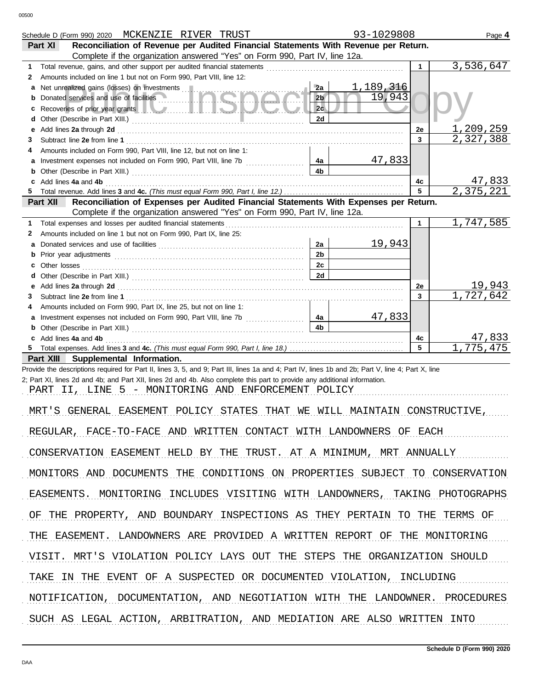|         | Schedule D (Form 990) 2020 MCKENZIE RIVER TRUST                                                                                                                                                                                |                | 93-1029808 |              | Page 4                |
|---------|--------------------------------------------------------------------------------------------------------------------------------------------------------------------------------------------------------------------------------|----------------|------------|--------------|-----------------------|
|         | Reconciliation of Revenue per Audited Financial Statements With Revenue per Return.<br>Part XI                                                                                                                                 |                |            |              |                       |
|         | Complete if the organization answered "Yes" on Form 990, Part IV, line 12a.                                                                                                                                                    |                |            |              | 3,536,647             |
| 1.<br>2 | Total revenue, gains, and other support per audited financial statements<br>Amounts included on line 1 but not on Form 990, Part VIII, line 12:                                                                                |                |            | $\mathbf{1}$ |                       |
| a       | Net unrealized gains (losses) on investments                                                                                                                                                                                   | 2a             | 1,189,316  |              |                       |
| b       | Donated services and use of facilities                                                                                                                                                                                         | 2 <sub>b</sub> | 19,943     |              |                       |
| c       | Recoveries of prior year grants <b>All Constitution</b> and the coveries of prior year grants <b>All Coveries</b>                                                                                                              | 2c             |            |              |                       |
| d       |                                                                                                                                                                                                                                | 2d             |            |              |                       |
| е       |                                                                                                                                                                                                                                |                |            | 2e           | 1,209,259             |
| 3       |                                                                                                                                                                                                                                |                |            | 3            | 2,327,388             |
| 4       | Amounts included on Form 990, Part VIII, line 12, but not on line 1:                                                                                                                                                           |                |            |              |                       |
| a       |                                                                                                                                                                                                                                | 4a             | 47,833     |              |                       |
| b       |                                                                                                                                                                                                                                | 4 <sub>b</sub> |            |              |                       |
| c<br>5  | Add lines 4a and 4b                                                                                                                                                                                                            |                |            | 4с<br>5      | 47,833<br>2,375,221   |
|         | Reconciliation of Expenses per Audited Financial Statements With Expenses per Return.<br>Part XII                                                                                                                              |                |            |              |                       |
|         | Complete if the organization answered "Yes" on Form 990, Part IV, line 12a.                                                                                                                                                    |                |            |              |                       |
| 1.      | Total expenses and losses per audited financial statements                                                                                                                                                                     |                |            | $\mathbf 1$  | 1,747,585             |
| 2       | Amounts included on line 1 but not on Form 990, Part IX, line 25:                                                                                                                                                              |                |            |              |                       |
| a       |                                                                                                                                                                                                                                | 2a             | 19,943     |              |                       |
| b       |                                                                                                                                                                                                                                | 2 <sub>b</sub> |            |              |                       |
| с       | Other losses                                                                                                                                                                                                                   | 2c             |            |              |                       |
| d       |                                                                                                                                                                                                                                | 2d             |            |              |                       |
| е       | Add lines 2a through 2d [11] Martin Martin Martin Martin Martin Martin Martin Martin Martin Martin Martin Martin Martin Martin Martin Martin Martin Martin Martin Martin Martin Martin Martin Martin Martin Martin Martin Mart |                |            | 2e           | 19,943<br>1,727,642   |
| 3<br>4  | Amounts included on Form 990, Part IX, line 25, but not on line 1:                                                                                                                                                             |                |            | 3            |                       |
| a       |                                                                                                                                                                                                                                | 4a             | 47,833     |              |                       |
| b       |                                                                                                                                                                                                                                | 4 <sub>b</sub> |            |              |                       |
| c       | Add lines 4a and 4b                                                                                                                                                                                                            |                |            | 4c           | 47,833                |
| 5.      |                                                                                                                                                                                                                                |                |            | 5            | 1,775,475             |
|         | Part XIII Supplemental Information.                                                                                                                                                                                            |                |            |              |                       |
|         | Provide the descriptions required for Part II, lines 3, 5, and 9; Part III, lines 1a and 4; Part IV, lines 1b and 2b; Part V, line 4; Part X, line                                                                             |                |            |              |                       |
|         | 2; Part XI, lines 2d and 4b; and Part XII, lines 2d and 4b. Also complete this part to provide any additional information.<br>PART II, LINE 5 - MONITORING AND ENFORCEMENT POLICY                                              |                |            |              |                       |
|         |                                                                                                                                                                                                                                |                |            |              |                       |
|         | MRT'S GENERAL EASEMENT POLICY STATES THAT WE WILL MAINTAIN CONSTRUCTIVE,                                                                                                                                                       |                |            |              |                       |
|         | REGULAR . FACE-TO-FACE AND WRITTEN CONTACT WITH LANDOWNERS OF EACH                                                                                                                                                             |                |            |              |                       |
|         |                                                                                                                                                                                                                                |                |            |              |                       |
|         | CONSERVATION EASEMENT HELD BY THE TRUST. AT A MINIMUM, MRT ANNUALLY                                                                                                                                                            |                |            |              |                       |
|         | MONITORS AND DOCUMENTS<br>THE<br>CONDITIONS ON PROPERTIES SUBJECT TO CONSERVATION                                                                                                                                              |                |            |              |                       |
|         | EASEMENTS.<br>MONITORING<br>INCLUDES VISITING WITH LANDOWNERS,                                                                                                                                                                 |                |            |              | TAKING PHOTOGRAPHS    |
| OF      | AND BOUNDARY INSPECTIONS AS THEY PERTAIN<br>THE PROPERTY.                                                                                                                                                                      |                |            | TO THE       | TERMS OF              |
|         | THE<br>EASEMENT.<br>LANDOWNERS ARE PROVIDED A WRITTEN REPORT OF                                                                                                                                                                |                |            |              | THE MONITORING        |
|         |                                                                                                                                                                                                                                |                |            |              |                       |
|         | MRT'S VIOLATION POLICY LAYS OUT THE STEPS THE ORGANIZATION SHOULD<br>VISIT.                                                                                                                                                    |                |            |              |                       |
|         | EVENT OF A SUSPECTED OR DOCUMENTED VIOLATION, INCLUDING<br>TAKE<br>THE<br>TN                                                                                                                                                   |                |            |              |                       |
|         | NOTIFICATION,<br>DOCUMENTATION, AND NEGOTIATION WITH                                                                                                                                                                           |                | THE        |              | LANDOWNER. PROCEDURES |
|         | SUCH AS LEGAL ACTION, ARBITRATION, AND MEDIATION ARE ALSO WRITTEN                                                                                                                                                              |                |            |              | INTO                  |
|         |                                                                                                                                                                                                                                |                |            |              |                       |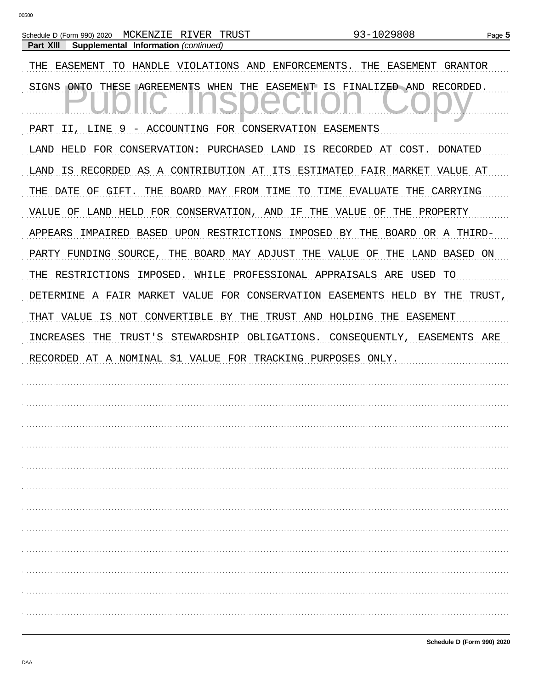| MCKENZIE RIVER TRUST<br>Schedule D (Form 990) 2020                  | 93-1029808<br>Page 5                         |
|---------------------------------------------------------------------|----------------------------------------------|
| Supplemental Information (continued)<br>Part XIII                   |                                              |
| THE<br>EASEMENT<br>TO<br>HANDLE VIOLATIONS AND                      | ENFORCEMENTS.<br>THE<br>EASEMENT<br>GRANTOR  |
| THESE <b>AGREEMENTS</b><br>WHEN<br>THE<br>SIGNS<br>ONTO             | EASEMENT IS FINALIZED AND RECORDED.          |
| 9 - ACCOUNTING FOR CONSERVATION EASEMENTS<br>PART<br>LINE<br>II,    |                                              |
|                                                                     |                                              |
| HELD<br>CONSERVATION: PURCHASED LAND<br>LAND<br>FOR                 | IS RECORDED AT COST.<br>DONATED              |
| RECORDED AS A CONTRIBUTION AT<br>ITS<br>LAND<br>IS                  | ESTIMATED FAIR MARKET<br>VALUE AT            |
| DATE<br>GIFT.<br>THE<br>BOARD MAY FROM TIME<br>THE<br>OF            | TO TIME<br>THE<br>CARRYING<br>EVALUATE       |
| LAND HELD FOR CONSERVATION, AND<br>ΙF<br>VALUE<br>OF                | THE<br>VALUE<br>OF<br>THE<br>PROPERTY        |
| IMPAIRED<br>BASED<br>UPON RESTRICTIONS<br>APPEARS                   | IMPOSED<br>BY<br>THE<br>BOARD<br>OR A THIRD- |
| PARTY FUNDING SOURCE,<br>THE<br>BOARD MAY ADJUST THE VALUE          | ΟF<br>THE<br>LAND<br>BASED ON                |
| RESTRICTIONS<br>IMPOSED.<br>WHILE<br>PROFESSIONAL APPRAISALS<br>THE | ARE<br>USED<br>TO                            |
| A FAIR MARKET VALUE FOR CONSERVATION EASEMENTS<br>DETERMINE         | HELD BY<br>THE<br>TRUST,                     |
| VALUE<br>IS<br>NOT<br>CONVERTIBLE BY THE<br>THAT                    | TRUST AND HOLDING THE<br>EASEMENT            |
| INCREASES<br>THE<br>TRUST'S<br>STEWARDSHIP OBLIGATIONS.             | CONSEQUENTLY, EASEMENTS ARE                  |
| RECORDED AT A NOMINAL<br>\$1 VALUE FOR TRACKING PURPOSES ONLY.      |                                              |
|                                                                     |                                              |
|                                                                     |                                              |
|                                                                     |                                              |
|                                                                     |                                              |
|                                                                     |                                              |
|                                                                     |                                              |
|                                                                     |                                              |
|                                                                     |                                              |
|                                                                     |                                              |
|                                                                     |                                              |
|                                                                     |                                              |
|                                                                     |                                              |
|                                                                     |                                              |
|                                                                     |                                              |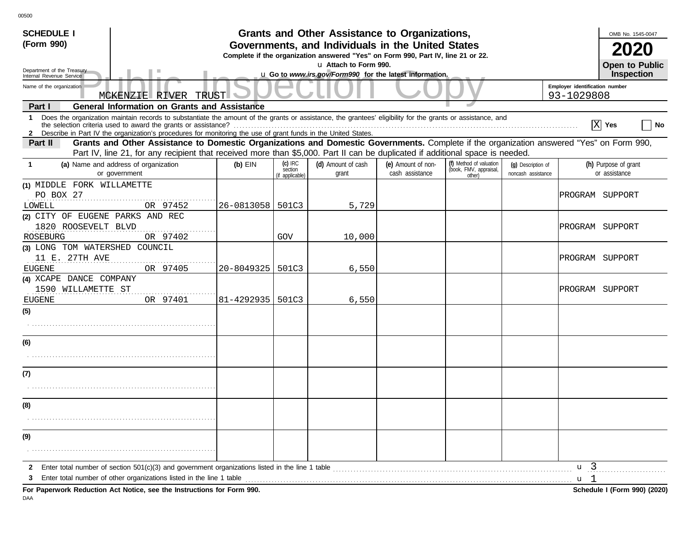| <b>SCHEDULE I</b>                                                                                                                                                                                                                                                                    |                                                                                                                                       |                                         | Grants and Other Assistance to Organizations,           |                                       |                                                             |                                          |                                  | OMB No. 1545-0047                     |  |
|--------------------------------------------------------------------------------------------------------------------------------------------------------------------------------------------------------------------------------------------------------------------------------------|---------------------------------------------------------------------------------------------------------------------------------------|-----------------------------------------|---------------------------------------------------------|---------------------------------------|-------------------------------------------------------------|------------------------------------------|----------------------------------|---------------------------------------|--|
| (Form 990)                                                                                                                                                                                                                                                                           | Governments, and Individuals in the United States<br>Complete if the organization answered "Yes" on Form 990, Part IV, line 21 or 22. |                                         |                                                         |                                       |                                                             |                                          |                                  |                                       |  |
| Department of the Treasury                                                                                                                                                                                                                                                           |                                                                                                                                       |                                         | <b>Open to Public</b>                                   |                                       |                                                             |                                          |                                  |                                       |  |
| Internal Revenue Service<br>Name of the organization                                                                                                                                                                                                                                 |                                                                                                                                       |                                         | u Go to www.irs.gov/Form990 for the latest information. |                                       |                                                             |                                          | Employer identification number   | Inspection                            |  |
| <b>TRUST</b><br>93-1029808<br>MCKENZIE RIVER                                                                                                                                                                                                                                         |                                                                                                                                       |                                         |                                                         |                                       |                                                             |                                          |                                  |                                       |  |
| <b>General Information on Grants and Assistance</b><br>Part I                                                                                                                                                                                                                        |                                                                                                                                       |                                         |                                                         |                                       |                                                             |                                          |                                  |                                       |  |
| 1 Does the organization maintain records to substantiate the amount of the grants or assistance, the grantees' eligibility for the grants or assistance, and<br>2 Describe in Part IV the organization's procedures for monitoring the use of grant funds in the United States.      |                                                                                                                                       |                                         |                                                         |                                       |                                                             |                                          | <b>X</b>                         | $ $ No<br>Yes                         |  |
| Grants and Other Assistance to Domestic Organizations and Domestic Governments. Complete if the organization answered "Yes" on Form 990,<br>Part II<br>Part IV, line 21, for any recipient that received more than \$5,000. Part II can be duplicated if additional space is needed. |                                                                                                                                       |                                         |                                                         |                                       |                                                             |                                          |                                  |                                       |  |
| (a) Name and address of organization<br>-1<br>or government                                                                                                                                                                                                                          | $(b)$ EIN                                                                                                                             | $(c)$ IRC<br>section<br>(if applicable) | (d) Amount of cash<br>grant                             | (e) Amount of non-<br>cash assistance | (f) Method of valuation<br>(book, FMV, appraisal,<br>other) | (q) Description of<br>noncash assistance |                                  | (h) Purpose of grant<br>or assistance |  |
| (1) MIDDLE FORK WILLAMETTE<br>PO BOX 27<br>OR 97452<br>LOWELL                                                                                                                                                                                                                        | 26-0813058   501C3                                                                                                                    |                                         | 5,729                                                   |                                       |                                                             |                                          | PROGRAM SUPPORT                  |                                       |  |
| (2) CITY OF EUGENE PARKS AND REC<br>1820 ROOSEVELT BLVD<br>ROSEBURG<br>OR 97402                                                                                                                                                                                                      |                                                                                                                                       | GOV                                     | 10,000                                                  |                                       |                                                             |                                          | PROGRAM SUPPORT                  |                                       |  |
| (3) LONG TOM WATERSHED COUNCIL<br>11 E. 27TH AVE<br>OR 97405<br><b>EUGENE</b>                                                                                                                                                                                                        | 20-8049325   501C3                                                                                                                    |                                         | 6,550                                                   |                                       |                                                             |                                          | PROGRAM SUPPORT                  |                                       |  |
| (4) XCAPE DANCE COMPANY<br>1590 WILLAMETTE ST<br>OR 97401<br><b>EUGENE</b>                                                                                                                                                                                                           | 81-4292935   501C3                                                                                                                    |                                         | 6,550                                                   |                                       |                                                             |                                          | PROGRAM SUPPORT                  |                                       |  |
| (5)                                                                                                                                                                                                                                                                                  |                                                                                                                                       |                                         |                                                         |                                       |                                                             |                                          |                                  |                                       |  |
| (6)                                                                                                                                                                                                                                                                                  |                                                                                                                                       |                                         |                                                         |                                       |                                                             |                                          |                                  |                                       |  |
| (7)                                                                                                                                                                                                                                                                                  |                                                                                                                                       |                                         |                                                         |                                       |                                                             |                                          |                                  |                                       |  |
| (8)                                                                                                                                                                                                                                                                                  |                                                                                                                                       |                                         |                                                         |                                       |                                                             |                                          |                                  |                                       |  |
| (9)                                                                                                                                                                                                                                                                                  |                                                                                                                                       |                                         |                                                         |                                       |                                                             |                                          |                                  |                                       |  |
| Enter total number of section 501(c)(3) and government organizations listed in the line 1 table<br>$\mathbf{2}$<br>3<br>For Paperwork Reduction Act Notice, see the Instructions for Form 990.                                                                                       |                                                                                                                                       |                                         |                                                         |                                       |                                                             |                                          | u <sub>3</sub><br>u <sub>1</sub> | Schedule I (Form 990) (2020)          |  |

DAA

00500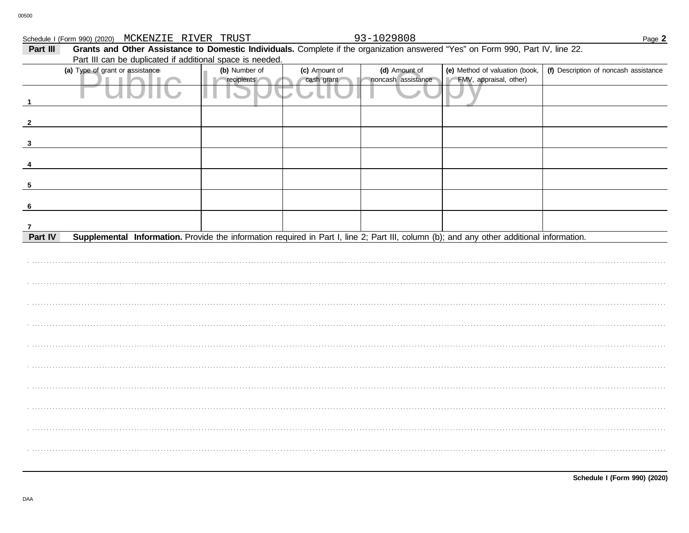|              | Schedule I (Form 990) (2020) MCKENZIE RIVER TRUST                                                                                         |               |               | 93-1029808         |                                | Page 2                                |
|--------------|-------------------------------------------------------------------------------------------------------------------------------------------|---------------|---------------|--------------------|--------------------------------|---------------------------------------|
| Part III     | Grants and Other Assistance to Domestic Individuals. Complete if the organization answered "Yes" on Form 990, Part IV, line 22.           |               |               |                    |                                |                                       |
|              | Part III can be duplicated if additional space is needed.                                                                                 |               |               |                    |                                |                                       |
|              | (a) Type of grant or assistance                                                                                                           | (b) Number of | (c) Amount of | (d) Amount of      | (e) Method of valuation (book, | (f) Description of noncash assistance |
|              |                                                                                                                                           | recipients    | cash grant    | noncash assistance | FMV, appraisal, other)         |                                       |
|              |                                                                                                                                           |               |               |                    |                                |                                       |
|              |                                                                                                                                           |               |               |                    |                                |                                       |
|              |                                                                                                                                           |               |               |                    |                                |                                       |
| $\mathbf{2}$ |                                                                                                                                           |               |               |                    |                                |                                       |
|              |                                                                                                                                           |               |               |                    |                                |                                       |
| 3            |                                                                                                                                           |               |               |                    |                                |                                       |
|              |                                                                                                                                           |               |               |                    |                                |                                       |
|              |                                                                                                                                           |               |               |                    |                                |                                       |
|              |                                                                                                                                           |               |               |                    |                                |                                       |
| 5            |                                                                                                                                           |               |               |                    |                                |                                       |
|              |                                                                                                                                           |               |               |                    |                                |                                       |
| 6            |                                                                                                                                           |               |               |                    |                                |                                       |
| 7            |                                                                                                                                           |               |               |                    |                                |                                       |
| Part IV      | Supplemental Information. Provide the information required in Part I, line 2; Part III, column (b); and any other additional information. |               |               |                    |                                |                                       |
|              |                                                                                                                                           |               |               |                    |                                |                                       |
|              |                                                                                                                                           |               |               |                    |                                |                                       |
|              |                                                                                                                                           |               |               |                    |                                |                                       |
|              |                                                                                                                                           |               |               |                    |                                |                                       |
|              |                                                                                                                                           |               |               |                    |                                |                                       |
|              |                                                                                                                                           |               |               |                    |                                |                                       |
|              |                                                                                                                                           |               |               |                    |                                |                                       |
|              |                                                                                                                                           |               |               |                    |                                |                                       |
|              |                                                                                                                                           |               |               |                    |                                |                                       |
|              |                                                                                                                                           |               |               |                    |                                |                                       |
|              |                                                                                                                                           |               |               |                    |                                |                                       |
|              |                                                                                                                                           |               |               |                    |                                |                                       |
|              |                                                                                                                                           |               |               |                    |                                |                                       |
|              |                                                                                                                                           |               |               |                    |                                |                                       |
|              |                                                                                                                                           |               |               |                    |                                |                                       |
|              |                                                                                                                                           |               |               |                    |                                |                                       |
|              |                                                                                                                                           |               |               |                    |                                |                                       |
|              |                                                                                                                                           |               |               |                    |                                |                                       |
|              |                                                                                                                                           |               |               |                    |                                |                                       |
|              |                                                                                                                                           |               |               |                    |                                |                                       |
|              |                                                                                                                                           |               |               |                    |                                |                                       |
|              |                                                                                                                                           |               |               |                    |                                |                                       |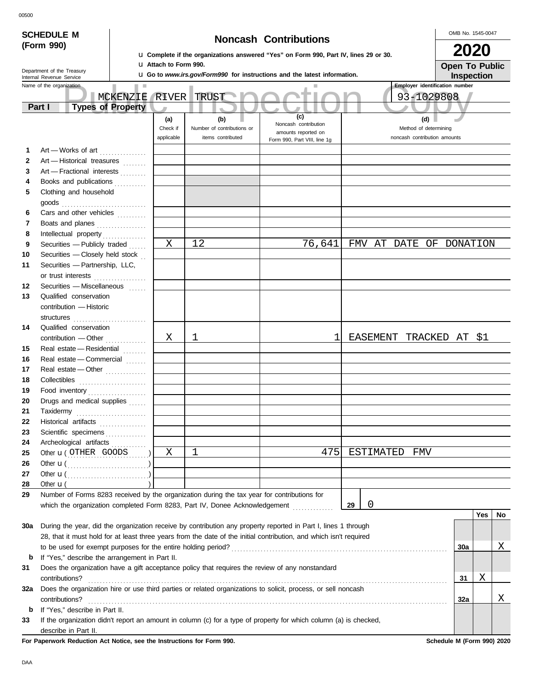|              | <b>SCHEDULE M</b>                                    |                         |  |                                                              |  |                                                                                                                       |              |                            |                                                                                                 |                                                                                                                    |    |           |  |                       |                                       |                         | OMB No. 1545-0047 |    |
|--------------|------------------------------------------------------|-------------------------|--|--------------------------------------------------------------|--|-----------------------------------------------------------------------------------------------------------------------|--------------|----------------------------|-------------------------------------------------------------------------------------------------|--------------------------------------------------------------------------------------------------------------------|----|-----------|--|-----------------------|---------------------------------------|-------------------------|-------------------|----|
|              | (Form 990)                                           |                         |  |                                                              |  | <b>Noncash Contributions</b>                                                                                          |              |                            |                                                                                                 |                                                                                                                    |    |           |  |                       | 2020                                  |                         |                   |    |
|              |                                                      |                         |  |                                                              |  | La Complete if the organizations answered "Yes" on Form 990, Part IV, lines 29 or 30.<br><b>U Attach to Form 990.</b> |              |                            |                                                                                                 |                                                                                                                    |    |           |  |                       | <b>Open To Public</b>                 |                         |                   |    |
|              | Department of the Treasury                           |                         |  |                                                              |  |                                                                                                                       |              |                            |                                                                                                 | <b>u</b> Go to <i>www.irs.gov/Form990</i> for instructions and the latest information.                             |    |           |  |                       |                                       |                         | <b>Inspection</b> |    |
|              | Internal Revenue Service<br>Name of the organization |                         |  |                                                              |  |                                                                                                                       |              |                            |                                                                                                 |                                                                                                                    |    |           |  |                       | <b>Employer identification number</b> |                         |                   |    |
|              |                                                      |                         |  |                                                              |  | MCKENZIE RIVER                                                                                                        | TRUST        |                            |                                                                                                 |                                                                                                                    |    |           |  |                       | 93-1029808                            |                         |                   |    |
|              | Part I                                               |                         |  | <b>Types of Property</b>                                     |  |                                                                                                                       |              | $\blacksquare$             |                                                                                                 |                                                                                                                    |    |           |  |                       |                                       |                         |                   |    |
|              |                                                      |                         |  |                                                              |  | (a)                                                                                                                   |              | (b)                        |                                                                                                 | (c)                                                                                                                |    |           |  | (d)                   |                                       |                         |                   |    |
|              |                                                      |                         |  |                                                              |  | Check if                                                                                                              |              | Number of contributions or |                                                                                                 | Noncash contribution                                                                                               |    |           |  | Method of determining |                                       |                         |                   |    |
|              |                                                      |                         |  |                                                              |  | applicable                                                                                                            |              | items contributed          |                                                                                                 | amounts reported on<br>Form 990, Part VIII, line 1g                                                                |    |           |  |                       | noncash contribution amounts          |                         |                   |    |
| 1            |                                                      |                         |  | Art - Works of art                                           |  |                                                                                                                       |              |                            |                                                                                                 |                                                                                                                    |    |           |  |                       |                                       |                         |                   |    |
| $\mathbf{2}$ |                                                      |                         |  | Art - Historical treasures                                   |  |                                                                                                                       |              |                            |                                                                                                 |                                                                                                                    |    |           |  |                       |                                       |                         |                   |    |
| 3            |                                                      |                         |  | Art - Fractional interests                                   |  |                                                                                                                       |              |                            |                                                                                                 |                                                                                                                    |    |           |  |                       |                                       |                         |                   |    |
| 4            |                                                      |                         |  | Books and publications                                       |  |                                                                                                                       |              |                            |                                                                                                 |                                                                                                                    |    |           |  |                       |                                       |                         |                   |    |
| 5            |                                                      | Clothing and household  |  |                                                              |  |                                                                                                                       |              |                            |                                                                                                 |                                                                                                                    |    |           |  |                       |                                       |                         |                   |    |
|              |                                                      |                         |  |                                                              |  |                                                                                                                       |              |                            |                                                                                                 |                                                                                                                    |    |           |  |                       |                                       |                         |                   |    |
| 6            |                                                      |                         |  | Cars and other vehicles                                      |  |                                                                                                                       |              |                            |                                                                                                 |                                                                                                                    |    |           |  |                       |                                       |                         |                   |    |
| 7            |                                                      |                         |  | Boats and planes                                             |  |                                                                                                                       |              |                            |                                                                                                 |                                                                                                                    |    |           |  |                       |                                       |                         |                   |    |
| 8            |                                                      |                         |  |                                                              |  |                                                                                                                       |              |                            |                                                                                                 |                                                                                                                    |    |           |  |                       |                                       |                         |                   |    |
| 9            |                                                      |                         |  | Securities - Publicly traded                                 |  | $\mathbf X$                                                                                                           | 12           |                            |                                                                                                 | 76,641                                                                                                             |    |           |  |                       | FMV AT DATE OF DONATION               |                         |                   |    |
| 10           |                                                      |                         |  | Securities - Closely held stock                              |  |                                                                                                                       |              |                            |                                                                                                 |                                                                                                                    |    |           |  |                       |                                       |                         |                   |    |
| 11           |                                                      |                         |  | Securities - Partnership, LLC,                               |  |                                                                                                                       |              |                            |                                                                                                 |                                                                                                                    |    |           |  |                       |                                       |                         |                   |    |
|              |                                                      |                         |  | or trust interests                                           |  |                                                                                                                       |              |                            |                                                                                                 |                                                                                                                    |    |           |  |                       |                                       |                         |                   |    |
| 12           |                                                      |                         |  | Securities - Miscellaneous                                   |  |                                                                                                                       |              |                            |                                                                                                 |                                                                                                                    |    |           |  |                       |                                       |                         |                   |    |
| 13           |                                                      | Qualified conservation  |  |                                                              |  |                                                                                                                       |              |                            |                                                                                                 |                                                                                                                    |    |           |  |                       |                                       |                         |                   |    |
|              |                                                      | contribution - Historic |  |                                                              |  |                                                                                                                       |              |                            |                                                                                                 |                                                                                                                    |    |           |  |                       |                                       |                         |                   |    |
|              |                                                      |                         |  |                                                              |  |                                                                                                                       |              |                            |                                                                                                 |                                                                                                                    |    |           |  |                       |                                       |                         |                   |    |
| 14           |                                                      | Qualified conservation  |  |                                                              |  |                                                                                                                       |              |                            |                                                                                                 | 1                                                                                                                  |    |           |  |                       |                                       |                         |                   |    |
|              |                                                      |                         |  | contribution - Other                                         |  | X                                                                                                                     | ı            |                            |                                                                                                 |                                                                                                                    |    |           |  |                       |                                       | EASEMENT TRACKED AT \$1 |                   |    |
| 15<br>16     |                                                      |                         |  | Real estate - Residential<br>Real estate - Commercial        |  |                                                                                                                       |              |                            |                                                                                                 |                                                                                                                    |    |           |  |                       |                                       |                         |                   |    |
| 17           |                                                      |                         |  | Real estate - Other                                          |  |                                                                                                                       |              |                            |                                                                                                 |                                                                                                                    |    |           |  |                       |                                       |                         |                   |    |
| 18           |                                                      |                         |  |                                                              |  |                                                                                                                       |              |                            |                                                                                                 |                                                                                                                    |    |           |  |                       |                                       |                         |                   |    |
| 19           |                                                      |                         |  | Food inventory                                               |  |                                                                                                                       |              |                            |                                                                                                 |                                                                                                                    |    |           |  |                       |                                       |                         |                   |    |
| 20           |                                                      |                         |  | Drugs and medical supplies                                   |  |                                                                                                                       |              |                            |                                                                                                 |                                                                                                                    |    |           |  |                       |                                       |                         |                   |    |
| 21           | Taxidermy                                            |                         |  |                                                              |  |                                                                                                                       |              |                            |                                                                                                 |                                                                                                                    |    |           |  |                       |                                       |                         |                   |    |
| 22           |                                                      |                         |  | Historical artifacts                                         |  |                                                                                                                       |              |                            |                                                                                                 |                                                                                                                    |    |           |  |                       |                                       |                         |                   |    |
| 23           |                                                      |                         |  | Scientific specimens                                         |  |                                                                                                                       |              |                            |                                                                                                 |                                                                                                                    |    |           |  |                       |                                       |                         |                   |    |
| 24           |                                                      |                         |  | Archeological artifacts                                      |  |                                                                                                                       |              |                            |                                                                                                 |                                                                                                                    |    |           |  |                       |                                       |                         |                   |    |
| 25           |                                                      |                         |  | Other <b>u</b> (OTHER GOODS )                                |  | Χ                                                                                                                     | $\mathbf{1}$ |                            |                                                                                                 | 475                                                                                                                |    | ESTIMATED |  | FMV                   |                                       |                         |                   |    |
| 26           |                                                      |                         |  | Other $\mathbf{u}(\dots, \dots, \dots, \dots, \dots, \dots)$ |  |                                                                                                                       |              |                            |                                                                                                 |                                                                                                                    |    |           |  |                       |                                       |                         |                   |    |
| 27           |                                                      |                         |  | Other $\mathbf{u}(\dots, \dots, \dots, \dots, \dots)$        |  |                                                                                                                       |              |                            |                                                                                                 |                                                                                                                    |    |           |  |                       |                                       |                         |                   |    |
| 28           | Other $\mathbf{u}$ (                                 |                         |  |                                                              |  |                                                                                                                       |              |                            |                                                                                                 |                                                                                                                    |    |           |  |                       |                                       |                         |                   |    |
| 29           |                                                      |                         |  |                                                              |  |                                                                                                                       |              |                            | Number of Forms 8283 received by the organization during the tax year for contributions for     |                                                                                                                    |    |           |  |                       |                                       |                         |                   |    |
|              |                                                      |                         |  |                                                              |  |                                                                                                                       |              |                            | which the organization completed Form 8283, Part IV, Donee Acknowledgement                      |                                                                                                                    | 29 | 0         |  |                       |                                       |                         |                   |    |
|              |                                                      |                         |  |                                                              |  |                                                                                                                       |              |                            |                                                                                                 |                                                                                                                    |    |           |  |                       |                                       |                         | Yes               | No |
| 30a          |                                                      |                         |  |                                                              |  |                                                                                                                       |              |                            |                                                                                                 | During the year, did the organization receive by contribution any property reported in Part I, lines 1 through     |    |           |  |                       |                                       |                         |                   |    |
|              |                                                      |                         |  |                                                              |  |                                                                                                                       |              |                            |                                                                                                 | 28, that it must hold for at least three years from the date of the initial contribution, and which isn't required |    |           |  |                       |                                       |                         |                   |    |
|              |                                                      |                         |  |                                                              |  |                                                                                                                       |              |                            |                                                                                                 |                                                                                                                    |    |           |  |                       | 30a                                   |                         |                   | Χ  |
| b            |                                                      |                         |  | If "Yes," describe the arrangement in Part II.               |  |                                                                                                                       |              |                            |                                                                                                 |                                                                                                                    |    |           |  |                       |                                       |                         |                   |    |
| 31           |                                                      |                         |  |                                                              |  |                                                                                                                       |              |                            | Does the organization have a gift acceptance policy that requires the review of any nonstandard |                                                                                                                    |    |           |  |                       |                                       |                         |                   |    |
|              | contributions?                                       |                         |  |                                                              |  |                                                                                                                       |              |                            |                                                                                                 |                                                                                                                    |    |           |  |                       | 31                                    |                         | Χ                 |    |
| 32a          |                                                      |                         |  |                                                              |  |                                                                                                                       |              |                            |                                                                                                 | Does the organization hire or use third parties or related organizations to solicit, process, or sell noncash      |    |           |  |                       |                                       |                         |                   |    |
|              | contributions?                                       |                         |  |                                                              |  |                                                                                                                       |              |                            |                                                                                                 |                                                                                                                    |    |           |  |                       |                                       | 32a                     |                   | Χ  |
| b<br>33      | If "Yes," describe in Part II.                       |                         |  |                                                              |  |                                                                                                                       |              |                            |                                                                                                 | If the organization didn't report an amount in column (c) for a type of property for which column (a) is checked,  |    |           |  |                       |                                       |                         |                   |    |
|              |                                                      | describe in Part II.    |  |                                                              |  |                                                                                                                       |              |                            |                                                                                                 |                                                                                                                    |    |           |  |                       |                                       |                         |                   |    |

**For Paperwork Reduction Act Notice, see the Instructions for Form 990. Schedule M (Form 990) 2020**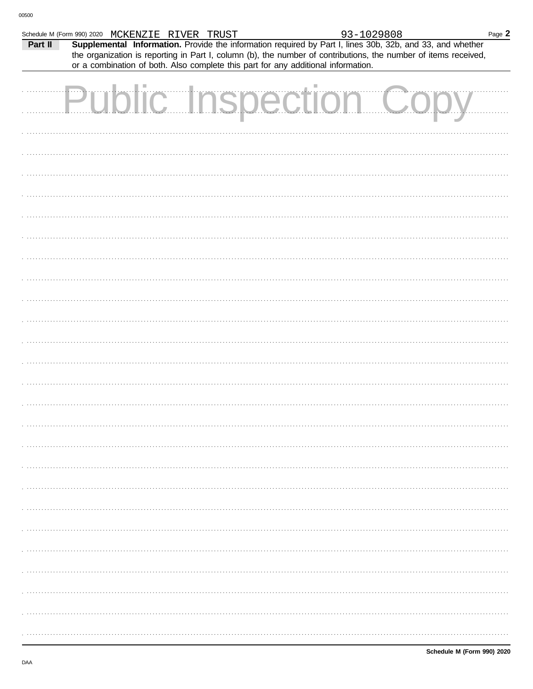| Supplemental Information. Provide the information required by Part I, lines 30b, 32b, and 33, and whether<br>Part II<br>the organization is reporting in Part I, column (b), the number of contributions, the number of items received,<br>or a combination of both. Also complete this part for any additional information.<br><b>Public Inspection Copy</b> | Schedule M (Form 990) 2020 MCKENZIE RIVER TRUST |  | 93-1029808 | Page 2 |
|---------------------------------------------------------------------------------------------------------------------------------------------------------------------------------------------------------------------------------------------------------------------------------------------------------------------------------------------------------------|-------------------------------------------------|--|------------|--------|
|                                                                                                                                                                                                                                                                                                                                                               |                                                 |  |            |        |
|                                                                                                                                                                                                                                                                                                                                                               |                                                 |  |            |        |
|                                                                                                                                                                                                                                                                                                                                                               |                                                 |  |            |        |
|                                                                                                                                                                                                                                                                                                                                                               |                                                 |  |            |        |
|                                                                                                                                                                                                                                                                                                                                                               |                                                 |  |            |        |
|                                                                                                                                                                                                                                                                                                                                                               |                                                 |  |            |        |
|                                                                                                                                                                                                                                                                                                                                                               |                                                 |  |            |        |
|                                                                                                                                                                                                                                                                                                                                                               |                                                 |  |            |        |
|                                                                                                                                                                                                                                                                                                                                                               |                                                 |  |            |        |
|                                                                                                                                                                                                                                                                                                                                                               |                                                 |  |            |        |
|                                                                                                                                                                                                                                                                                                                                                               |                                                 |  |            |        |
|                                                                                                                                                                                                                                                                                                                                                               |                                                 |  |            |        |
|                                                                                                                                                                                                                                                                                                                                                               |                                                 |  |            |        |
|                                                                                                                                                                                                                                                                                                                                                               |                                                 |  |            |        |
|                                                                                                                                                                                                                                                                                                                                                               |                                                 |  |            |        |
|                                                                                                                                                                                                                                                                                                                                                               |                                                 |  |            |        |
|                                                                                                                                                                                                                                                                                                                                                               |                                                 |  |            |        |
|                                                                                                                                                                                                                                                                                                                                                               |                                                 |  |            |        |
|                                                                                                                                                                                                                                                                                                                                                               |                                                 |  |            |        |
|                                                                                                                                                                                                                                                                                                                                                               |                                                 |  |            |        |
|                                                                                                                                                                                                                                                                                                                                                               |                                                 |  |            |        |
|                                                                                                                                                                                                                                                                                                                                                               |                                                 |  |            |        |
|                                                                                                                                                                                                                                                                                                                                                               |                                                 |  |            |        |
|                                                                                                                                                                                                                                                                                                                                                               |                                                 |  |            |        |
|                                                                                                                                                                                                                                                                                                                                                               |                                                 |  |            |        |
|                                                                                                                                                                                                                                                                                                                                                               |                                                 |  |            |        |
|                                                                                                                                                                                                                                                                                                                                                               |                                                 |  |            |        |
|                                                                                                                                                                                                                                                                                                                                                               |                                                 |  |            |        |
|                                                                                                                                                                                                                                                                                                                                                               |                                                 |  |            |        |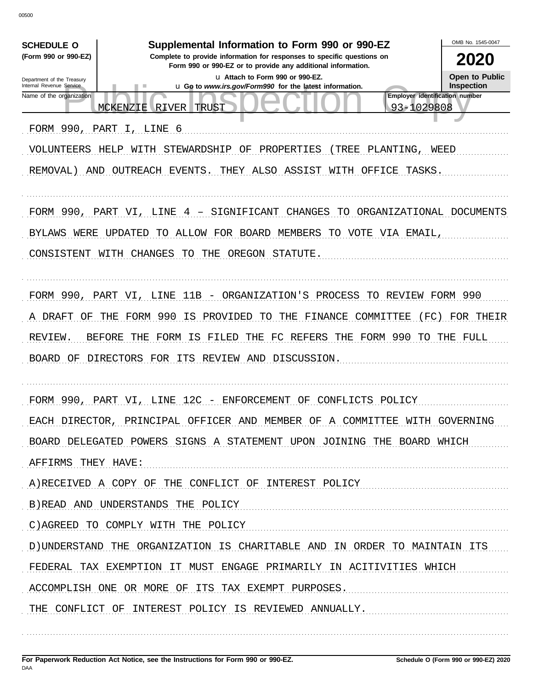00500

| <b>SCHEDULE O</b>                                      | OMB No. 1545-0047                                                                                                                                                                        |                                       |
|--------------------------------------------------------|------------------------------------------------------------------------------------------------------------------------------------------------------------------------------------------|---------------------------------------|
| (Form 990 or 990-EZ)                                   | Supplemental Information to Form 990 or 990-EZ<br>Complete to provide information for responses to specific questions on<br>Form 990 or 990-EZ or to provide any additional information. | 2020                                  |
| Department of the Treasury<br>Internal Revenue Service | La Attach to Form 990 or 990-EZ.<br>u Go to www.irs.gov/Form990 for the latest information.                                                                                              | Open to Public<br>Inspection          |
| Name of the organization                               |                                                                                                                                                                                          | <b>Employer identification number</b> |
|                                                        | MCKENZIE<br>RIVER<br>TRUST                                                                                                                                                               | 93-1029808                            |
| FORM 990, PART                                         | 6<br>LINE                                                                                                                                                                                |                                       |
| VOLUNTEERS                                             | HELP<br>STEWARDSHIP<br>ΟF<br>PROPERTIES<br>TREE<br>PLANTING,<br>WITH                                                                                                                     | WEED                                  |
| REMOVAL)<br>AND                                        | OUTREACH EVENTS.<br>ALSO<br>ASSIST<br>WITH<br>OFFICE<br>THEY                                                                                                                             | TASKS.                                |
|                                                        |                                                                                                                                                                                          |                                       |
| FORM 990,                                              | PART VI,<br>LINE<br>SIGNIFICANT<br>CHANGES<br>TО<br>ORGANIZATIONAL<br>4                                                                                                                  | DOCUMENTS                             |
| WERE<br>BYLAWS                                         | UPDATED<br>ALLOW<br>FOR BOARD<br>MEMBERS<br>TO VOTE VIA EMAIL.<br>TO                                                                                                                     |                                       |
| CONSISTENT                                             | WITH<br><b>CHANGES</b><br>TO.<br>THE<br>OREGON<br>STATUTE.                                                                                                                               |                                       |
|                                                        |                                                                                                                                                                                          |                                       |
| FORM 990,                                              | 11B<br>PART<br>LINE<br>ORGANIZATION'S<br>PROCESS<br>TO.<br>VI.                                                                                                                           | REVIEW<br>FORM 990                    |
| DRAFT<br>OF<br>A                                       | 990<br>FORM<br>ΙS<br>PROVIDED<br>FINANCE<br>COMMITTEE<br>THE<br>TO.<br>THE                                                                                                               | FC)<br>FOR THEIR                      |
| REVIEW.                                                | FORM 990<br><b>BEFORE</b><br>THE<br>FORM<br>FILED<br>THE<br>FC<br>REFERS<br>THE<br>ΙS                                                                                                    | TO<br>THE FULL                        |
| <b>BOARD</b><br>ΟF                                     | DIRECTORS FOR<br>ITS<br>REVIEW AND<br>DISCUSSION.                                                                                                                                        |                                       |
|                                                        |                                                                                                                                                                                          |                                       |
| FORM 990, PART VI,                                     | 12C<br>LINE<br>ENFORCEMENT<br>OF<br>CONFLICTS<br>POLICY                                                                                                                                  |                                       |
|                                                        | EACH DIRECTOR, PRINCIPAL OFFICER AND MEMBER OF A COMMITTEE WITH GOVERNING                                                                                                                |                                       |
|                                                        | BOARD DELEGATED POWERS SIGNS A STATEMENT UPON JOINING THE BOARD WHICH                                                                                                                    |                                       |
| AFFIRMS THEY HAVE:                                     |                                                                                                                                                                                          |                                       |
|                                                        | A) RECEIVED A COPY OF THE CONFLICT OF INTEREST POLICY                                                                                                                                    |                                       |
|                                                        | B) READ AND UNDERSTANDS THE POLICY                                                                                                                                                       |                                       |
|                                                        | C) AGREED TO COMPLY WITH THE POLICY                                                                                                                                                      |                                       |
|                                                        | D) UNDERSTAND THE ORGANIZATION IS CHARITABLE AND IN ORDER TO MAINTAIN ITS                                                                                                                |                                       |
|                                                        | FEDERAL TAX EXEMPTION IT MUST ENGAGE PRIMARILY IN ACITIVITIES WHICH                                                                                                                      |                                       |
|                                                        | ACCOMPLISH ONE OR MORE OF ITS TAX EXEMPT PURPOSES.                                                                                                                                       |                                       |
|                                                        | THE CONFLICT OF INTEREST POLICY IS REVIEWED ANNUALLY.                                                                                                                                    |                                       |
|                                                        |                                                                                                                                                                                          |                                       |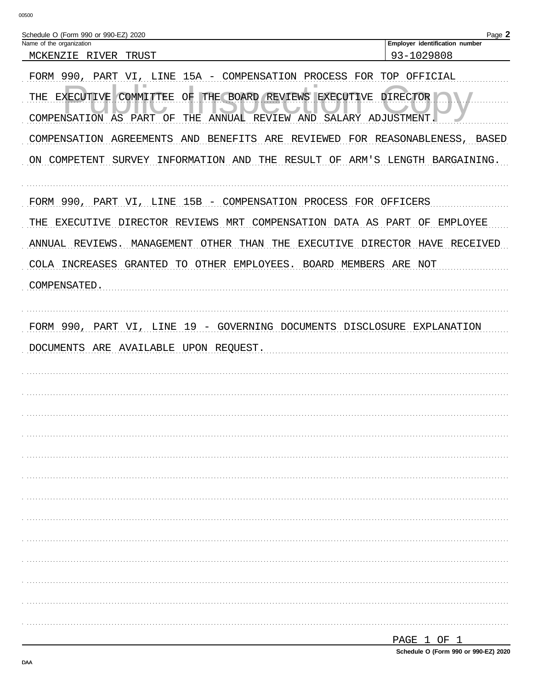| Schedule O (Form 990 or 990-EZ) 2020                                                                                                                       | Page 2                                       |
|------------------------------------------------------------------------------------------------------------------------------------------------------------|----------------------------------------------|
| Name of the organization<br>MCKENZIE RIVER<br>TRUST                                                                                                        | Employer identification number<br>93-1029808 |
| FORM 990,<br>LINE 15A - COMPENSATION PROCESS FOR TOP OFFICIAL<br>PART<br>VI,                                                                               |                                              |
| a.<br>ш<br>THE BOARD REVIEWS EXECUTIVE<br>COMMITTEE<br>ΟF<br>THE<br>EXECUTIVE<br>COMPENSATION AS PART OF<br>THE<br>ANNUAL REVIEW AND<br>SALARY ADJUSTMENT. | DIRECTOR                                     |
| COMPENSATION AGREEMENTS<br>BENEFITS<br>REVIEWED<br>AND<br>ARE                                                                                              | FOR REASONABLENESS,<br>BASED                 |
| ON COMPETENT SURVEY INFORMATION AND THE RESULT OF ARM'S LENGTH BARGAINING.                                                                                 |                                              |
| FORM 990, PART VI, LINE 15B - COMPENSATION PROCESS FOR OFFICERS                                                                                            |                                              |
| THE EXECUTIVE DIRECTOR REVIEWS MRT COMPENSATION DATA AS PART OF                                                                                            | EMPLOYEE                                     |
| ANNUAL REVIEWS.<br>OTHER<br>THAN THE<br>MANAGEMENT<br>EXECUTIVE                                                                                            | DIRECTOR HAVE<br>RECEIVED                    |
| COLA INCREASES GRANTED TO OTHER EMPLOYEES.<br>BOARD MEMBERS ARE NOT                                                                                        |                                              |
| COMPENSATED.                                                                                                                                               |                                              |
|                                                                                                                                                            |                                              |
| PART VI, LINE 19 - GOVERNING DOCUMENTS DISCLOSURE EXPLANATION<br>FORM 990,                                                                                 |                                              |
| DOCUMENTS ARE AVAILABLE UPON REQUEST.                                                                                                                      |                                              |
|                                                                                                                                                            |                                              |
|                                                                                                                                                            |                                              |
|                                                                                                                                                            |                                              |
|                                                                                                                                                            |                                              |
|                                                                                                                                                            |                                              |
|                                                                                                                                                            |                                              |
|                                                                                                                                                            |                                              |
|                                                                                                                                                            |                                              |
|                                                                                                                                                            |                                              |
|                                                                                                                                                            |                                              |
|                                                                                                                                                            |                                              |
|                                                                                                                                                            |                                              |
|                                                                                                                                                            |                                              |
|                                                                                                                                                            | DACF 1 OF 1                                  |